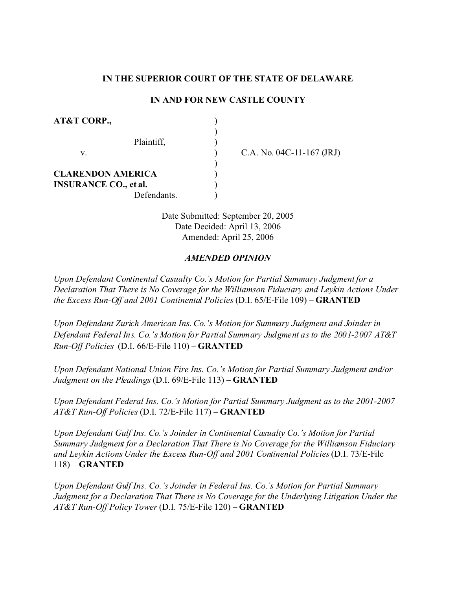# **IN THE SUPERIOR COURT OF THE STATE OF DELAWARE**

# **IN AND FOR NEW CASTLE COUNTY**

| AT&T CORP.,                  |            |
|------------------------------|------------|
| Plaintiff,<br>V.             | C.A. No. 0 |
| <b>CLARENDON AMERICA</b>     |            |
| <b>INSURANCE CO., et al.</b> |            |
| Defendants.                  |            |

04C-11-167 (JRJ)

Date Submitted: September 20, 2005 Date Decided: April 13, 2006 Amended: April 25, 2006

### *AMENDED OPINION*

*Upon Defendant Continental Casualty Co.'s Motion for Partial Summary Judgment for a Declaration That There is No Coverage for the Williamson Fiduciary and Leykin Actions Under the Excess Run-Off and 2001 Continental Policies* (D.I. 65/E-File 109) – **GRANTED**

*Upon Defendant Zurich American Ins. Co.'s Motion for Summary Judgment and Joinder in Defendant Federal Ins. Co.'s Motion for Partial Summary Judgment as to the 2001-2007 AT&T Run-Off Policies* (D.I. 66/E-File 110) – **GRANTED**

*Upon Defendant National Union Fire Ins. Co.'s Motion for Partial Summary Judgment and/or Judgment on the Pleadings* (D.I. 69/E-File 113) – **GRANTED**

*Upon Defendant Federal Ins. Co.'s Motion for Partial Summary Judgment as to the 2001-2007 AT&T Run-Off Policies* (D.I. 72/E-File 117) – **GRANTED**

*Upon Defendant Gulf Ins. Co.'s Joinder in Continental Casualty Co.'s Motion for Partial Summary Judgment for a Declaration That There is No Coverage for the Williamson Fiduciary and Leykin Actions Under the Excess Run-Off and 2001 Continental Policies* (D.I. 73/E-File 118) – **GRANTED**

*Upon Defendant Gulf Ins. Co.'s Joinder in Federal Ins. Co.'s Motion for Partial Summary Judgment for a Declaration That There is No Coverage for the Underlying Litigation Under the AT&T Run-Off Policy Tower* (D.I. 75/E-File 120) – **GRANTED**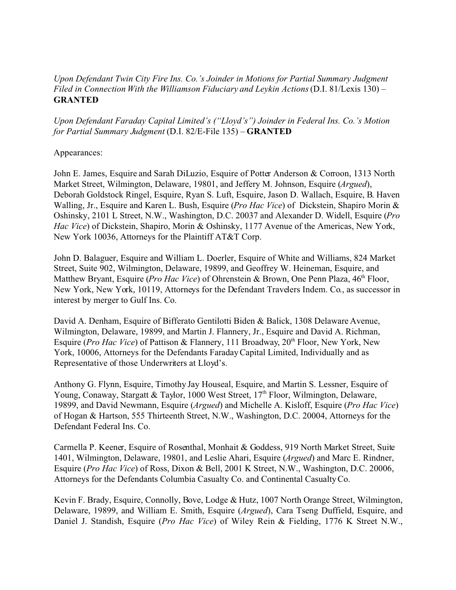# *Upon Defendant Twin City Fire Ins. Co.'s Joinder in Motions for Partial Summary Judgment Filed in Connection With the Williamson Fiduciary and Leykin Actions*(D.I. 81/Lexis 130) – **GRANTED**

*Upon Defendant Faraday Capital Limited's ("Lloyd's") Joinder in Federal Ins. Co.'s Motion for Partial Summary Judgment* (D.I. 82/E-File 135) – **GRANTED**

Appearances:

John E. James, Esquire and Sarah DiLuzio, Esquire of Potter Anderson & Corroon, 1313 North Market Street, Wilmington, Delaware, 19801, and Jeffery M. Johnson, Esquire (*Argued*), Deborah Goldstock Ringel, Esquire, Ryan S. Luft, Esquire, Jason D. Wallach, Esquire, B. Haven Walling, Jr., Esquire and Karen L. Bush, Esquire (*Pro Hac Vice*) of Dickstein, Shapiro Morin & Oshinsky, 2101 L Street, N.W., Washington, D.C. 20037 and Alexander D. Widell, Esquire (*Pro Hac Vice*) of Dickstein, Shapiro, Morin & Oshinsky, 1177 Avenue of the Americas, New York, New York 10036, Attorneys for the Plaintiff AT&T Corp.

John D. Balaguer, Esquire and William L. Doerler, Esquire of White and Williams, 824 Market Street, Suite 902, Wilmington, Delaware, 19899, and Geoffrey W. Heineman, Esquire, and Matthew Bryant, Esquire (*Pro Hac Vice*) of Ohrenstein & Brown, One Penn Plaza, 46<sup>th</sup> Floor, New York, New York, 10119, Attorneys for the Defendant Travelers Indem. Co., as successor in interest by merger to Gulf Ins. Co.

David A. Denham, Esquire of Bifferato Gentilotti Biden & Balick, 1308 Delaware Avenue, Wilmington, Delaware, 19899, and Martin J. Flannery, Jr., Esquire and David A. Richman, Esquire (*Pro Hac Vice*) of Pattison & Flannery, 111 Broadway, 20<sup>th</sup> Floor, New York, New York, 10006, Attorneys for the Defendants Faraday Capital Limited, Individually and as Representative of those Underwriters at Lloyd's.

Anthony G. Flynn, Esquire, Timothy Jay Houseal, Esquire, and Martin S. Lessner, Esquire of Young, Conaway, Stargatt & Taylor, 1000 West Street, 17<sup>th</sup> Floor, Wilmington, Delaware, 19899, and David Newmann, Esquire (*Argued*) and Michelle A. Kisloff, Esquire (*Pro Hac Vice*) of Hogan & Hartson, 555 Thirteenth Street, N.W., Washington, D.C. 20004, Attorneys for the Defendant Federal Ins. Co.

Carmella P. Keener, Esquire of Rosenthal, Monhait & Goddess, 919 North Market Street, Suite 1401, Wilmington, Delaware, 19801, and Leslie Ahari, Esquire (*Argued*) and Marc E. Rindner, Esquire (*Pro Hac Vice*) of Ross, Dixon & Bell, 2001 K Street, N.W., Washington, D.C. 20006, Attorneys for the Defendants Columbia Casualty Co. and Continental Casualty Co.

Kevin F. Brady, Esquire, Connolly, Bove, Lodge & Hutz, 1007 North Orange Street, Wilmington, Delaware, 19899, and William E. Smith, Esquire (*Argued*), Cara Tseng Duffield, Esquire, and Daniel J. Standish, Esquire (*Pro Hac Vice*) of Wiley Rein & Fielding, 1776 K Street N.W.,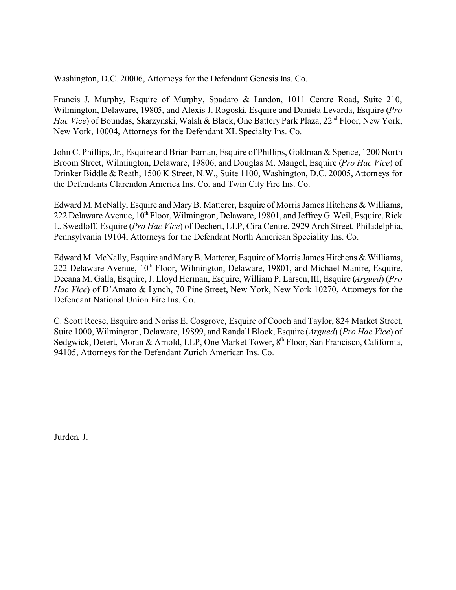Washington, D.C. 20006, Attorneys for the Defendant Genesis Ins. Co.

Francis J. Murphy, Esquire of Murphy, Spadaro & Landon, 1011 Centre Road, Suite 210, Wilmington, Delaware, 19805, and Alexis J. Rogoski, Esquire and Daniela Levarda, Esquire (*Pro Hac Vice*) of Boundas, Skarzynski, Walsh & Black, One Battery Park Plaza, 22<sup>nd</sup> Floor, New York, New York, 10004, Attorneys for the Defendant XL Specialty Ins. Co.

John C. Phillips, Jr., Esquire and Brian Farnan, Esquire of Phillips, Goldman & Spence, 1200 North Broom Street, Wilmington, Delaware, 19806, and Douglas M. Mangel, Esquire (*Pro Hac Vice*) of Drinker Biddle & Reath, 1500 K Street, N.W., Suite 1100, Washington, D.C. 20005, Attorneys for the Defendants Clarendon America Ins. Co. and Twin City Fire Ins. Co.

Edward M. McNally, Esquire and Mary B. Matterer, Esquire of Morris James Hitchens & Williams, 222 Delaware Avenue, 10<sup>th</sup> Floor, Wilmington, Delaware, 19801, and Jeffrey G. Weil, Esquire, Rick L. Swedloff, Esquire (*Pro Hac Vice*) of Dechert, LLP, Cira Centre, 2929 Arch Street, Philadelphia, Pennsylvania 19104, Attorneys for the Defendant North American Speciality Ins. Co.

Edward M. McNally, Esquire and Mary B. Matterer, Esquire of Morris James Hitchens & Williams, 222 Delaware Avenue,  $10<sup>th</sup>$  Floor, Wilmington, Delaware, 19801, and Michael Manire, Esquire, Deeana M. Galla, Esquire, J. Lloyd Herman, Esquire, William P. Larsen, III, Esquire (*Argued*) (*Pro Hac Vice*) of D'Amato & Lynch, 70 Pine Street, New York, New York 10270, Attorneys for the Defendant National Union Fire Ins. Co.

C. Scott Reese, Esquire and Noriss E. Cosgrove, Esquire of Cooch and Taylor, 824 Market Street, Suite 1000, Wilmington, Delaware, 19899, and Randall Block, Esquire (*Argued*) (*Pro Hac Vice*) of Sedgwick, Detert, Moran & Arnold, LLP, One Market Tower, 8<sup>th</sup> Floor, San Francisco, California, 94105, Attorneys for the Defendant Zurich American Ins. Co.

Jurden, J.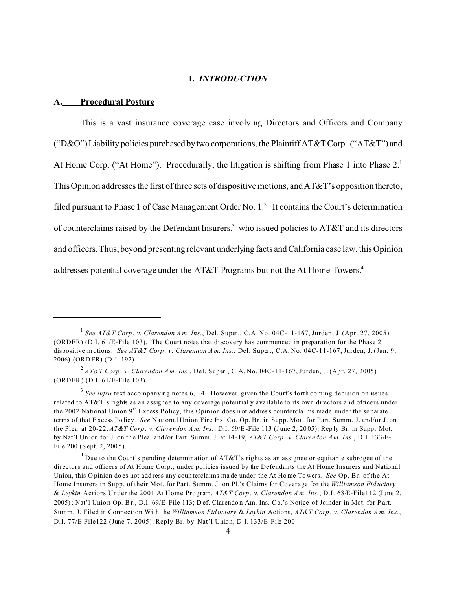# **I.** *INTRODUCTION*

#### **A. Procedural Posture**

This is a vast insurance coverage case involving Directors and Officers and Company ("D&O") Liability policies purchased by two corporations, the Plaintiff AT&T Corp. ("AT&T") and At Home Corp. ("At Home"). Procedurally, the litigation is shifting from Phase 1 into Phase 2.<sup>1</sup> This Opinion addresses the first of three sets of dispositive motions, and AT&T's opposition thereto, filed pursuant to Phase 1 of Case Management Order No.  $1<sup>2</sup>$  It contains the Court's determination of counterclaims raised by the Defendant Insurers,<sup>3</sup> who issued policies to AT&T and its directors and officers. Thus, beyond presenting relevant underlying facts and California case law, this Opinion addresses potential coverage under the AT&T Programs but not the At Home Towers.4

<sup>1</sup> *See AT&T Corp . v. Clarendon A m. Ins.*, Del. Super., C.A. No. 04C-11-167, Jurden, J. (Apr. 27, 2005) (ORDER) (D.I. 61/E-File 103). The Court notes that discovery has commenced in preparation for the Phase 2 dispositive m otions. *See AT&T Corp . v. Clarendon A m. Ins.*, Del. Super., C.A. No. 04C-11-167, Jurden, J. (Jan. 9, 2006) (ORD ER) (D .I. 192).

<sup>2</sup>  *AT&T Corp . v. Clarendon A m. Ins.*, Del. Super., C.A. No. 04C-11-167, Jurden, J. (Apr. 27, 2005) (ORDER) (D.I. 61/E-File 103).

<sup>&</sup>lt;sup>3</sup> See infra text accompanying notes 6, 14. However, given the Court's forth coming decision on issues related to AT&T's rights as an assignee to any coverage potentially available to its own directors and officers under the 2002 National Union  $9<sup>th</sup>$  Excess P olicy, this Opin ion does not address counterclaims made under the separate terms of that Excess Po licy. *See* National Union Fire Ins. Co. Op. Br. in Supp. Mot. for Part. Summ. J. and/or J. on the Plea. at 20-22, *AT&T Corp . v. Clarendon A m. Ins.*, D.I. 69/E-File 113 (J une 2, 20 05); Rep ly Br. in Supp . Mot. by Nat'l Un ion for J. on th e Plea. and /or Part. Summ. J. at 14 -19, *AT&T Corp . v. Clarendon A m. Ins.*, D.I. 133/E-File 200 (S ept. 2, 200 5).

<sup>&</sup>lt;sup>4</sup> Due to the Court's pending determination of AT&T's rights as an assignee or equitable subrogee of the directors and officers of At Home Corp., under policies issued by the Defendants the At Home Insurers and National Union, this O pinion do es not add ress any coun terclaims ma de under the At Home To wers. *See* Op. Br. of the At Home Insurers in Supp. of their Mot. for Part. Summ. J. on Pl.'s Claims for Coverage for the *Williamson Fid uciary* & *Leykin* Actions Under the 2001 At Home Program, *AT&T Corp . v. Clarendon A m. Ins.*, D.I. 68/E-File112 (June 2, 2005); Nat'l Union Op. Br., D.I. 69/E-File 113; Def. Clarendon Am. Ins. Co.'s Notice of Joinder in Mot. for Part. Summ. J. Filed in Connection With the *Williamson Fid uciary* & *Leykin* Actions, *AT&T Corp . v. Clarendon A m. Ins.*, D.I. 77/E-File122 (June 7, 2005); Reply Br. by Nat'l Union, D.I. 133/E-File 200.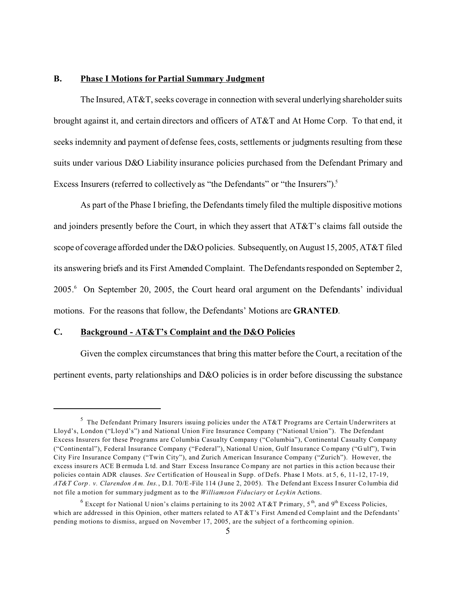## **B. Phase I Motions for Partial Summary Judgment**

The Insured, AT&T, seeks coverage in connection with several underlying shareholder suits brought against it, and certain directors and officers of AT&T and At Home Corp. To that end, it seeks indemnity and payment of defense fees, costs, settlements or judgments resulting from these suits under various D&O Liability insurance policies purchased from the Defendant Primary and Excess Insurers (referred to collectively as "the Defendants" or "the Insurers").<sup>5</sup>

As part of the Phase I briefing, the Defendants timely filed the multiple dispositive motions and joinders presently before the Court, in which they assert that AT&T's claims fall outside the scope of coverage afforded under the D&O policies. Subsequently, on August 15, 2005, AT&T filed its answering briefs and its First Amended Complaint. The Defendants responded on September 2, 2005.<sup>6</sup> On September 20, 2005, the Court heard oral argument on the Defendants' individual motions. For the reasons that follow, the Defendants' Motions are **GRANTED**.

## **C. Background - AT&T's Complaint and the D&O Policies**

Given the complex circumstances that bring this matter before the Court, a recitation of the pertinent events, party relationships and D&O policies is in order before discussing the substance

 $^5$  The Defendant Primary Insurers issuing policies under the AT&T Programs are Certain Underwriters at Lloyd's, London ("Lloyd's") and National Union Fire Insurance Company ("National Union"). The Defendant Excess Insurers for these Programs are Columbia Casualty Company ("Columbia"), Continental Casualty Company ("Continental"), Federal Insurance Company ("Federal"), National U nion, Gulf Insu rance Co mpany ("G ulf"), Twin City Fire Insurance Company ("Twin City"), and Zurich American Insurance Company ("Zurich"). However, the excess insure rs ACE B ermuda L td. and Starr Excess Insu rance Co mpany are not parties in this a ction beca use their policies co ntain ADR clauses. *See* Certification of Houseal in Supp. of Defs. Phase I Mots. at 5, 6, 11-12, 17-19, *AT&T Corp . v. Clarendon A m. Ins.*, D.I. 70/E-File 114 (J une 2, 20 05). Th e Defend ant Excess I nsurer Co lumbia did not file a motion for summary judgment as to the *Williamson Fiduciary* or *Leykin* Actions.

<sup>&</sup>lt;sup>6</sup> Except for National Union's claims pertaining to its 2002 AT &T Primary, 5<sup>th</sup>, and 9<sup>th</sup> Excess Policies, which are addressed in this Opinion, other matters related to AT &T's First Amended Complaint and the Defendants' pending motions to dismiss, argued on November 17, 2005, are the subject of a forthcoming opinion.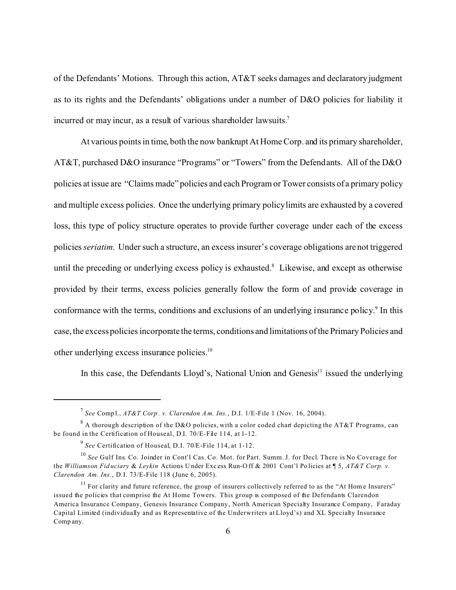of the Defendants' Motions. Through this action, AT&T seeks damages and declaratory judgment as to its rights and the Defendants' obligations under a number of D&O policies for liability it incurred or may incur, as a result of various shareholder lawsuits.<sup>7</sup>

At various points in time, both the now bankrupt At Home Corp. and its primary shareholder, AT&T, purchased D&O insurance "Programs" or "Towers" from the Defendants. All of the D&O policies at issue are "Claims made" policies and each Program or Tower consists of a primary policy and multiple excess policies. Once the underlying primary policy limits are exhausted by a covered loss, this type of policy structure operates to provide further coverage under each of the excess policies*seriatim*. Under such a structure, an excess insurer's coverage obligations are not triggered until the preceding or underlying excess policy is exhausted. $^8$  Likewise, and except as otherwise provided by their terms, excess policies generally follow the form of and provide coverage in conformance with the terms, conditions and exclusions of an underlying insurance policy.<sup>9</sup> In this case, the excess policies incorporate the terms, conditions and limitations of the Primary Policies and other underlying excess insurance policies.<sup>10</sup>

In this case, the Defendants Lloyd's, National Union and Genesis $<sup>11</sup>$  issued the underlying</sup>

<sup>7</sup> *See* Comp l., *AT&T Corp . v. Clarendon A m. Ins.*, D.I. 1/E-File 1 (Nov. 16, 2004).

 $^8$  A thorough description of the D&O policies, with a color coded chart depicting the AT&T Programs, can be found in the Certification of Houseal, D.I. 70/E-File 114, at 1-12.

<sup>9</sup> *See* Certification of Houseal, D.I. 70/E-File 114, at 1-12.

<sup>10</sup> *See* Gulf Ins. Co. Joinder in Cont'l Cas. Co. Mot. for Part. Summ. J. for Decl. There is No Coverage for the *Williamson Fid uciary* & *Leykin* Actions U nder Exc ess Run-O ff & 2001 Cont'l Po licies at ¶ 5, *AT&T Corp. v. Clarendon Am. Ins.*, D.I. 73/E-File 118 (June 6, 2005).

 $11$  For clarity and future reference, the group of insurers collectively referred to as the "At Home Insurers" issued the policies that comprise the At Home Towers. This group is composed of the Defendants Clarendon America Insurance Company, Genesis Insurance Company, North American Specialty Insurance Company, Faraday Capital Limited (individually and as Representative of the Underwriters at Lloyd's) and XL Specialty Insurance Comp any.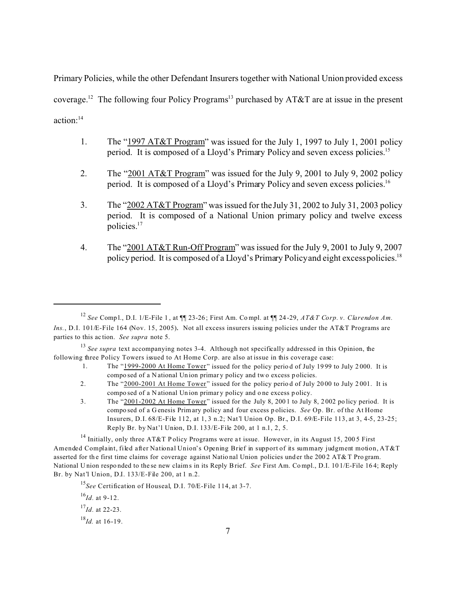Primary Policies, while the other Defendant Insurers together with National Union provided excess coverage.<sup>12</sup> The following four Policy Programs<sup>13</sup> purchased by AT&T are at issue in the present action:<sup>14</sup>

- 1. The "1997 AT&T Program" was issued for the July 1, 1997 to July 1, 2001 policy period. It is composed of a Lloyd's Primary Policy and seven excess policies.<sup>15</sup>
- 2. The "2001 AT&T Program" was issued for the July 9, 2001 to July 9, 2002 policy period. It is composed of a Lloyd's Primary Policy and seven excess policies.<sup>16</sup>
- 3. The "2002 AT&T Program" was issued for the July 31, 2002 to July 31, 2003 policy period. It is composed of a National Union primary policy and twelve excess policies.<sup>17</sup>
- 4. The "2001 AT&T Run-Off Program" was issued for the July 9, 2001 to July 9, 2007 policy period. It is composed of a Lloyd's Primary Policy and eight excess policies.<sup>18</sup>

- 1. The "1999-2000 At Home Tower" issued for the policy perio d of July 19 99 to July 2 000. It is compo sed of a N ational Un ion primar y policy and tw o excess p olicies.
- 2. The "2000-2001 At Home Tower" issued for the policy period of July 2000 to July 2001. It is compo sed of a N ational Un ion primar y policy and o ne excess p olicy.
- 3. The "2001-2002 At Home Tower" issued for the July 8, 200 1 to July 8, 2 002 po licy period. It is compo sed of a G enesis Primary policy and four excess p olicies. *See* Op. Br. of the At Home Insurers, D.I. 68/E-File 112, at 1, 3 n.2; Nat'l Union Op. Br., D.I. 69/E-File 113, at 3, 4-5, 23-25; Reply Br. by Nat'l Union, D.I. 133/E-File 200, at 1 n.1, 2, 5.

<sup>14</sup> Initially, only three AT&T P olicy Programs were at issue. However, in its August 15, 2005 First Amended Complaint, filed after National Union's Opening Brief in support of its summary judgment motion, AT&T asserted for the first time claims for coverage against National Union policies under the 2002 AT&T Program. National U nion respo nded to the se new claims in its Reply Brief. *See* First Am. Co mpl., D.I. 10 1/E-File 16 4; Reply Br. by Nat'l Union, D.I. 133/E-File 200, at 1 n.2.

<sup>15</sup>*See* Certification of Houseal, D.I. 70/E-File 114, at 3-7.

 $^{16}$ *Id.* at 9-12.

$$
^{17}Id
$$
. at 22-23.

<sup>18</sup>*Id.* at 16-19.

<sup>12</sup> *See* Comp l., D.I. 1/E-File 1 , at ¶¶ 23-26 ; First Am. Co mpl. at ¶¶ 24 -29, *AT&T Corp. v. Clarendon Am. Ins.*, D.I. 101/E-File 164 (Nov. 15, 2005). Not all excess insurers issuing policies under the AT&T Programs are parties to this ac tion. *See supra* note 5.

<sup>13</sup> *See supra* text accompanying notes 3-4. Although not specifically addressed in this Opinion, the following three Policy Towers issued to At Home Corp. are also at issue in this coverage case: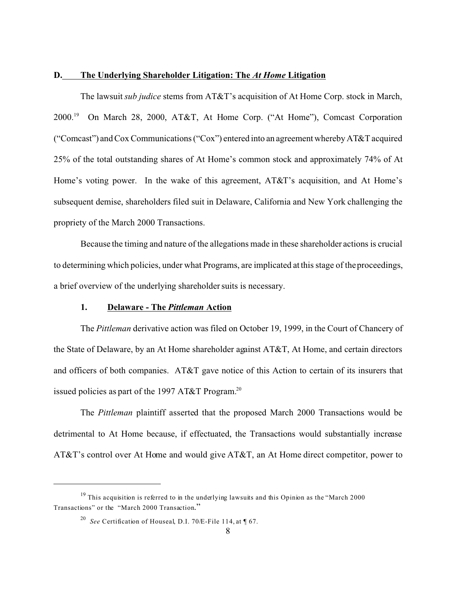### **D. The Underlying Shareholder Litigation: The** *At Home* **Litigation**

The lawsuit *sub judice* stems from AT&T's acquisition of At Home Corp. stock in March, 2000.<sup>19</sup> On March 28, 2000, AT&T, At Home Corp. ("At Home"), Comcast Corporation ("Comcast") and Cox Communications ("Cox") entered into an agreement whereby AT&T acquired 25% of the total outstanding shares of At Home's common stock and approximately 74% of At Home's voting power. In the wake of this agreement, AT&T's acquisition, and At Home's subsequent demise, shareholders filed suit in Delaware, California and New York challenging the propriety of the March 2000 Transactions.

Because the timing and nature of the allegations made in these shareholder actions is crucial to determining which policies, under what Programs, are implicated at this stage of the proceedings, a brief overview of the underlying shareholder suits is necessary.

# **1. Delaware - The** *Pittleman* **Action**

The *Pittleman* derivative action was filed on October 19, 1999, in the Court of Chancery of the State of Delaware, by an At Home shareholder against AT&T, At Home, and certain directors and officers of both companies. AT&T gave notice of this Action to certain of its insurers that issued policies as part of the 1997 AT&T Program.<sup>20</sup>

The *Pittleman* plaintiff asserted that the proposed March 2000 Transactions would be detrimental to At Home because, if effectuated, the Transactions would substantially increase AT&T's control over At Home and would give AT&T, an At Home direct competitor, power to

 $19$  This acquisition is referred to in the underlying lawsuits and this Opinion as the "March 2000" Transactions" or the "March 2000 Transaction."

<sup>20</sup> *See* Certification of Houseal, D.I. 70/E-File 114, at ¶ 67.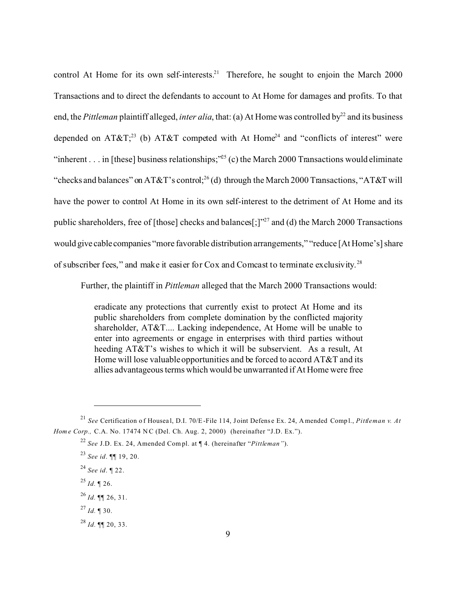control At Home for its own self-interests.<sup>21</sup> Therefore, he sought to enjoin the March 2000 Transactions and to direct the defendants to account to At Home for damages and profits. To that end, the *Pittleman* plaintiff alleged, *inter alia*, that: (a) At Home was controlled by<sup>22</sup> and its business depended on  $AT&T^{23}$  (b)  $AT&T$  competed with At Home<sup>24</sup> and "conflicts of interest" were "inherent . . . in [these] business relationships;"<sup>25</sup> (c) the March 2000 Transactions would eliminate "checks and balances" on AT&T's control;<sup>26</sup> (d) through the March 2000 Transactions, "AT&T will have the power to control At Home in its own self-interest to the detriment of At Home and its public shareholders, free of [those] checks and balances[;] $"^{27}$  and (d) the March 2000 Transactions would give cablecompanies "more favorable distribution arrangements," "reduce [At Home's] share of subscriber fees," and make it easier for Cox and Comcast to terminate exclusivity.<sup>28</sup>

Further, the plaintiff in *Pittleman* alleged that the March 2000 Transactions would:

eradicate any protections that currently exist to protect At Home and its public shareholders from complete domination by the conflicted majority shareholder, AT&T.... Lacking independence, At Home will be unable to enter into agreements or engage in enterprises with third parties without heeding AT&T's wishes to which it will be subservient. As a result, At Home will lose valuable opportunities and be forced to accord AT&T and its allies advantageous terms which would be unwarranted if At Home were free

- $^{25}$  *Id.*  $\sqrt{26}$ .
- $^{26}$  *Id.* ¶¶ 26, 31.
- $^{27}$  *Id.* ¶ 30.
- <sup>28</sup> *Id.* ¶¶ 20, 33.

<sup>&</sup>lt;sup>21</sup> *See* Certification of Houseal, D.I. 70/E-File 114, Joint Defense Ex. 24, A mended Compl., *Pittleman v. At Home Corp., C.A. No.* 17474 NC (Del. Ch. Aug. 2, 2000) (hereinafter "J.D. Ex.").

<sup>22</sup> *See* J.D. Ex. 24, Amended Com pl. at ¶ 4. (hereinafter "*Pittleman"*).

<sup>23</sup> *See id*. ¶¶ 19, 20.

<sup>24</sup> *See id*. ¶ 22.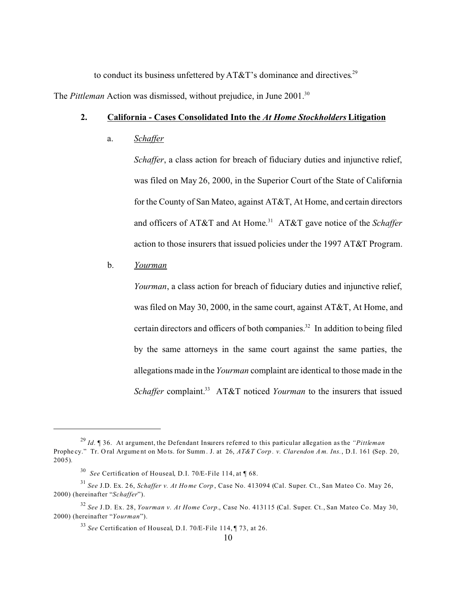to conduct its business unfettered by AT&T's dominance and directives.<sup>29</sup>

The *Pittleman* Action was dismissed, without prejudice, in June 2001.<sup>30</sup>

# **2. California - Cases Consolidated Into the** *At Home Stockholders* **Litigation**

a. *Schaffer*

*Schaffer*, a class action for breach of fiduciary duties and injunctive relief, was filed on May 26, 2000, in the Superior Court of the State of California for the County of San Mateo, against AT&T, At Home, and certain directors and officers of AT&T and At Home. <sup>31</sup> AT&T gave notice of the *Schaffer* action to those insurers that issued policies under the 1997 AT&T Program.

#### b. *Yourman*

*Yourman*, a class action for breach of fiduciary duties and injunctive relief, was filed on May 30, 2000, in the same court, against AT&T, At Home, and certain directors and officers of both companies.<sup>32</sup> In addition to being filed by the same attorneys in the same court against the same parties, the allegations made in the *Yourman* complaint are identical to those made in the *Schaffer* complaint.<sup>33</sup> AT&T noticed *Yourman* to the insurers that issued

<sup>29</sup> *Id.* ¶ 36. At argument, the Defendant Insurers referred to this particular allegation as the *"Pittleman* Prophe cy." Tr. O ral Argume nt on Mo ts. for Summ. J. at 26, *AT&T Corp . v. Clarendon A m. Ins.*, D.I. 161 (Sep. 20, 2005)*.* 

<sup>30</sup> *See* Certification of Houseal, D.I. 70/E-File 114, at ¶ 68.

<sup>31</sup> *See* J.D. Ex. 2 6, *Schaffer v. At Ho me Corp* , Case No. 413094 (Cal. Super. Ct., San Mateo Co. May 26, 2000) (hereinafter "*Schaffer*").

<sup>32</sup> *See* J.D. Ex. 28, *Yourman v. At Home Corp.*, Case No. 413115 (Cal. Super. Ct., San Mateo Co. May 30, 2000) (hereinafter "*Yourman*").

<sup>33</sup> *See* Certification of Houseal, D.I. 70/E-File 114, ¶ 73, at 26.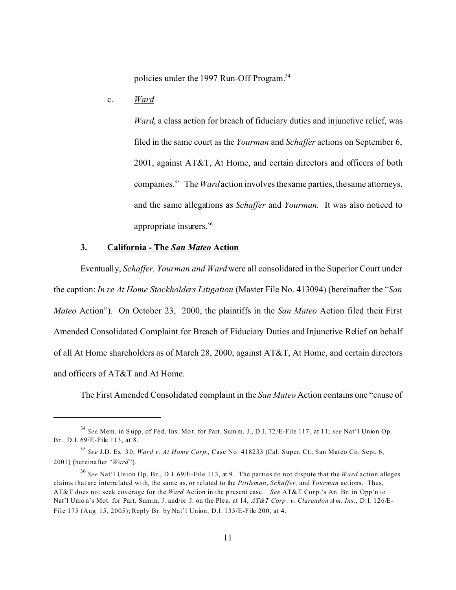policies under the 1997 Run-Off Program.<sup>34</sup>

c. *Ward*

*Ward*, a class action for breach of fiduciary duties and injunctive relief, was filed in the same court as the *Yourman* and *Schaffer* actions on September 6, 2001, against AT&T, At Home, and certain directors and officers of both companies.<sup>35</sup> The *Ward* action involves the same parties, the same attorneys, and the same allegations as *Schaffer* and *Yourman.* It was also noticed to appropriate insurers.<sup>36</sup>

# **3. California - The** *San Mateo* **Action**

Eventually, *Schaffer, Yourman and Ward* were all consolidated in the Superior Court under the caption: *In re At Home Stockholders Litigation* (Master File No. 413094) (hereinafter the "*San Mateo* Action"). On October 23, 2000, the plaintiffs in the *San Mateo* Action filed their First Amended Consolidated Complaint for Breach of Fiduciary Duties and Injunctive Relief on behalf of all At Home shareholders as of March 28, 2000, against AT&T, At Home, and certain directors and officers of AT&T and At Home.

The First Amended Consolidated complaint in the *San Mateo* Action contains one "cause of

<sup>34</sup> *See* Mem. in S upp. of Fe d. Ins. Mo t. for Part. Sum m. J., D.I. 72 /E-File 117 , at 11; *see* Nat'l Union Op. Br., D.I. 69/E-File 113, at 8.

<sup>35</sup> *See* J.D. Ex. 3 0, *Ward v. At Home Corp.*, Case No. 418233 (Cal. Super. Ct., San Mateo Co. Sept. 6, 2001) (hereinafter "*Ward*").

<sup>36</sup> *See* Nat'l Union Op. Br., D.I. 69/E-File 113, at 9. The parties do not dispute that the *Ward* action alleges claims that are interrelated with, the same as, or related to the *Pittleman*, *Schaffer*, and *Yourman* actions. Thus, AT&T does not seek coverage for the *Ward* Action in the present case. *See* AT&T Corp.'s An. Br. in Opp'n to Nat'l Unio n's Mot. for Part. Summ. J. and/or J. on the Ple a. at 14, *AT&T Corp . v. Clarendon A m. Ins.*, D.I. 126/E-File 175 (Aug. 15, 2005); Reply Br. by Nat'l Union, D.I. 133/E-File 200, at 4.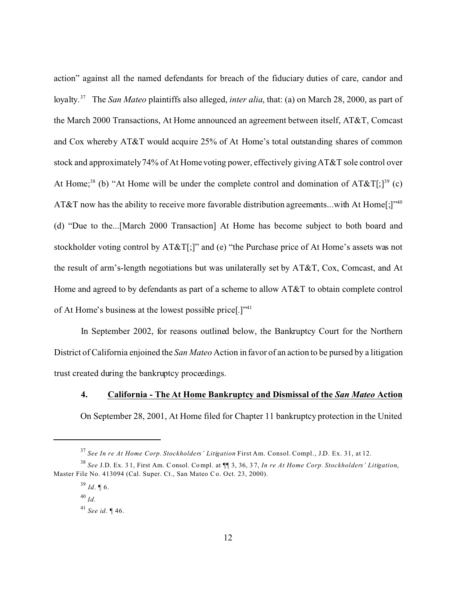action" against all the named defendants for breach of the fiduciary duties of care, candor and loyalty.<sup>37</sup> The *San Mateo* plaintiffs also alleged, *inter alia*, that: (a) on March 28, 2000, as part of the March 2000 Transactions, At Home announced an agreement between itself, AT&T, Comcast and Cox whereby AT&T would acquire 25% of At Home's total outstanding shares of common stock and approximately 74% of At Home voting power, effectively giving AT&T sole control over At Home;<sup>38</sup> (b) "At Home will be under the complete control and domination of  $AT&T[;]^{39}$  (c) AT&T now has the ability to receive more favorable distribution agreements...with At Home[;]"<sup>40</sup> (d) "Due to the...[March 2000 Transaction] At Home has become subject to both board and stockholder voting control by AT&T[;]" and (e) "the Purchase price of At Home's assets was not the result of arm's-length negotiations but was unilaterally set by AT&T, Cox, Comcast, and At Home and agreed to by defendants as part of a scheme to allow AT&T to obtain complete control of At Home's business at the lowest possible price[.]"<sup>41</sup>

In September 2002, for reasons outlined below, the Bankruptcy Court for the Northern District of California enjoined the *San Mateo* Action in favor of an action to be pursed by a litigation trust created during the bankruptcy proceedings.

### **4. California - The At Home Bankruptcy and Dismissal of the** *San Mateo* **Action**

On September 28, 2001, At Home filed for Chapter 11 bankruptcy protection in the United

<sup>37</sup> *See In re At Home Corp. Stockholders' Litigation* First Am. Consol. Compl., J.D. Ex. 31, at 12.

<sup>38</sup> *See* J.D. Ex. 3 1, First Am. Consol. Compl. at ¶¶ 3, 36, 3 7, *In re At Home Corp. Stockholders' Litigation*, Master File No. 413094 (Cal. Super. Ct., San Mateo Co. Oct. 23, 2000).

 $^{39}$  *Id*. ¶ 6.

<sup>40</sup> *Id.*

<sup>41</sup> *See id*. ¶ 46.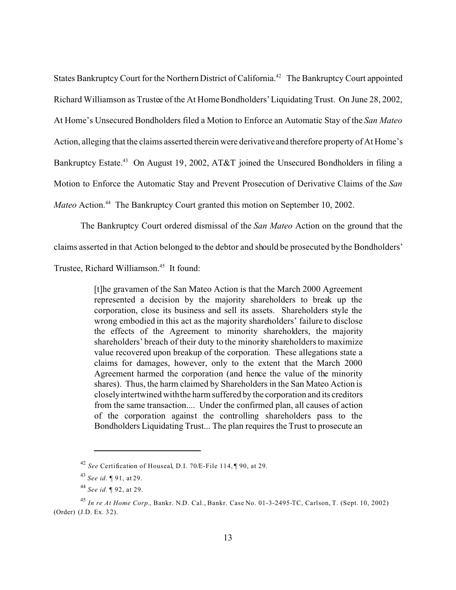States Bankruptcy Court for the Northern District of California.<sup>42</sup> The Bankruptcy Court appointed Richard Williamson as Trustee of the At Home Bondholders' Liquidating Trust. On June 28, 2002, At Home's Unsecured Bondholders filed a Motion to Enforce an Automatic Stay of the *San Mateo* Action, alleging that the claims asserted therein were derivative and therefore property of At Home's Bankruptcy Estate.<sup>43</sup> On August 19, 2002, AT&T joined the Unsecured Bondholders in filing a Motion to Enforce the Automatic Stay and Prevent Prosecution of Derivative Claims of the *San Mateo* Action.<sup>44</sup> The Bankruptcy Court granted this motion on September 10, 2002.

The Bankruptcy Court ordered dismissal of the *San Mateo* Action on the ground that the claims asserted in that Action belonged to the debtor and should be prosecuted by the Bondholders'

Trustee, Richard Williamson.<sup>45</sup> It found:

[t]he gravamen of the San Mateo Action is that the March 2000 Agreement represented a decision by the majority shareholders to break up the corporation, close its business and sell its assets. Shareholders style the wrong embodied in this act as the majority shareholders' failure to disclose the effects of the Agreement to minority shareholders, the majority shareholders' breach of their duty to the minority shareholders to maximize value recovered upon breakup of the corporation. These allegations state a claims for damages, however, only to the extent that the March 2000 Agreement harmed the corporation (and hence the value of the minority shares). Thus, the harm claimed by Shareholders in the San Mateo Action is closely intertwined with the harm suffered by the corporation and its creditors from the same transaction.... Under the confirmed plan, all causes of action of the corporation against the controlling shareholders pass to the Bondholders Liquidating Trust... The plan requires the Trust to prosecute an

<sup>42</sup> *See* Certification of Houseal, D.I. 70/E-File 114, ¶ 90, at 29.

<sup>43</sup> *See id*. ¶ 91, at 29.

<sup>44</sup> *See id.* ¶ 92, at 29.

<sup>45</sup> *In re At Home Corp.*, Bankr. N.D. Cal., Bankr. Case No. 01-3-2495-TC, Carlson, T. (Sept. 10, 2002) (Order) (J.D. Ex. 3 2).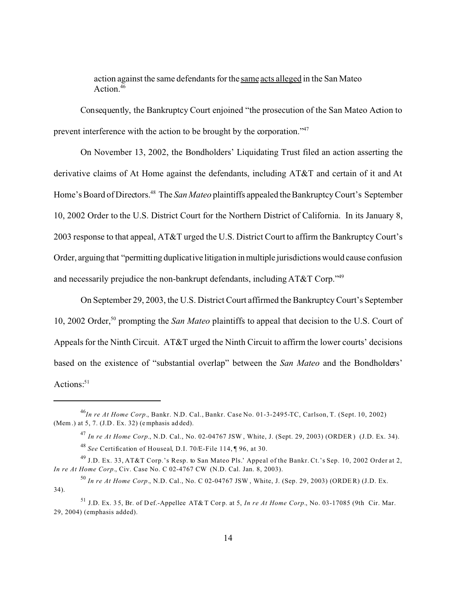action against the same defendants for the same acts alleged in the San Mateo Action.<sup>46</sup>

Consequently, the Bankruptcy Court enjoined "the prosecution of the San Mateo Action to prevent interference with the action to be brought by the corporation."<sup>47</sup>

On November 13, 2002, the Bondholders' Liquidating Trust filed an action asserting the derivative claims of At Home against the defendants, including AT&T and certain of it and At Home's Board of Directors.<sup>48</sup> The *San Mateo* plaintiffs appealed the Bankruptcy Court's September 10, 2002 Order to the U.S. District Court for the Northern District of California. In its January 8, 2003 response to that appeal, AT&T urged the U.S. District Court to affirm the Bankruptcy Court's Order, arguing that "permitting duplicative litigation inmultiple jurisdictions would cause confusion and necessarily prejudice the non-bankrupt defendants, including AT&T Corp."<sup>49</sup>

On September 29, 2003, the U.S. District Court affirmed the Bankruptcy Court's September 10, 2002 Order,<sup>50</sup> prompting the *San Mateo* plaintiffs to appeal that decision to the U.S. Court of Appeals for the Ninth Circuit. AT&T urged the Ninth Circuit to affirm the lower courts' decisions based on the existence of "substantial overlap" between the *San Mateo* and the Bondholders' Actions: $51$ 

<sup>46</sup>*In re At Home Corp.*, Bankr. N.D. Cal., Bankr. Case No. 01-3-2495-TC, Carlson, T. (Sept. 10, 2002) (Mem.) at 5, 7. (J.D . Ex. 32) (emphasis ad ded).

<sup>47</sup> *In re At Home Corp.*, N.D. Cal., No. 02-04767 JSW , White, J. (Sept. 29, 2003) (ORDER ) (J.D. Ex. 34).

<sup>48</sup> *See* Certification of Houseal, D.I. 70/E-File 114, ¶ 96, at 30.

<sup>49</sup> J.D. Ex. 33, AT&T Corp.'s Resp. to San Mateo Pls.' Appeal of the Bankr. Ct.'s Sep. 10, 2002 Order at 2, *In re At Home Corp.*, Civ. Case No. C 02-4767 CW (N.D. Cal. Jan. 8, 2003).

<sup>50</sup> *In re At Home Corp.*, N.D. Cal., No. C 02-04767 JSW , White, J. (Sep. 29, 2003) (ORDE R) (J.D. Ex. 34).

<sup>&</sup>lt;sup>51</sup> J.D. Ex. 35, Br. of Def.-Appellee AT&T Corp. at 5, *In re At Home Corp.*, No. 03-17085 (9th Cir. Mar. 29, 2004) (emphasis added).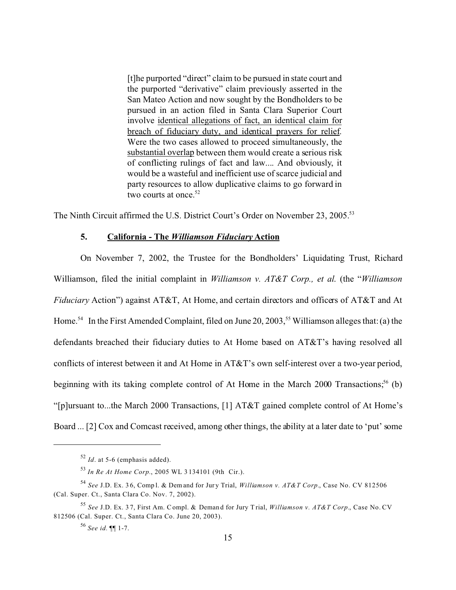[t]he purported "direct" claim to be pursued in state court and the purported "derivative" claim previously asserted in the San Mateo Action and now sought by the Bondholders to be pursued in an action filed in Santa Clara Superior Court involve identical allegations of fact, an identical claim for breach of fiduciary duty, and identical prayers for relief. Were the two cases allowed to proceed simultaneously, the substantial overlap between them would create a serious risk of conflicting rulings of fact and law.... And obviously, it would be a wasteful and inefficient use of scarce judicial and party resources to allow duplicative claims to go forward in two courts at once. $52$ 

The Ninth Circuit affirmed the U.S. District Court's Order on November 23, 2005.<sup>53</sup>

### **5. California - The** *Williamson Fiduciary* **Action**

On November 7, 2002, the Trustee for the Bondholders' Liquidating Trust, Richard Williamson, filed the initial complaint in *Williamson v. AT&T Corp., et al*. (the "*Williamson Fiduciary* Action") against AT&T, At Home, and certain directors and officers of AT&T and At Home.<sup>54</sup> In the First Amended Complaint, filed on June 20, 2003,<sup>55</sup> Williamson alleges that: (a) the defendants breached their fiduciary duties to At Home based on AT&T's having resolved all conflicts of interest between it and At Home in AT&T's own self-interest over a two-year period, beginning with its taking complete control of At Home in the March 2000 Transactions;<sup>56</sup> (b) "[p]ursuant to...the March 2000 Transactions, [1] AT&T gained complete control of At Home's Board ... [2] Cox and Comcast received, among other things, the ability at a later date to 'put' some

<sup>52</sup> *Id*. at 5-6 (emphasis added).

<sup>53</sup> *In Re At Home Corp.*, 2005 WL 3 134101 (9th Cir.).

<sup>54</sup> *See* J.D. Ex. 3 6, Comp l. & Demand for Jur y Trial, *Williamson v. AT&T Corp.*, Case No. CV 812506 (Cal. Super. Ct., Santa Clara Co. Nov. 7, 2002).

<sup>55</sup> *See* J.D. Ex. 3 7, First Am. Compl. & Deman d for Jury T rial, *Williamson v. AT&T Corp.*, Case No. CV 812506 (Cal. Super. Ct., Santa Clara Co. June 20, 2003).

<sup>56</sup> *See id.* ¶¶ 1-7.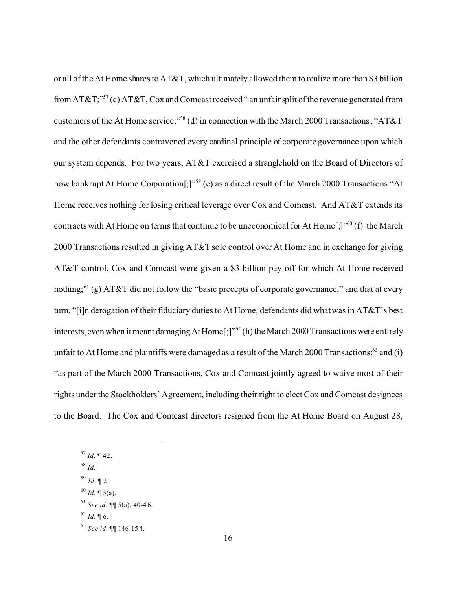or all of the At Home shares to AT&T, which ultimately allowed them to realize more than \$3 billion from AT&T;"<sup>57</sup> (c) AT&T, Cox and Comcast received " an unfair split of the revenue generated from customers of the At Home service;"<sup>58</sup> (d) in connection with the March 2000 Transactions, "AT&T and the other defendants contravened every cardinal principle of corporate governance upon which our system depends. For two years, AT&T exercised a stranglehold on the Board of Directors of now bankrupt At Home Corporation<sup>[;]"59</sup> (e) as a direct result of the March 2000 Transactions "At Home receives nothing for losing critical leverage over Cox and Comcast. And AT&T extends its contracts with At Home on terms that continue to be uneconomical for At Home[;]"<sup>60</sup> (f) the March 2000 Transactions resulted in giving AT&T sole control over At Home and in exchange for giving AT&T control, Cox and Comcast were given a \$3 billion pay-off for which At Home received nothing;<sup>61</sup> (g) AT&T did not follow the "basic precepts of corporate governance," and that at every turn, "[i]n derogation of their fiduciary duties to At Home, defendants did what was in AT&T's best interests, even when it meant damaging At Home $[\cdot]^{5/2}$  (h) the March 2000 Transactions were entirely unfair to At Home and plaintiffs were damaged as a result of the March 2000 Transactions; $63$  and (i) "as part of the March 2000 Transactions, Cox and Comcast jointly agreed to waive most of their rights under the Stockholders' Agreement, including their right to elect Cox and Comcast designees to the Board. The Cox and Comcast directors resigned from the At Home Board on August 28,

<sup>57</sup> *Id.* ¶ 42.

<sup>58</sup> *Id.*

<sup>59</sup> *Id.* ¶ 2.

 $^{60}$  *Id.* ¶ 5(a).

<sup>61</sup> *See id*. ¶¶ 5(a), 40-4 6.

 $62$  *Id.* 16.

<sup>63</sup> *See id.* ¶¶ 146-15 4.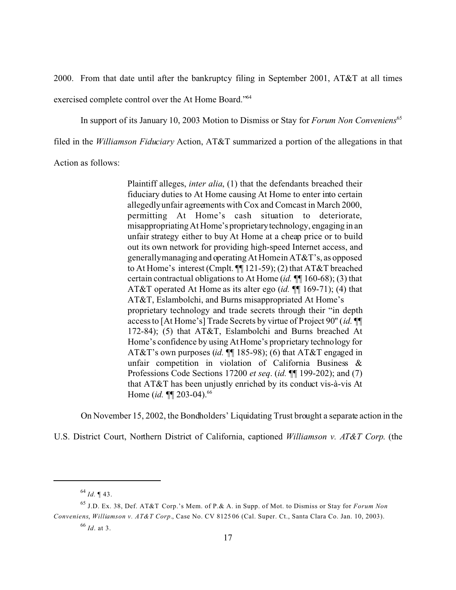2000. From that date until after the bankruptcy filing in September 2001, AT&T at all times exercised complete control over the At Home Board."<sup>64</sup>

In support of its January 10, 2003 Motion to Dismiss or Stay for *Forum Non Conveniens*<sup>65</sup>

filed in the *Williamson Fiduciary* Action, AT&T summarized a portion of the allegations in that

Action as follows:

Plaintiff alleges, *inter alia*, (1) that the defendants breached their fiduciary duties to At Home causing At Home to enter into certain allegedly unfair agreements with Cox and Comcast in March 2000, permitting At Home's cash situation to deteriorate, misappropriating At Home's proprietarytechnology, engaging in an unfair strategy either to buy At Home at a cheap price or to build out its own network for providing high-speed Internet access, and generally managing and operating At Home in AT&T's, as opposed to At Home's interest (Cmplt. ¶¶ 121-59); (2) that AT&T breached certain contractual obligations to At Home (*id.* ¶¶ 160-68); (3) that AT&T operated At Home as its alter ego (*id.* ¶¶ 169-71); (4) that AT&T, Eslambolchi, and Burns misappropriated At Home's proprietary technology and trade secrets through their "in depth access to [At Home's] Trade Secrets by virtue of Project 90'' (*id.* ¶¶ 172-84); (5) that AT&T, Eslambolchi and Burns breached At Home's confidence by using At Home's proprietary technology for AT&T's own purposes (*id.* ¶¶ 185-98); (6) that AT&T engaged in unfair competition in violation of California Business & Professions Code Sections 17200 *et seq*. (*id.* ¶¶ 199-202); and (7) that AT&T has been unjustly enriched by its conduct vis-à-vis At Home *(id.* **¶** 203-04).<sup>66</sup>

On November 15, 2002, the Bondholders' Liquidating Trust brought a separate action in the

U.S. District Court, Northern District of California, captioned *Williamson v. AT&T Corp*. (the

<sup>64</sup> *Id.* ¶ 43.

<sup>65</sup> J.D. Ex. 38, Def. AT&T Corp.'s Mem. of P.& A. in Supp. of Mot. to Dismiss or Stay for *Forum Non Conveniens*, *Williamson v. AT&T Corp.*, Case No. CV 8125 06 (Cal. Super. Ct., Santa Clara Co. Jan. 10, 2003).

<sup>66</sup> *Id*. at 3.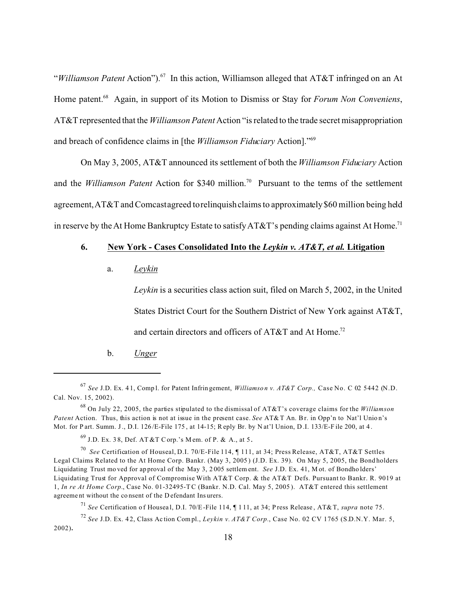"*Williamson Patent* Action").<sup>67</sup> In this action, Williamson alleged that AT&T infringed on an At Home patent.<sup>68</sup> Again, in support of its Motion to Dismiss or Stay for *Forum Non Conveniens*, AT&T represented that the *Williamson Patent* Action "is related to the trade secret misappropriation and breach of confidence claims in [the *Williamson Fiduciary* Action]."<sup>69</sup>

On May 3, 2005, AT&T announced its settlement of both the *Williamson Fiduciary* Action and the *Williamson Patent* Action for \$340 million.<sup>70</sup> Pursuant to the terms of the settlement agreement, AT&T and Comcast agreed to relinquish claims to approximately\$60 million being held in reserve by the At Home Bankruptcy Estate to satisfy AT&T's pending claims against At Home.<sup>71</sup>

# **6. New York - Cases Consolidated Into the** *Leykin v. AT&T, et al.* **Litigation**

a. *Leykin*

*Leykin* is a securities class action suit, filed on March 5, 2002, in the United States District Court for the Southern District of New York against AT&T, and certain directors and officers of AT&T and At Home.<sup>72</sup>

b. *Unger*

<sup>67</sup> *See* J.D. Ex. 4 1, Comp l. for Patent Infrin gement, *Williamso n v. AT&T Corp.,* Case No. C 02 5442 (N.D. Cal. Nov. 15, 2002).

<sup>68</sup> On July 22, 2005, the parties stipulated to the dismissal of AT&T's coverage claims for the *Williamson Patent* Action. Thus, this action is not at issue in the present case. See AT&T An. Br. in Opp'n to Nat'l Union's Mot. for P art. Summ. J., D.I. 126 /E-File 175 , at 14-15; Reply Br. by N at'l Union, D .I. 133/E-F ile 200, at 4 .

 $^{69}$  J.D. Ex. 38, Def. AT &T C orp.'s M em. of P. & A., at 5.

<sup>70</sup> *See* Certification of Houseal, D.I. 70/E-File 114, ¶ 111, at 34; Press Release, AT&T, AT&T Settles Legal Claims Related to the At Home Corp. Bankr. (May 3, 2005 ) (J.D. Ex. 39). On May 5, 2005, the Bond holders Liquidating Trust mo ved for ap proval of the May 3, 2 005 settlem ent. *See* J.D. Ex. 41, M ot. of Bondho lders' Liquidating Trust for Approval of Compromise With AT&T Corp. & the AT&T Defs. Pursuant to Bankr. R. 9019 at 1, *In re At Home Corp.*, Case No. 01-32495-T C (Bankr. N.D. Cal. May 5, 2005 ). AT&T entered this settlement agreeme nt without the co nsent of the D efendant Ins urers.

<sup>71</sup> *See* Certification o f Housea l, D.I. 70/E-File 114, ¶ 1 11, at 34; P ress Release , AT&T, *supra* note 75.

<sup>72</sup> *See* J.D. Ex. 4 2, Class Ac tion Compl., *Leykin v. AT&T Corp.*, Case No. 02 CV 1765 (S.D.N.Y. Mar. 5, 2002)**.**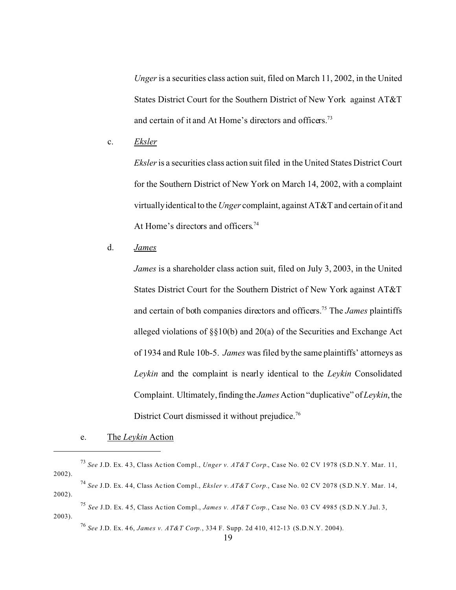*Unger* is a securities class action suit, filed on March 11, 2002, in the United States District Court for the Southern District of New York against AT&T and certain of it and At Home's directors and officers.<sup>73</sup>

c. *Eksler*

*Eksler* is a securities class action suit filed in the United States District Court for the Southern District of New York on March 14, 2002, with a complaint virtually identical to the *Unger* complaint, against AT&T and certain of it and At Home's directors and officers.<sup>74</sup>

d. *James*

*James* is a shareholder class action suit, filed on July 3, 2003, in the United States District Court for the Southern District of New York against AT&T and certain of both companies directors and officers.<sup>75</sup> The *James* plaintiffs alleged violations of §§10(b) and 20(a) of the Securities and Exchange Act of 1934 and Rule 10b-5. *James* was filed by the same plaintiffs' attorneys as *Leykin* and the complaint is nearly identical to the *Leykin* Consolidated Complaint. Ultimately, finding the *James* Action "duplicative" of *Leykin*, the District Court dismissed it without prejudice.<sup>76</sup>

<sup>76</sup> *See* J.D. Ex. 4 6, *James v. AT&T Corp.*, 334 F. Supp. 2d 410, 412-13 (S.D.N.Y. 2004).

e. The *Leykin* Action

<sup>73</sup> *See* J.D. Ex. 4 3, Class Ac tion Compl., *Unger v. AT&T Corp.*, Case No. 02 CV 1978 (S.D.N.Y. Mar. 11, 2002).

<sup>74</sup> *See* J.D. Ex. 4 4, Class Ac tion Compl., *Eksler v. AT&T Corp.*, Case No. 02 CV 2078 (S.D.N.Y. Mar. 14, 2002).

<sup>75</sup> *See* J.D. Ex. 4 5, Class Ac tion Compl., *James v. AT&T Corp.*, Case No. 03 CV 4985 (S.D.N.Y.Jul. 3, 2003).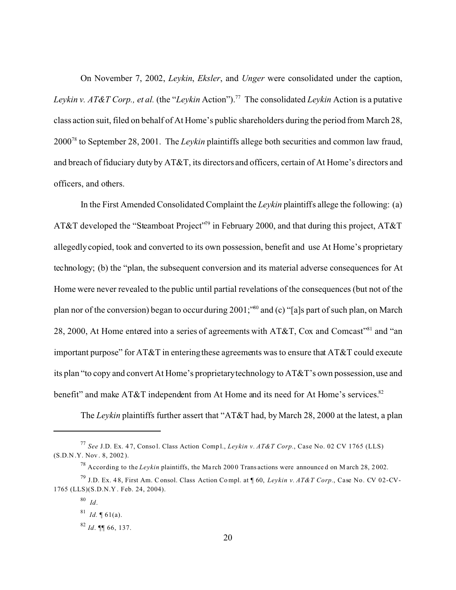On November 7, 2002, *Leykin*, *Eksler*, and *Unger* were consolidated under the caption, *Levkin v. AT&T Corp., et al.* (the "*Levkin* Action").<sup>77</sup> The consolidated *Leykin* Action is a putative class action suit, filed on behalf of At Home's public shareholders during the period from March 28, 2000<sup>78</sup> to September 28, 2001. The *Leykin* plaintiffs allege both securities and common law fraud, and breach of fiduciary duty by AT&T, its directors and officers, certain of At Home's directors and officers, and others.

In the First Amended Consolidated Complaint the *Leykin* plaintiffs allege the following: (a) AT&T developed the "Steamboat Project"<sup>79</sup> in February 2000, and that during this project, AT&T allegedly copied, took and converted to its own possession, benefit and use At Home's proprietary technology; (b) the "plan, the subsequent conversion and its material adverse consequences for At Home were never revealed to the public until partial revelations of the consequences (but not of the plan nor of the conversion) began to occur during 2001;"<sup>80</sup> and (c) "[a]s part of such plan, on March 28, 2000, At Home entered into a series of agreements with AT&T, Cox and Comcast"<sup>81</sup> and "an important purpose" for AT&T in entering these agreements was to ensure that AT&T could execute its plan "to copy and convert At Home's proprietary technology to AT&T's own possession, use and benefit" and make AT&T independent from At Home and its need for At Home's services. $82$ 

The *Leykin* plaintiffs further assert that "AT&T had, by March 28, 2000 at the latest, a plan

<sup>77</sup> *See* J.D. Ex. 4 7, Conso l. Class Action Comp l., *Leykin v. AT&T Corp.*, Case No. 02 CV 1765 (LLS) (S.D.N .Y. Nov . 8, 2002 ).

<sup>&</sup>lt;sup>78</sup> According to the *Leykin* plaintiffs, the March 2000 Trans actions were announced on March 28, 2002.

<sup>79</sup> J.D. Ex. 4 8, First Am. Consol. Class Action Co mpl. at ¶ 60, *Leykin v. AT&T Corp.*, Case No. CV 02-CV-1765 (LLS)(S.D.N.Y . Feb. 24, 2004).

<sup>80</sup> *Id*.

<sup>&</sup>lt;sup>81</sup> *Id.*  $\llbracket 61(a)$ .

 $82$  *Id.* **¶** 66, 137.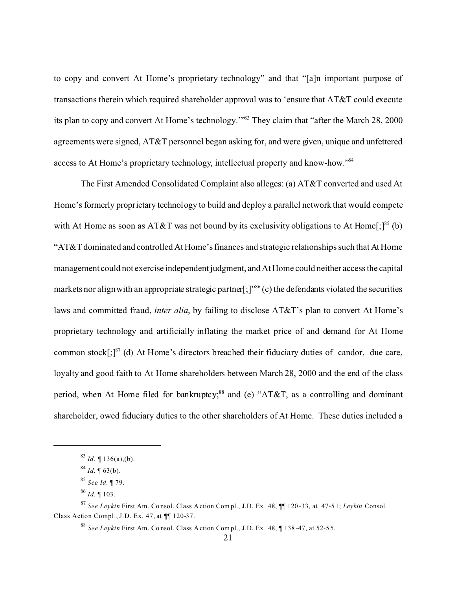to copy and convert At Home's proprietary technology" and that "[a]n important purpose of transactions therein which required shareholder approval was to 'ensure that AT&T could execute its plan to copy and convert At Home's technology.'"<sup>83</sup> They claim that "after the March 28, 2000 agreements were signed, AT&T personnel began asking for, and were given, unique and unfettered access to At Home's proprietary technology, intellectual property and know-how."<sup>84</sup>

The First Amended Consolidated Complaint also alleges: (a) AT&T converted and used At Home's formerly proprietary technology to build and deploy a parallel network that would compete with At Home as soon as AT&T was not bound by its exclusivity obligations to At Home $[:]^{85}$  (b) "AT&T dominated and controlled At Home's finances and strategic relationships such that At Home management could not exercise independent judgment, and At Home could neither access the capital markets nor align with an appropriate strategic partner $[\cdot]^{86}$  (c) the defendants violated the securities laws and committed fraud, *inter alia*, by failing to disclose AT&T's plan to convert At Home's proprietary technology and artificially inflating the market price of and demand for At Home common stock $\left[\cdot\right]^{87}$  (d) At Home's directors breached their fiduciary duties of candor, due care, loyalty and good faith to At Home shareholders between March 28, 2000 and the end of the class period, when At Home filed for bankruptcy;<sup>88</sup> and (e) "AT&T, as a controlling and dominant shareholder, owed fiduciary duties to the other shareholders of At Home. These duties included a

<sup>83</sup> *Id*. ¶ 136(a),(b).

 $84$  *Id.* ¶ 63(b).

<sup>85</sup> *See Id.* ¶ 79.

<sup>86</sup> *Id.* ¶ 103.

<sup>87</sup> *See Leykin* First Am. Co nsol. Class A ction Com pl., J.D. Ex . 48, ¶¶ 120 -33, at 47-5 1; *Leykin* Consol. Class Action Compl., J.D. Ex. 47, at ¶¶ 120-37.

<sup>88</sup> *See Leykin* First Am. Co nsol. Class A ction Com pl., J.D. Ex . 48, ¶ 138 -47, at 52-5 5.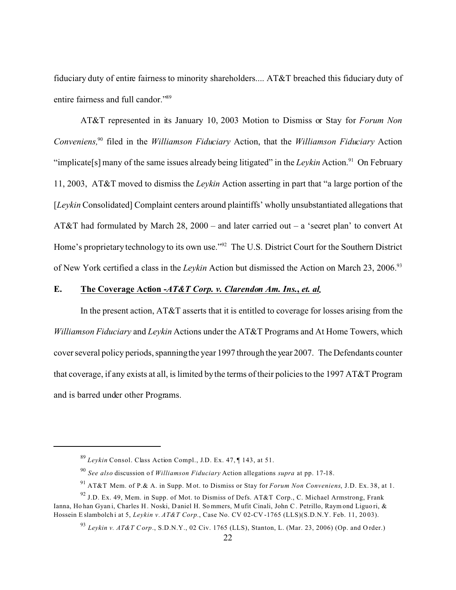fiduciary duty of entire fairness to minority shareholders.... AT&T breached this fiduciary duty of entire fairness and full candor."<sup>89</sup>

AT&T represented in its January 10, 2003 Motion to Dismiss or Stay for *Forum Non Conveniens,*<sup>90</sup> filed in the *Williamson Fiduciary* Action, that the *Williamson Fiduciary* Action "implicate[s] many of the same issues already being litigated" in the *Leykin* Action.<sup>91</sup> On February 11, 2003, AT&T moved to dismiss the *Leykin* Action asserting in part that "a large portion of the [*Leykin* Consolidated] Complaint centers around plaintiffs' wholly unsubstantiated allegations that AT&T had formulated by March 28, 2000 – and later carried out – a 'secret plan' to convert At Home's proprietary technology to its own use."<sup>92</sup> The U.S. District Court for the Southern District of New York certified a class in the *Leykin* Action but dismissed the Action on March 23, 2006.<sup>93</sup>

# E. The Coverage Action -*AT&T Corp. v. Clarendon Am. Ins., et. al.*

In the present action, AT&T asserts that it is entitled to coverage for losses arising from the *Williamson Fiduciary* and *Leykin* Actions under the AT&T Programs and At Home Towers, which cover several policy periods, spanning the year 1997 through the year 2007. The Defendants counter that coverage, if any exists at all, is limited by the terms of their policies to the 1997 AT&T Program and is barred under other Programs.

<sup>89</sup> *Leykin* Consol. Class Action Compl., J.D. Ex. 47, ¶ 143, at 51.

<sup>90</sup> *See also* discussion o f *Williamson Fiduciary* Action allegations *supra* at pp. 17-18.

<sup>91</sup> AT&T Mem. of P.& A. in Supp. M ot. to Dismiss or Stay for *Forum Non Conveniens*, J.D. Ex. 38, at 1.

 $92$  J.D. Ex. 49, Mem. in Supp. of Mot. to Dismiss of Defs. AT&T Corp., C. Michael Armstrong, Frank Ianna, Ho han Gyani, Charles H. Noski, Daniel H. Sommers, Mufit Cinali, John C. Petrillo, Raym ond Liguo ri, & Hossein E slambolch i at 5, *Leykin v. AT&T Corp.*, Case No. CV 02-CV -1765 (LLS)(S.D.N.Y. Feb. 11, 20 03).

<sup>93</sup> *Leykin v. AT&T C orp*., S.D.N.Y., 02 Civ. 1765 (LLS), Stanton, L. (Mar. 23, 2006) (Op. and O rder.)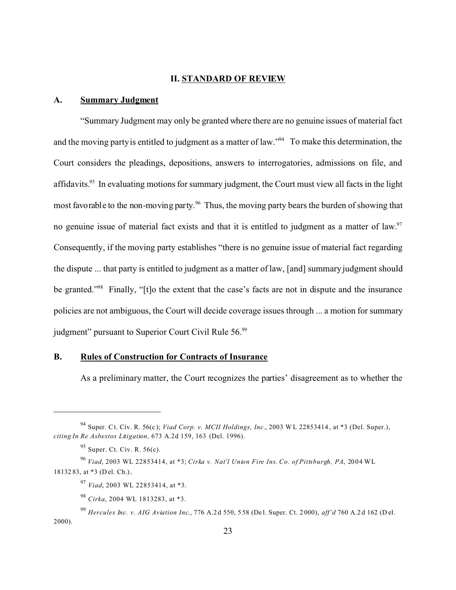# **II. STANDARD OF REVIEW**

# **A. Summary Judgment**

"Summary Judgment may only be granted where there are no genuine issues of material fact and the moving party is entitled to judgment as a matter of law."<sup>94</sup> To make this determination, the Court considers the pleadings, depositions, answers to interrogatories, admissions on file, and affidavits.<sup>95</sup> In evaluating motions for summary judgment, the Court must view all facts in the light most favorable to the non-moving party.<sup>96</sup> Thus, the moving party bears the burden of showing that no genuine issue of material fact exists and that it is entitled to judgment as a matter of law.<sup>97</sup> Consequently, if the moving party establishes "there is no genuine issue of material fact regarding the dispute ... that party is entitled to judgment as a matter of law, [and] summary judgment should be granted."<sup>98</sup> Finally, "[t]o the extent that the case's facts are not in dispute and the insurance policies are not ambiguous, the Court will decide coverage issues through ... a motion for summary judgment" pursuant to Superior Court Civil Rule 56.<sup>99</sup>

# **B. Rules of Construction for Contracts of Insurance**

As a preliminary matter, the Court recognizes the parties' disagreement as to whether the

<sup>94</sup> Super. Ct. Civ. R. 56(c ); *Viad Corp. v. MCII Holdings, Inc.*, 2003 W L 22853414 , at \*3 (Del. Super.), *citing In Re Asbestos Litigation,* 673 A.2d 159, 163 (Del. 1996).

 $95$  Super. Ct. Civ. R. 56(c).

<sup>96</sup> *Viad*, 2003 WL 22853414, at \*3; *Cirka v. Nat'l Union Fire Ins. Co. of Pittsburgh, PA*, 2004 WL 18132 83, at \*3 (D el. Ch.).

<sup>97</sup> *Viad*, 2003 WL 22853414, at \*3.

<sup>98</sup> *Cirka*, 2004 WL 1813283, at \*3.

<sup>99</sup> *Hercules Inc. v. AIG Aviation Inc*., 776 A.2 d 550, 5 58 (De l. Super. Ct. 2 000), *aff'd* 760 A.2 d 162 (D el. 2000).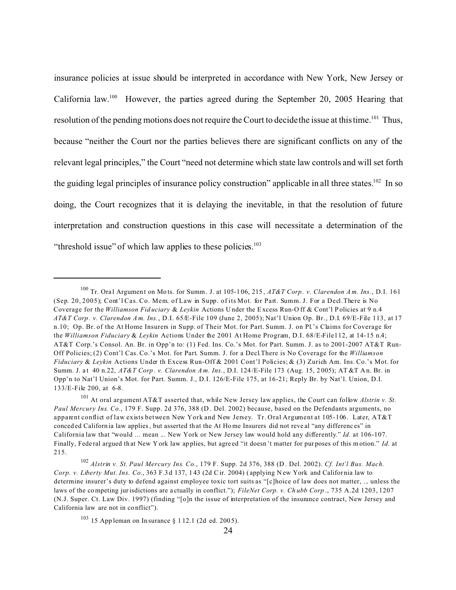insurance policies at issue should be interpreted in accordance with New York, New Jersey or California law.<sup>100</sup> However, the parties agreed during the September 20, 2005 Hearing that resolution of the pending motions does not require the Court to decide the issue at this time.<sup>101</sup> Thus, because "neither the Court nor the parties believes there are significant conflicts on any of the relevant legal principles," the Court "need not determine which state law controls and will set forth the guiding legal principles of insurance policy construction" applicable in all three states.<sup>102</sup> In so doing, the Court recognizes that it is delaying the inevitable, in that the resolution of future interpretation and construction questions in this case will necessitate a determination of the "threshold issue" of which law applies to these policies. $103$ 

<sup>100</sup> Tr. Ora l Argumen t on Mo ts. for Summ. J. at 105-1 06, 215 , *AT&T Corp . v. Clarendon A m. Ins.*, D.I. 161 (Sep. 20, 2005); Cont'l Cas. Co. Mem. of Law in Supp. of its Mot. for Part. Summ. J. For a Decl.There is No Coverage for the *Williamson Fid uciary* & *Leykin* Actions U nder the Excess Run-O ff & Cont'l P olicies at 9 n.4 *AT&T Corp . v. Clarendon A m. Ins.*, D.I. 65/E-File 109 (June 2, 2005); Nat'l Union Op. Br., D.I. 69/E-File 113, at 17 n.10; Op. Br. of the At Home Insurers in Supp. of Their Mot. for Part. Summ. J. on Pl.'s Claims for Coverage for the *Williamson Fiduciary* & *Leykin* Actions Under the 2001 At Home Program, D.I. 68/E-File112, at 14-15 n.4; AT&T Corp.'s Consol. An. Br. in Opp'n to: (1) Fed. Ins. Co.'s Mot. for Part. Summ. J. as to 2001-2007 AT&T Run-Off Policies; (2) Cont'l Cas. Co.'s Mot. for Part. Summ. J. for a Decl.There is No Coverage for the *Williamson Fiduciary* & *Leykin* Actions Under th Excess Run-Off & 2001 Cont'l Policies; & (3) Zurich Am. Ins. Co.'s Mot. for Summ. J. a t 40 n.22, *AT&T Corp . v. Clarendon A m. Ins.*, D.I. 124 /E-File 173 (Aug. 15, 2 005); AT &T A n. Br. in Opp'n to Nat'l Union's Mot. for Part. Summ. J., D.I. 126/E-File 175, at 16-21; Reply Br. by Nat'l. Union, D.I. 133/E-File 200, at 6-8.

<sup>101</sup> At oral argument AT&T asserted that, while New Jersey law applies, the Court can follow *Alstrin v. St. Paul Mercury Ins. Co.*, 179 F. Supp. 2d 376, 388 (D . Del. 2002) because, based on the Defendants arguments, no apparent conflict of law exists between New York and New Jersey. Tr. Oral Argument at 105-106. Later, AT&T conced ed Californ ia law applies, but asserted th at the At Ho me Insurers did not reve al "any differenc es" in California law that "would ... mean ... New York or New Jersey law would hold any differently." *Id.* at 106-107. Finally, Federal argued that New York law applies, but agreed "it doesn't matter for purposes of this motion." *Id.* at 215.

<sup>102</sup> *Alstrin v. St. Paul Mercury Ins. Co.*, 179 F. Supp. 2d 376, 388 (D . Del. 2002). *Cf. Int'l Bus. Mach. Corp. v. Liberty Mut. Ins. Co.*, 363 F.3 d 137, 143 (2d Cir. 2004) (applying New York and California law to determine insurer's duty to defend against employee toxic tort suits as "[c]hoice of law does not matter, ... unless the laws of the competing jurisdictions are a ctually in conflict."); *FileNet Corp. v. Ch ubb Corp* ., 735 A.2d 1203, 1207 (N.J. Super. Ct. Law Div. 1997) (finding "[o]n the issue of interpretation of the insurance contract, New Jersey and California law are not in co nflict").

<sup>&</sup>lt;sup>103</sup> 15 App leman on In surance  $\S$  1 12.1 (2d ed. 2005).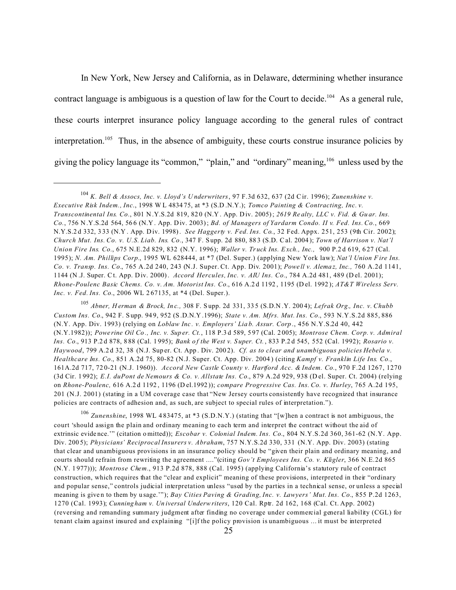In New York, New Jersey and California, as in Delaware, determining whether insurance contract language is ambiguous is a question of law for the Court to decide.<sup>104</sup> As a general rule, these courts interpret insurance policy language according to the general rules of contract interpretation.<sup>105</sup> Thus, in the absence of ambiguity, these courts construe insurance policies by giving the policy language its "common," "plain," and "ordinary" meaning, <sup>106</sup> unless used by the

<sup>105</sup> *Abner, H erman & Brock, In c.,* 308 F. S upp. 2d 331, 33 5 (S.D.N .Y. 200 4); *Lefrak Org., Inc. v. Chubb Custom Ins. Co.*, 942 F. S upp. 94 9, 952 (S .D.N.Y .1996); *State v. Am. Mfrs. Mut. Ins. Co.*, 593 N.Y.S.2d 885, 886 (N.Y. App. Div. 1993) (relying on *Loblaw Inc . v. Employers' Lia b. Assur. Corp* ., 456 N.Y.S.2d 40, 442 (N.Y.1982)); *Powe rine Oil Co ., Inc. v. Sup er. Ct.*, 118 P.3 d 589, 5 97 (Cal. 2 005); *Montrose Chem. Corp. v. Admiral Ins. Co.*, 913 P.2 d 878, 8 88 (Cal. 1 995); *Bank o f the West v. S uper. Ct.* , 833 P.2 d 545, 552 (Cal. 1992); *Rosario v. Haywood*, 799 A.2 d 32, 38 (N.J. Sup er. Ct. App . Div. 200 2). *Cf. as to clear and unambiguous policies Hebela v. Healthcare Ins. Co.*, 851 A.2d 75, 80-82 (N.J. Super. Ct. App. Div. 2004 ) (citing *Kampf v. Franklin Life Ins. Co.*, 161A.2d 717, 72 0-21 (N.J. 1960)). *Accord New Castle County v. Hartford Acc. & Indem. Co.*, 970 F.2d 1267, 1270 (3d Cir. 1992); *E.I. duPont de Nemours & Co. v. Allstate Ins. Co.*, 879 A.2d 929, 938 (Del. Super. Ct. 2004) (relying on *Rhone-Poulenc,* 616 A.2 d 1192 , 1196 (D el.1992 )); *compare Progressive Cas. Ins. Co. v. Hurley*, 765 A.2d 195, 201 (N.J. 2001) (stating in a UM coverage case that "New Jersey courts consistently have recognized that insurance policies are contracts of adhesion and, as such, are subject to special rules of interpretation.").

<sup>106</sup> *Zunenshine*, 1998 WL 4 83475, at \*3 (S.D.N.Y.) (stating that "[w]hen a contract is not ambiguous, the court 'should assign the plain and ordinary meaning to each term and interpret the contract without the aid of extrinsic evide nce.'" (citation o mitted)); *Escobar v. Colonial Indem. Ins. Co.*, 804 N.Y.S.2d 360, 361-62 (N.Y. App. Div. 200 5); *Physicians' Reciprocal Insurers v. Abraham*, 757 N.Y.S.2d 330, 331 (N.Y. App. Div. 2003) (stating that clear and unambiguous provisions in an insurance policy should be "given their plain and ordinary meaning, and courts should refrain from rewriting the agreement ...."(citing *Gov't Employees Ins. Co. v. Kligler*, 366 N.E.2d 865 (N.Y. 1 977))); *Montrose Chem.*, 913 P.2d 878, 888 (Cal. 1995) (applying California's statutory rule of contract construction, which requires that the "clear and explicit" meaning of these provisions, interpreted in their "ordinary and popular sense," controls judicial interpretation unless "used by the parties in a technical sense, or unless a special meaning is given to them by usage.""); *Bay Cities Paving & Grading, Inc. v. Lawyers' Mut. Ins. Co.*, 855 P.2d 1263, 1270 (Cal. 1993); *Cunning ham v. Un iversal Underwriters*, 120 Cal. Rptr. 2d 162, 168 (Cal. Ct. App. 2002) (reversing and remanding summary judgment after finding no coverage under commercial general liability (CGL) for tenant claim against insured and explaining "[i]f the policy provision is unambiguous ... it must be interpreted

<sup>104</sup> *K. Bell & Assocs, Inc. v. Lloyd's U nderwriters*, 97 F.3d 632, 637 (2d Cir. 1996); *Zunenshine v. Executive Risk Indem., Inc*., 1998 W L 4834 75, at \*3 (S.D .N.Y.); *Tomco Painting & Contracting, Inc. v. Transcontinental Ins. Co., 801 N.Y.S.2d 819, 820 (N.Y. App. Div. 2005); 2619 Realty, LLC v. Fid. & Guar. Ins. Co.*, 756 N.Y.S.2d 564, 566 (N.Y. App. Div. 2003); *Bd. of Managers of Yardarm Condo. II v. Fed. Ins. Co.*, 669 N.Y.S.2d 332, 333 (N.Y. App. Div. 1998). *See Haggerty v. Fed. Ins. Co.*, 32 Fed. Appx. 251, 253 (9th Cir. 2002); *Church Mut. Ins. Co. v. U.S. Liab. Ins. Co.*, 347 F. S upp. 2d 880, 88 3 (S.D. Cal. 2004 ); *Town of Harrison v. Nat'l Union Fire Ins. Co.*, 675 N.E.2d 829, 832 (N.Y. 1996); *Waller v. Tr uck Ins. E xch., Inc.,* 900 P.2 d 619, 6 27 (Cal. 1995); *N. Am. Phillips Corp.*, 1995 WL 628444, at \*7 (Del. Super.) (applying New York law); *Nat'l Union F ire Ins. Co. v. Transp. Ins. Co.*, 765 A.2d 240, 243 (N.J. Super. Ct. App. Div. 2001); *Powe ll v. Alema z, Inc.,* 760 A.2d 1141, 1144 (N.J. Super. Ct. App. Div. 2000). *Accord Hercules, Inc. v. AIU Ins. Co.*, 784 A.2d 481, 489 (Del. 2001); *Rhone-Poulenc Basic Chems. Co. v. Am. Motorist Ins. Co.*, 616 A.2 d 1192 , 1195 (D el. 1992 ); *AT&T Wireless Serv. Inc. v. Fed. Ins. Co.*, 2006 WL 2 67135, at \*4 (Del. Super.).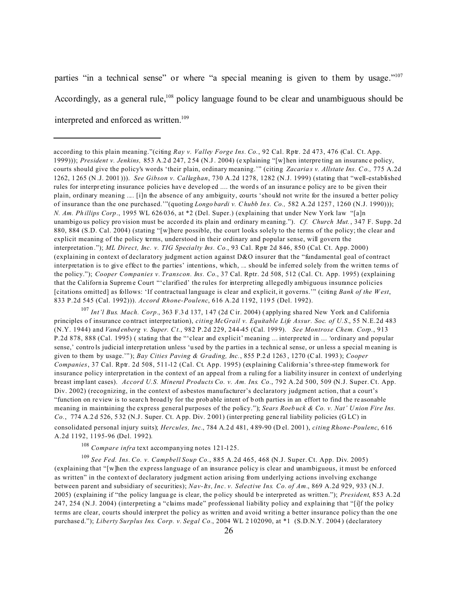parties "in a technical sense" or where "a special meaning is given to them by usage."<sup>107</sup> Accordingly, as a general rule,<sup>108</sup> policy language found to be clear and unambiguous should be interpreted and enforced as written.<sup>109</sup>

<sup>107</sup> *Int'l Bus. Mach. Corp.*, 363 F.3 d 137, 1 47 (2d C ir. 2004) ( applying sha red New York an d California principles o f insurance co ntract interpre tation), *citing McGrail v. Equitable Life Assur. Soc. of U.S.*, 55 N.E.2d 483 (N.Y. 1944) and *Vand enberg v. Super. Ct.*, 982 P.2d 229, 244-45 (Cal. 199 9). *See Montrose Chem. Corp.*, 913 P.2d 878, 888 (Cal. 1995) ( stating that the "'clear and explicit' meaning ... interpreted in ... 'ordinary and popular sense,' contro ls judicial interp retation unless 'used by the parties in a technic al sense, or unless a special meaning is given to them by usage.'" ); *Bay Cities Paving & Grading, Inc.*, 855 P.2 d 1263 , 1270 (C al. 1993 ); *Cooper Companies*, 37 Cal. Rptr. 2d 508, 511-12 (Cal. Ct. App. 1995) (explaining California's three-step framework for insurance policy interpretation in the context of an appeal from a ruling for a liability insurer in context of underlying breast imp lant cases). *Accord U.S. Mineral Products Co. v. Am. Ins. Co.*, 792 A.2d 500, 509 (N.J. Super. Ct. App. Div. 2002) (recognizing, in the context of asbestos manufacturer's declaratory judgment action, that a court's "function on re view is to searc h broad ly for the prob able intent of b oth parties in an effort to find the re asonable meaning in maintaining the express general purposes of the policy."); *Sears Roeb uck & Co. v. Nat' U nion Fire Ins. Co.*, 774 A.2 d 526, 5 32 (N.J. Super. Ct. A pp. Div. 2 001) (inter preting gene ral liability policies (G LC) in consolidated personal injury suits); *Hercules, Inc.*, 784 A.2 d 481, 4 89-90 (D el. 2001 ), *citing Rhone-Poulenc*, 616 A.2d 1192, 1195-96 (Del. 1992).

<sup>108</sup> *Compare infra* text accompanying notes 121-125.

<sup>109</sup> *See Fed. Ins. Co. v. Campbell Soup Co.*, 885 A.2d 465, 468 (N.J. Super. Ct. App. Div. 2005) (explaining that "[w]hen the express language of an insurance policy is clear and unambiguous, it must be enforced as written" in the context of declaratory judgment action arising from underlying actions involving exchange between parent and subsidiary of securities); *Nav-Its, Inc. v. Selective Ins. Co. of Am.*, 869 A.2d 929, 933 (N.J. 2005) (explaining if "the policy langua ge is clear, the p olicy should b e interpreted as written."); *President*, 853 A.2d 247, 254 (N.J. 2004) (interpreting a "claims made" professional liability policy and explaining that "[i]f the policy terms are clear, courts should interpret the policy as written and avoid writing a better insurance policy than the one purchase d."); *Liberty Surplus Ins. Corp. v. Segal Co.*, 2004 WL 2102090, at \*1 (S.D.N.Y. 2004) (declaratory

according to this plain meaning."(citing *Ray v. Valley Forge Ins. Co.*, 92 Cal. Rptr. 2d 473, 476 (Cal. Ct. App. 1999))); *President v. Jenkins,* 853 A.2 d 247, 2 54 (N.J. 2004) (e xplaining "[w] hen interpre ting an insuranc e policy, courts should give the policy's words 'their plain, ordinary meaning.'" (citing *Zacaria s v. Allstate Ins. C o.,* 775 A.2d 1262, 1 265 (N .J. 2001 ))). *See Gibson v. Callaghan*, 730 A.2d 1278, 1282 (N.J. 1999) (stating that "well-established rules for interpr eting insurance policies hav e develop ed .... the word s of an insuranc e policy are to be given their plain, ordinary meaning .... [i]n the absence of any ambiguity, courts 'should not write for the insured a better policy of insurance than the one purchased.'"(quoting *Longo bardi v. Chubb In s. Co.,* 582 A.2d 1257 , 1260 (N.J. 1990))); *N. Am. Ph illips Corp*., 1995 WL 626 036, at \*2 (Del. Super.) (explaining that under New York law "[a]n unambigo us policy pro vision must be accorde d its plain and ordinary meaning."). *Cf. Church Mut.*, 347 F. Supp. 2d 880, 884 (S.D. Cal. 2004) (stating "[w]here possible, the court looks solely to the terms of the policy; the clear and explicit meaning of the policy terms, understood in their ordinary and popular sense, will govern the interpretation ."); *ML Direct, Inc. v. TIG Specialty Ins. Co.*, 93 Cal. Rptr 2d 846, 850 (Cal. Ct. App. 2000) (explaining in context of declaratory judgment action against D&O insurer that the "fundamental goal of contract interpretation is to give effect to the parties' intentions, which, ... should be inferred solely from the written terms of the policy."); *Cooper Companies v. Transcon. Ins. Co.*, 37 Cal. Rptr. 2d 508, 512 (Cal. Ct. App. 1995) (explaining that the Californ ia Suprem e Court "'clarified' the rules for interpreting allegedly ambiguous insurance policies [citations omitted] as follows: 'If contractual language is clear and explicit, it governs.'" (citing *Bank of the W est*, 833 P.2d 545 (Cal. 1992))). *Accord Rhone-Poulenc*, 616 A.2d 1192, 119 5 (Del. 1992).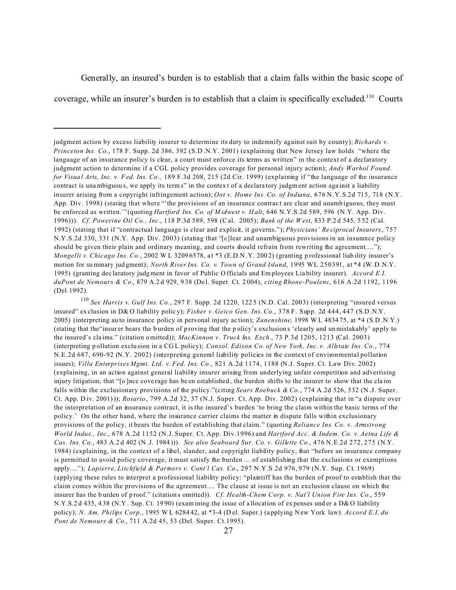Generally, an insured's burden is to establish that a claim falls within the basic scope of coverage, while an insurer's burden is to establish that a claim is specifically excluded.<sup>110</sup> Courts

<sup>110</sup> *See Harris v. Gulf Ins. Co.*, 297 F. Supp. 2d 1220, 122 5 (N.D. Cal. 2003) (interpreting "insured versus insured" ex clusion in D& O liability polic y); *Fisher v. Geico Gen. Ins. Co.*, 378 F. Supp. 2d 444, 447 (S.D.N.Y. 2005) (interpreting au to insurance policy in pers onal injury ac tion); *Zunenshine*, 1998 W L 4834 75, at \*4 (S.D .N.Y.) (stating that the"insur er bears the b urden of p roving that the p olicy's exclusion s 'clearly and unmistakably' ap ply to the insured's cla ims." (citation omitted)); *MacKinnon v. Truck Ins. Exch.*, 73 P.3d 1205, 1213 (Cal. 2003) (interpreting p ollution exclu sion in a CG L policy); *Consol. Edison Co. of New York, Inc. v. Allstate Ins. Co*., 774 N.E.2d 687, 690-92 (N.Y. 2002) (interpreting general liability policies in the context of environmental pollution issues); *Villa Enterprises Mgmt. Ltd. v. Fed. Ins. Co.*, 821 A.2d 1174, 1188 (N.J. Super. Ct. Law Div. 2002) (explaining, in an action against general liability insurer arising from underlying unfair competition and advertising injury litigation, that "[o ]nce cove rage has be en established , the burden shifts to the insurer to show that the cla im falls within the exclusionary provisions of the policy."(citing *Sears Roebuck & Co.*, 774 A.2d 526, 532 (N .J. Super. Ct. App. D iv. 2001))); *Rosario* , 799 A.2d 32, 37 (N.J. Super. Ct. App. Div. 2002) (explaining that in "a dispute over the interpretation of an insurance contract, it is the insured's burden 'to bring the claim within the basic terms of the policy.' On the other hand, where the insurance carrier claims the matter in dispute falls within exclusionary provisions of the policy, it bears the burden of establishing that claim." (quoting *Reliance Ins. Co. v. Armstrong World Indus., Inc.*, 678 A.2d 1152 (N.J. Super. Ct. App. Div.1996) and *Hartford Acc. & Indem. Co. v. Aetna Life & Cas. Ins. Co.*, 483 A.2 d 402 (N .J. 1984 ))). *See also Seaboard Sur. Co. v. Gillette Co.*, 476 N.E.2d 272, 275 (N.Y. 1984) (explaining, in the context of a libel, slander, and copyright liability policy, that "before an insurance company is permitted to avoid policy coverage, it must satisfy the burden ... of establishing that the exclusions or exemptions apply...."); *Lapierre, Litchfield & Partners v. Cont'l Cas. Co.*, 297 N.Y.S.2d 976, 979 (N.Y. Sup. Ct. 1969) (applying these rules to interpret a professional liability policy: "plaintiff has the burden of proof to establish that the claim comes within the provisions of the agreement.... The clause at issue is not an exclusion clause on which the insurer has the b urden of p roof." (citation s omitted)). *Cf. Health-Chem Corp. v. Nat'l Union Fire Ins. Co.*, 559 N.Y.S.2 d 435, 4 38 (N.Y . Sup. Ct. 19 90) (exam ining the issue of a llocation of ex penses und er a D&O liability policy); *N. Am. Philips Corp.*, 1995 W L 6284 42, at \*3-4 (D el. Super.) (applying New York law). *Accord E.I. du Pont de Nemours & Co.*, 711 A.2d 45, 53 (Del. Super. Ct.1995).

judgment action by excess liability insurer to determine its duty to indemnify against suit by county); *Richards v. Princeton Ins. Co.*, 178 F. Supp. 2d 386, 392 (S.D .N.Y. 2001) (explaining that New Jersey law holds "where the language of an insurance policy is clear, a court must enforce its terms as written" in the context of a declaratory judgment action to determine if a CGL policy provides coverage for personal injury action); *Andy Warhol Found. for Visua l Arts, Inc. v. Fed. Ins. Co .,* 189 F.3d 208, 215 (2d Cir. 1999) (explaining if "the language of the insurance contract is unambiguou s, we apply its term s" in the contex t of a declara tory judgment action aga inst a liability insurer arising from a copyright infringement action); *Oot v. Home Ins. Co. of Indiana*, 676 N.Y.S.2d 715, 718 (N.Y. App. Div. 1998) (stating that where "'the provisions of an insurance contrac t are clear and unamb iguous, they must be enforced as written.'"(quoting *Hartford Ins. Co. of M idwest v. H alt*, 646 N.Y.S.2d 589, 596 (N.Y. App. Div. 1996))). *Cf. Powerine Oil Co., Inc.*, 118 P.3d 589, 598 (Cal. 2005); *Bank of the W est*, 833 P.2 d 545, 5 52 (Cal. 1992) (stating that if "contractual language is clear and explicit, it governs."); *Physicians' Re ciprocal Insurers*, 757 N.Y.S.2d 330, 331 (N.Y. App. Div. 2003) (stating that "[c]lear and unambiguous provisions in an insurance policy should be given their plain and ordinary meaning, and courts should refrain from rewriting the agreement...."); *Mongelli v. Chicago Ins. Co.*, 2002 W L 3209 6578, at \*3 (E.D.N.Y. 2002) (granting professional liab ility insurer's motion for su mmary jud gment); *North River Ins. Co. v. Town of Grand Island*, 1995 WL 250391, at \*4 (W.D.N.Y. 1995) (granting dec laratory judgment in favor of Public O fficials and Em ployees Lia bility insurer). *Accord E.I. duPont de Nemours & Co.*, 879 A.2 d 929, 9 38 (De l. Super. Ct. 2 004), *citing Rhone-Poulenc*, 616 A.2d 1192, 1196 (Del.1992).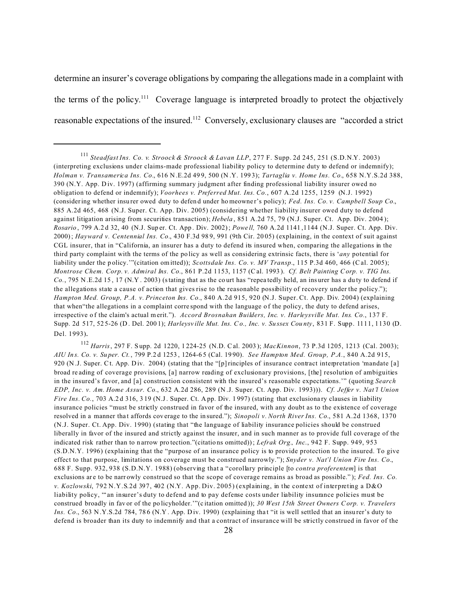determine an insurer's coverage obligations by comparing the allegations made in a complaint with the terms of the policy.<sup>111</sup> Coverage language is interpreted broadly to protect the objectively reasonable expectations of the insured.112 Conversely, exclusionary clauses are "accorded a strict

<sup>111</sup> *Steadfast Ins. Co. v. Stroock & Stroock & Lavan LLP*, 277 F. Supp. 2d 245, 251 (S.D.N.Y. 2003) (interpreting exclusions under claims-made professional liability policy to determine duty to defend or indemnify); *Holman v. Transamerica Ins. Co.*, 616 N .E.2d 49 9, 500 (N .Y. 199 3); *Tartaglia v. Home Ins. Co.*, 658 N.Y.S.2d 388, 390 (N.Y. App. Div. 1997) (affirming summary judgment after finding professional liability insurer owed no obligation to defend or indemnify); *Voorhees v. Preferred Mut. Ins. Co.*, 607 A.2d 1255, 1259 (N.J. 1992) (considering whether insu rer owed duty to defen d under ho meowne r's policy); *Fed. Ins. Co. v. Campbell Soup Co.*, 885 A.2d 465, 468 (N.J. Super. Ct. App. Div. 2005) (considering whether liability insurer owed duty to defend against litigation arising from securities transaction); *Hebela*, 851 A.2d 75, 79 (N.J. Super. Ct. App. Div. 2004); *Rosario* , 799 A.2 d 32, 40 (N.J. Sup er. Ct. App . Div. 2002); *Powe ll,* 760 A.2d 1141 ,1144 (N.J. Super. Ct. App. Div. 2000); *Hayward v. Centennial Ins. Co.*, 430 F.3d 98 9, 991 (9th Cir. 20 05) (explaining, in the context of suit against CGL insurer, that in "California, an insurer has a duty to defend its insured when, comparing the allegations in the third party complaint with the terms of the po licy as well as considering extrinsic facts, there is '*any* potential for liability under the policy.'"(citation omitted)); *Scottsdale Ins. Co. v. MV Transp.*, 115 P.3d 460, 466 (Cal. 2005); *Montrose Chem. Corp. v. Admiral Ins. Co.*, 861 P.2d 1153, 1157 (C al. 1993 ). *Cf. Belt Painting Corp. v. TIG Ins. Co.*, 795 N .E.2d 15 , 17 (N.Y . 2003) (stating that as the co urt has "repea tedly held, an ins urer has a du ty to defend if the allegations state a cause of action that gives rise to the reasonable possibility of recovery under the policy."); *Hampton Med. Group, P.A. v. Princeton Ins. Co.*, 840 A.2d 915, 920 (N.J. Super. Ct. App. Div. 2004) (explaining that when "the allegations in a complaint correspond with the language of the policy, the duty to defend arises, irrespective of the claim's actual merit."). *Accord Brosnahan Builders, Inc. v. Harleysville Mut. Ins. Co.*, 137 F. Supp. 2d 517, 52 5-26 (D . Del. 200 1); *Harleysv ille Mut. Ins. Co., Inc. v. Su ssex Cou nty*, 831 F. Supp. 1111, 1130 (D. Del. 1993).

<sup>112</sup> *Harris*, 297 F. S upp. 2d 1220, 1 224-25 (N.D. Cal. 2003 ); *MacKinnon*, 73 P.3d 1205, 1213 (Cal. 2003); *AIU In s. Co. v. Su per. Ct.*, 799 P.2 d 1253 , 1264-6 5 (Cal. 19 90). *See Hampton Med. Group, P.A.*, 840 A.2d 915, 920 (N .J. Super. Ct. App. Div. 2004) (stating that the "[p]rinciples of insurance contract interpretation 'mandate [a] broad re ading of coverage provisions, [a] narrow reading of exclusionary provisions, [the] resolution of ambiguities in the insured's favor, and [a] construction consistent with the insured's reasonable expectations.'" (quoting *Search EDP, Inc. v. Am. Home Assur. Co.*, 632 A.2d 286, 289 (N .J. Super. Ct. App. Div. 1993))). *Cf. Jeffer v. Nat'l Union Fire Ins. Co.*, 703 A.2d 316, 319 (N.J. Super. Ct. App. Div. 1997) (stating that exclusionary clauses in liability insurance policies "must be strictly construed in favor of the insured, with any doubt as to the existence of coverage resolved in a manner that affords coverage to the in sured."); *Sinopoli v. North River Ins. Co.*, 581 A.2d 1368, 1370 (N.J. Super. Ct. App. Div. 1990) (stating that "the language of liability insurance policies should be construed liberally in favor of the insured and strictly against the insurer, and in such manner as to provide full coverage of the indicated risk rather than to n arrow pro tection."(citatio ns omitted)); *Lefrak Org., Inc*., 942 F. Supp. 949, 953 (S.D.N.Y. 1996) (explaining that the "purpose of an insurance policy is to provide protection to the insured. To give effect to that purpose, limitations on coverage must be construed narrowly."); *Snyder v. Nat'l Union Fire Ins. Co.*, 688 F. Supp. 932, 938 (S.D.N.Y. 1988) (observing that a "corollary principle [to *contra proferentem*] is that exclusions are to be narrowly construed so that the scope of coverage remains as broad as possible."); *Fed. Ins. Co. v. Kozlowski*, 792 N.Y.S.2d 397, 402 (N.Y. App. Div. 2005) (explaining, in the context of interpreting a D&O liability policy, "'an insurer's duty to defend and to pay defense costs under liability insurance policies must be construed broadly in fav or of the po licyholder.'"(c itation omitted )); *30 West 15th Street Owners Corp. v. Travelers* Ins. Co., 563 N.Y.S.2d 784, 786 (N.Y. App. Div. 1990) (explaining that "it is well settled that an insurer's duty to defend is broader than its duty to indemnify and that a contract of insurance will be strictly construed in favor of the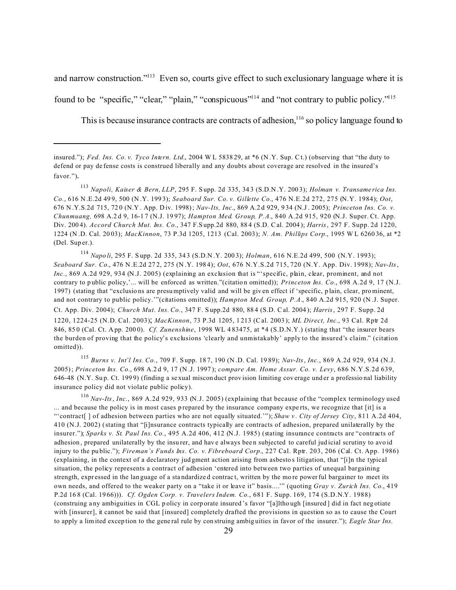and narrow construction."<sup>113</sup> Even so, courts give effect to such exclusionary language where it is

found to be "specific," "clear," "plain," "conspicuous"<sup>114</sup> and "not contrary to public policy."<sup>115</sup>

This is because insurance contracts are contracts of adhesion,  $116$  so policy language found to

<sup>113</sup> *Napoli, Kaiser & Bern, LLP*, 295 F. S upp. 2d 335, 34 3 (S.D.N .Y. 200 3); *Holman v. Transame rica Ins. Co.*, 616 N .E.2d 49 9, 500 (N .Y. 199 3); *Seaboard Sur. Co. v. Gillette Co.*, 476 N.E.2d 272, 275 (N.Y. 1984); *Oot*, 676 N .Y.S.2d 715, 72 0 (N.Y . App. D iv. 1998); *Nav-Its, Inc.*, 869 A.2 d 929, 9 34 (N.J. 2005); *Princeton Ins. Co. v. Chunmuang,* 698 A.2 d 9, 16-1 7 (N.J. 19 97); *Hampton Med. Group, P.A.*, 840 A.2d 915, 920 (N.J. Super. Ct. App. Div. 200 4). *Accord Church Mut. Ins. Co.*, 347 F.S upp.2d 880, 88 4 (S.D. Cal. 2004 ); *Harris*, 297 F. Supp. 2d 1220, 1224 (N .D. Cal. 20 03); *MacKinnon*, 73 P.3d 1205, 1213 (Cal. 2003); *N. Am. Phillips Corp.*, 1995 W L 6260 36, at \*2 (Del. Sup er.).

<sup>114</sup> *Napo li*, 295 F. S upp. 2d 335, 34 3 (S.D.N .Y. 200 3); *Holman*, 616 N.E.2d 499, 500 (N.Y. 1993); *Seaboard Sur. Co.*, 476 N .E.2d 27 2, 275 (N .Y. 198 4); *Oot*, 676 N.Y.S.2d 715, 720 (N.Y. App. Div. 1998); *Nav-Its*, *Inc.*, 869 A.2d 929, 934 (N.J. 2005) (explaining an exclusion that is "'specific, plain, clear, prominent, and not contrary to public policy,'... will be enforced as written."(citation omitted)); *Princeton Ins. Co.*, 698 A.2d 9, 17 (N.J. 1997) (stating that "exclusio ns are presumptively valid and will be giv en effect if 'specific, p lain, clear, prominent, and not contrary to public policy.'"(citations omitted)); *Hampton Med. Group, P.A.*, 840 A.2d 915, 920 (N .J. Super. Ct. App. Div. 2004); *Church Mut. Ins. Co.*, 347 F. S upp.2d 880, 88 4 (S.D. Cal. 2004 ); *Harris*, 297 F. Supp. 2d 1220, 1224-25 (N.D. Cal. 2003); *MacKinnon*, 73 P.3d 1205, 1 213 (Cal. 2003 ); *ML Direct, Inc.*, 93 Cal. Rptr 2d 846, 85 0 (Cal. Ct. A pp. 200 0). *Cf. Zunenshine*, 1998 WL 4 83475, at \*4 (S.D.N.Y.) (stating that "the insurer bears the burden of proving that the policy's exclusions 'clearly and unmistakably' apply to the insured's claim." (citation omitted)).

<sup>115</sup> *Burns v. Int'l Ins. Co.*, 709 F. S upp. 18 7, 190 (N .D. Cal. 19 89); *Nav-Its*, *Inc.*, 869 A.2d 929, 934 (N.J. 2005); *Princeton Ins. Co.*, 698 A.2 d 9, 17 (N .J. 1997 ); *compare Am. Home Assur. Co. v. Levy*, 686 N.Y.S.2d 639, 646-48 (N.Y. Sup. Ct. 1999) (finding a sexual miscon duct provision limiting coverage und er a professional liability insurance policy did not violate public policy).

<sup>116</sup> *Nav-Its*, *Inc.*, 869 A.2d 929, 933 (N.J. 2005) (explaining that because of the "complex terminology used ... and because the policy is in most cases p repared by the insurance company expe rts, we recognize that [it] is a "'contract[ ] of adhesion between parties who are not equally situated.'"); *Shaw v . City of Jersey City*, 811 A.2d 404, 410 (N.J. 2002) (stating that "[i]nsurance contracts typically are contracts of adhesion, prepared unilaterally by the insurer."); *Sparks v. St. Paul Ins. Co.*, 495 A.2d 406, 412 (N.J. 1985) (stating insurance contracts are "contracts of adhesion, prepared unilaterally by the insurer, and have always been subjected to careful judicial scrutiny to avoid injury to the pu blic."); *Fireman's Funds Ins. Co. v. Fibreboard Corp.*, 227 Cal. Rptr. 203, 206 (Cal. Ct. App. 1986) (explaining, in the context of a declaratory jud gment action arising from asbesto s litigation, that "[i]n the typical situation, the policy represents a contract of adhesion 'entered into between two parties of unequal bargaining strength, expr essed in the lan guage of a sta ndardize d contrac t, written by the mo re powerful bargainer to meet its own needs, and offered to the weaker party on a "take it or leave it" basis....'" (quoting *Gray v. Zurich Ins. Co.*, 419 P.2d 16 8 (Cal. 19 66))). *Cf. Ogden Corp. v. Travelers Indem. Co.*, 681 F. Supp. 169, 174 (S.D.N.Y. 1988) (construing a ny ambiguities in CGL p olicy in corp orate insured 's favor "[a]ltho ugh [insured ] did in fact neg otiate with [insurer], it cannot be said that [insured] completely drafted the provisions in question so as to cause the Court to apply a limited excep tion to the gene ral rule by con struing ambig uities in favor of the insurer."); *Eagle Star Ins.*

insured."); *Fed. Ins. Co. v. Tyco Intern. Ltd.*, 2004 W L 5838 29, at \*6 (N .Y. Sup. Ct.) (observing that "the duty to defend or pay de fense costs is construed liberally and any doubts about coverage are resolved in the insured's favor.").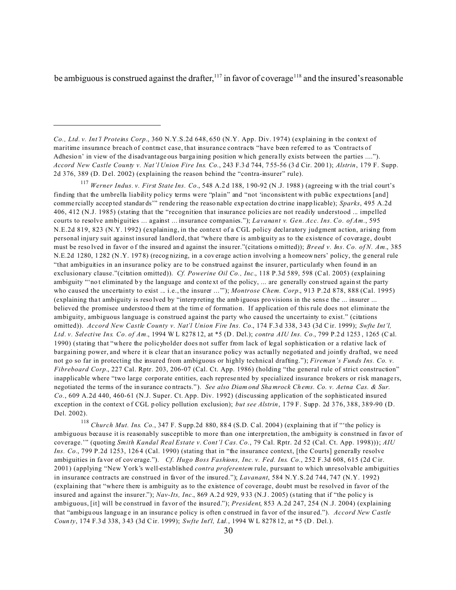be ambiguous is construed against the drafter,  $117$  in favor of coverage  $118$  and the insured's reasonable

<sup>117</sup> *Werner Indus. v. First State Ins. Co.*, 548 A.2 d 188, 1 90-92 (N .J. 1988 ) (agreeing w ith the trial court's finding that the umbrella liability policy terms were "plain" and "not 'inconsistent with public expectations [and] comme rcially accep ted standar ds'" rende ring the reaso nable exp ectation do ctrine inapp licable); *Sparks*, 495 A.2d 406, 412 (N.J. 1985) (stating that the "recognition that insurance policies are not readily understood ... impelled courts to resolve ambiguities ... against ... insurance companies."); *Lavanant v. Gen. Acc. Ins. Co. of Am.*, 595 N.E.2d 819, 823 (N.Y. 1992) (explaining, in the context of a CGL policy declaratory judgment action, arising from personal injury suit against insured landlord, that "where there is ambiguity as to the existence of coverage, doubt must be reso lved in favor of the insured and against the insurer."(citations o mitted)); *Breed v. Ins. Co. of N. Am.*, 385 N.E.2d 1280, 1282 (N.Y. 1978) (recognizing, in a coverage action involving a homeowners' policy, the general rule "that ambiguities in an insurance policy are to be construed against the insurer, particularly when found in an exclusionary clause."(citation omitted)). *Cf. Powerine Oil Co., Inc.*, 118 P.3d 589, 598 (Cal. 2005) (explaining ambiguity "'not eliminated by the language and context of the policy, ... are generally construed against the party who caused the uncertainty to exist ... i.e., the insurer ...""); *Montrose Chem. Corp.*, 913 P.2d 878, 888 (Cal. 1995) (explaining tha t ambiguity is reso lved by "interp reting the amb iguous pro visions in the sens e the ... insurer ... believed the promisee understoo d them at the time of formatio n. If application of this rule does not eliminate the ambiguity, ambiguous language is construed against the party who caused the uncertainty to exist." (citations omitted)). *Accord New Castle County v. Nat'l Union Fire Ins. Co.*, 174 F.3 d 338, 3 43 (3d C ir. 1999); *Swfte Int'l, Ltd. v. Selective Ins. Co. of Am.*, 1994 W L 8278 12, at \*5 (D . Del.); *contra AIU Ins. Co.*, 799 P.2 d 1253 , 1265 (C al. 1990) (stating that "where the policyholder does not suffer from lack of legal sophistication or a relative lack of bargaining power, and where it is clear that an insurance policy was actually negotiated and jointly drafted, we need not go so far in protecting the insured from ambiguous or highly technical drafting."); *Fireman's Funds Ins. Co. v. Fibreboard Corp.*, 227 Cal. Rptr. 203, 206-07 (Cal. Ct. App. 1986) (holding "the general rule of strict construction" inapplicable where "two large corporate entities, each represe nted by specialized insurance brokers or risk manage rs, negotiated the terms of the in surance co ntracts."). *See also Diam ond Sha mrock Ch ems. Co. v. Aetna Cas. & Sur. Co.*, 609 A.2d 440, 460-61 (N.J. Super. Ct. App. Div. 1992) (discussing application of the sophisticated insured exception in the context of CGL policy pollution exclusion); *but see Alstrin*, 179 F. Supp. 2d 376, 388, 389-90 (D. Del. 2002).

<sup>118</sup> *Church Mut. Ins. Co.*, 347 F. S upp.2d 880, 88 4 (S.D. Cal. 2004 ) (explaining th at if "'the policy is ambiguous because it is reasonably susceptible to more than one interpretation, the ambiguity is construed in favor of coverage.'" (quoting *Smith Kandal Real Estate v. Cont'l Cas. Co.*, 79 Cal. Rptr. 2d 52 (Cal. Ct. App. 1998))); *AIU Ins. Co.*, 799 P.2d 1253, 1264 (Cal. 1990) (stating that in "the insurance context, [the Courts] generally resolve ambiguities in fa vor of coverage."). *Cf. Hugo Boss Fashions, Inc. v. Fed. Ins. Co.*, 252 F.3d 608, 615 (2d C ir. 2001) (applying "New York's well-established *contra proferentem* rule, pursuant to which unresolvable ambiguities in insurance contracts are construed in favor of the insured."); *Lavanant*, 584 N.Y.S.2d 744, 747 (N.Y. 1992) (explaining that "where there is ambiguity as to the existence of coverage, doubt must be resolved in favor of the insured and against the insurer.");  $Nav-Its$ ,  $Inc$ , 869 A.2 d 929, 933 (N.J. 2005) (stating that if "the policy is ambiguous, [it] will be construed in favor of the insured."); *President*, 853 A.2d 247, 254 (N .J. 2004) (explaining that "ambigu ous languag e in an insuranc e policy is often c onstrued in fa vor of the insur ed."). *Accord New Castle Coun ty*, 174 F.3 d 338, 3 43 (3d C ir. 1999); *Swfte Int'l, Ltd.*, 1994 W L 8278 12, at \*5 (D . Del.).

*Co., Ltd. v. Int'l Proteins Corp.*, 360 N.Y.S.2d 648, 650 (N.Y. App. Div. 1974) (explaining in the context of maritime insurance breach of contract case, that insurance contracts "have been referred to as 'Contracts of Adhesion' in view of the disadvantage ous barga ining position which generally exists between the parties ...."). *Accord New Castle County v. Nat'l Union Fire Ins. Co.*, 243 F.3 d 744, 7 55-56 (3 d Cir. 200 1); *Alstrin*, 179 F. Supp. 2d 376, 389 (D. D el. 2002) (explaining the reason behind the "contra-insurer" rule).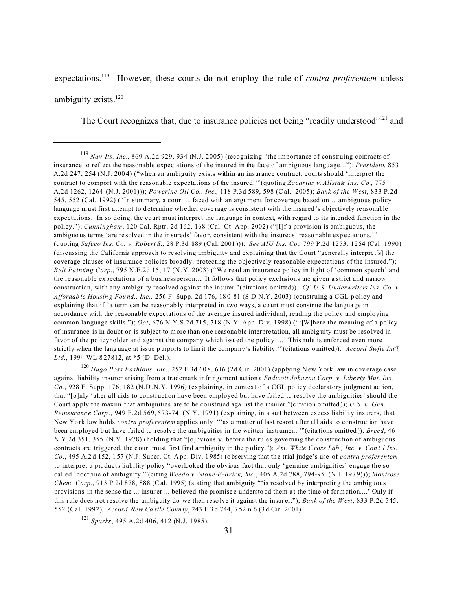expectations.<sup>119</sup> However, these courts do not employ the rule of *contra proferentem* unless ambiguity exists.<sup>120</sup>

The Court recognizes that, due to insurance policies not being "readily understood"<sup>121</sup> and

<sup>120</sup> *Hugo Boss Fashions, Inc.*, 252 F.3d 60 8, 616 (2d Cir. 2001) (applying N ew York law in cov erage case against liability insurer arising from a trademark infringement action); *Endicott John son Corp. v. Libe rty Mut. Ins. Co.*, 928 F. Supp. 176, 182 (N.D .N.Y. 1996) (explaining, in context of a CGL policy declaratory judgment action, that "[o]nly 'after all aids to construction have been employed but have failed to resolve the ambiguities' should the Court ap ply the maxim that ambiguities are to be co nstrued aga inst the insurer."(c itation omitted )); *U.S. v. Gen. Reinsuranc e Corp*., 949 F.2d 569, 573-74(N.Y. 1991) (explaining, in a suit between excess liability insurers, that New Yo rk law holds *contra proferentem* applies only "'as a matter of last resort after all aids to construction have been employed b ut have failed to resolve the am biguities in the written instrument.'"(cita tions omitted )); *Breed*, 46 N.Y.2d 351, 355 (N.Y. 1978) (holding that "[o]bviously, before the rules governing the construction of ambiguous contracts are triggered, the c ourt must first find ambiguity in the p olicy."); *Am. White Cross Lab., Inc. v. Con t'l Ins. Co.*, 495 A.2 d 152, 1 57 (N.J. Super. Ct. A pp. Div. 1 985) (o bserving that th e trial judge's use of *contra proferentem* to interpret a products liability policy "overlooked the obvious fact that only 'genuine ambiguities' engage the socalled 'doctrine of ambiguity.'"(citing *Weedo v. Stone-E-Brick, Inc*., 405 A.2d 788, 794-95 (N.J. 197 9))); *Montrose Chem. Corp.*, 913 P.2d 878, 888 (Cal. 1995) (stating that ambiguity "'is resolved by interpreting the ambiguous provisions in the sense the ... insur er ... believed the promise e understo od them a t the time of formation....' Only if this rule does n ot resolve the ambiguity do we then reso lve it against the insur er."); *Bank of the W est*, 833 P.2d 545, 552 (Cal. 1992). *Accord New Ca stle Coun ty*, 243 F.3 d 744, 7 52 n.6 (3 d Cir. 2001).

<sup>121</sup> *Sparks*, 495 A.2d 406, 412 (N.J. 1985).

<sup>119</sup> *Nav-Its, Inc.*, 869 A.2d 929, 934 (N.J. 2005) (recognizing "the importance of construing contracts of insurance to reflect the reasonable expectations of the insured in the face of ambiguous language..."); *President*, 853 A.2d 247, 254 (N.J. 200 4) ("when an ambiguity exists within an insurance contract, courts should 'interpret the contract to comport with the reasonable expectations of the insured.'"(quoting *Zacarias v. Allstate Ins. Co.*, 775 A.2d 1262, 1264 (N.J. 2001))); *Powerine Oil Co., Inc.*, 118 P.3d 589, 598 (Cal. 2005); *Bank of the W est*, 833 P.2d 545, 552 (Cal. 1992) ("In summary, a court ... faced with an argument for coverage based on ... ambiguous policy language must first attempt to determine whether coverage is consistent with the insured's objectively reasonable expectations. In so doing, the court must interpret the language in context, with regard to its intended function in the policy."); *Cunningham*, 120 Cal. Rptr. 2d 162, 168 (Cal. Ct. App. 2002) ("[I]f a provision is ambiguous, the ambiguo us terms 'are re solved in the in sureds' favo r, consistent with the insureds' reaso nable exp ectations.'" (quoting *Safeco Ins. Co. v. Robert S.*, 28 P.3d 889 (Cal. 2001 ))). *See AIU Ins. Co.*, 799 P.2d 1253, 1264 (Cal. 1990) (discussing the California approach to resolving ambiguity and explaining that the Court "generally interpret[s] the coverage clauses of insurance policies broadly, protecting the objectively reasonable expectations of the insured."); *Belt Painting Corp.*, 795 N.E.2d 15, 17 (N .Y. 2003) ("We read an insurance policy in light of 'common speech' and the reasonable expectations of a businessperson.... It follows that policy exclusions are given a strict and narrow construction, with any ambiguity resolved against the insurer."(citations omitted)). *Cf. U.S. Underwriters Ins. Co. v. Affordab le Housin g Fou nd., Inc.,* 256 F. Supp. 2d 176, 18 0-81 (S.D.N.Y. 2003) (construing a CGL p olicy and explaining that if "a term can be reasonably interpreted in two ways, a court must construe the language in accordance with the reasonable expectations of the average insured individual, reading the policy and employing common language skills."); *Oot*, 676 N.Y.S.2d 715, 718 (N.Y. App. Div. 1998) ("'[W]here the meaning of a policy of insurance is in doubt or is subject to more than on e reasona ble interpre tation, all ambig uity must be reso lved in favor of the policyholder and against the company which issued the policy….' This rule is enforced even more strictly when the lang uage at issue p urports to limit the compa ny's liability.'"(citations omitted)). *Accord Swfte Int'l, Ltd.*, 1994 WL 8 27812, at \*5 (D. Del.).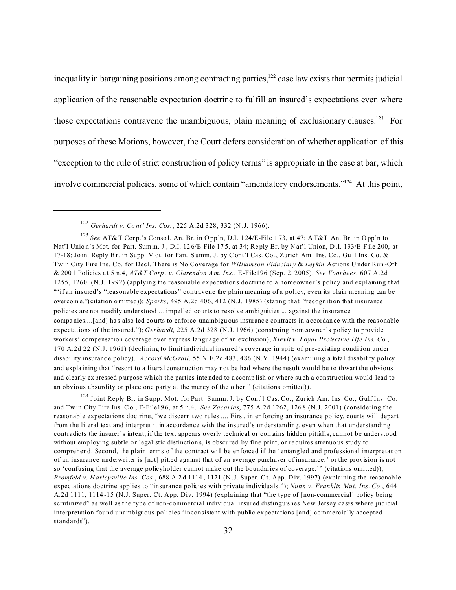inequality in bargaining positions among contracting parties, $122$  case law exists that permits judicial application of the reasonable expectation doctrine to fulfill an insured's expectations even where those expectations contravene the unambiguous, plain meaning of exclusionary clauses.<sup>123</sup> For purposes of these Motions, however, the Court defers consideration of whether application of this "exception to the rule of strict construction of policy terms" is appropriate in the case at bar, which involve commercial policies, some of which contain "amendatory endorsements."<sup>124</sup> At this point,

<sup>124</sup> Joint Reply Br. in Supp. Mot. for Part. Summ. J. by Cont'l Cas. Co., Zurich Am. Ins. Co., Gulf Ins. Co. and Tw in City Fire Ins. Co., E-File19 6, at 5 n.4. *See Zacarias*, 775 A.2d 1262, 126 8 (N.J. 2001) (considering the reasonable expectations doctrine, "we discern two rules .... First, in enforcing an insurance policy, courts will depart from the literal text and interpret it in accordance with the insured's understanding, even when that understanding contradicts the insurer's intent, if the text appears overly technical or contains hidden pitfalls, cannot be understood without employing subtle or legalistic distinctions, is obscured by fine print, or requires strenuo us study to comprehend. Second, the plain terms of the contract will be enforced if the 'entangled and professional interpretation of an insurance underwriter is [not] pitted against that of an average purchaser of insurance,' or the provision is not so 'confusing that the average policyholder cannot make out the boundaries of coverage.'" (citations omitted)); *Bromfeld v. Harleysville Ins. Cos.*, 688 A.2d 1114, 1121 (N.J. Super. Ct. App. Div. 1997) (explaining the reasonable expectations doctrine applies to "insurance policies with private individuals."); *Nunn v. Franklin Mut. Ins. Co.*, 644 A.2d 1111, 1114 -15 (N.J. Super. Ct. App. Div. 1994) (explaining that "the type of [non-commercial] policy being scrutinized" as well as the type of non-commercial individual insured distinguishes New Jersey cases where judicial interpretation found unambiguous policies "inconsistent with public expectations [and] commercially accepted standards").

<sup>122</sup> *Gerhardt v. Co nt' Ins. Cos.*, 225 A.2d 328, 332 (N .J. 1966).

<sup>&</sup>lt;sup>123</sup> See AT& T Corp.'s Conso l. An. Br. in Opp'n, D.I. 124/E-File 173, at 47; A T&T An. Br. in Opp'n to Nat'l Union's Mot. for Part. Summ. J., D.I. 126/E-File 175, at 34; Reply Br. by Nat'l Union, D.I. 133/E-File 200, at 17-18; Jo int Reply Br. in Supp. M ot. for Part. S umm. J. by Cont'l Cas. Co ., Zurich Am. Ins. Co., Gu lf Ins. Co. & Twin City Fire Ins. Co. for Decl. There is No Coverage for *Williamson Fiduciary* & *Leykin* Actions U nder Run -Off & 200 1 Policies a t 5 n.4, *AT&T Corp . v. Clarendon A m. Ins.*, E-File196 (Sep. 2, 2005). *See Voorhees*, 607 A.2d 1255, 1260 (N.J. 1992) (applying the reasonable expectations doctrine to a homeowner's policy and explaining that "'if an insured's "reasonable expectations" contravene the plain meaning of a policy, even its plain meaning can be overcom e."(citation omitted)); *Sparks*, 495 A.2d 406, 412 (N.J. 1985) (stating that "recognition that insurance policies are not readily understood ... impelled courts to resolve ambiguities ... against the insurance compa nies....[and] ha s also led co urts to enforce unambigu ous insuranc e contracts in a ccordan ce with the reas onable expectations of the insured."); *Gerhardt*, 225 A.2d 328 (N.J. 1966) (construing homeowner's policy to provide workers' compensation coverage over express language of an exclusion); *Kievit v. Loyal Protective Life Ins. Co.*, 170 A.2d 22 (N.J. 1961) (declining to limit individual insured's coverage in spite of pre-existing condition under disability insuranc e policy). *Accord McG rail*, 55 N.E.2d 483, 486 (N.Y. 1944) (examining a total disability policy and expla ining that "resort to a literal construction may not be had where the result would be to thwart the obvious and clearly ex pressed p urpose wh ich the parties inte nded to a ccomp lish or where su ch a constru ction would lead to an obvious absurdity or place one party at the mercy of the other." (citations omitted)).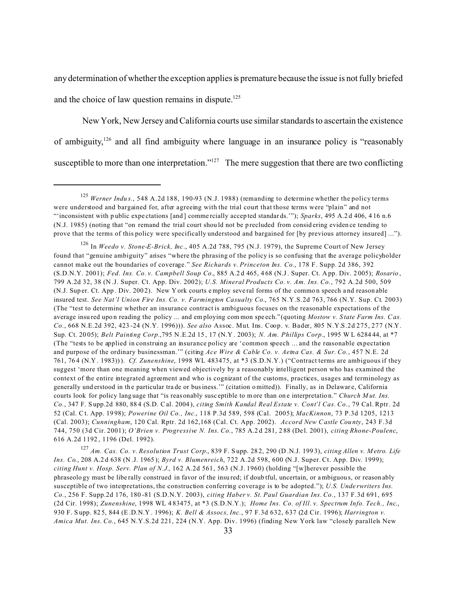any determination of whether the exception applies is premature because the issue is not fully briefed and the choice of law question remains in dispute.<sup>125</sup>

 New York, New Jersey and California courts use similar standards to ascertain the existence of ambiguity,<sup>126</sup> and all find ambiguity where language in an insurance policy is "reasonably susceptible to more than one interpretation."<sup>127</sup> The mere suggestion that there are two conflicting

<sup>127</sup> *Am. Cas. Co. v. Resolution Trust Corp.*, 839 F. S upp. 28 2, 290 (D .N.J. 199 3), *citing Allen v. M etro. Life Ins. Co*., 208 A.2 d 638 (N .J. 1965 ); *Byrd v. Blumenreich*, 722 A.2d 598, 600 (N.J. Super. Ct. App. Div. 1999); *citing Hunt v. Hosp. Serv. Plan of N.J.*, 162 A.2d 561, 563 (N.J. 1960) (holding "[w]herever possible the phraseolo gy must be libe rally construed in favor of the insu red; if doub tful, uncertain, or ambiguou s, or reason ably susceptible of two interpretations, the construction conferring coverage is to be adopted."); *U.S. Unde rwriters Ins. Co.*, 256 F. Supp.2d 176, 180 -81 (S.D.N.Y. 2003), *citing Haber v. St. Paul Guardian Ins. Co.*, 137 F.3d 691, 695 (2d Cir. 1998); *Zunenshine*, 1998 WL 4 83475, at \*3 (S.D.N.Y.); *Home Ins. Co. of Ill. v. Spectrum Info. Tech., Inc*., 930 F. S upp. 82 5, 844 (E .D.N.Y . 1996); *K. Bell & Assocs, Inc.*, 97 F.3d 632, 637 (2d Cir. 1996); *Harrington v. Amica Mut. Ins. Co.*, 645 N.Y.S.2d 221, 224 (N.Y. App. Div. 1996) (finding New York law "closely parallels New

<sup>&</sup>lt;sup>125</sup> Werner Indus., 548 A.2d 188, 190-93 (N.J. 1988) (remanding to determine whether the policy terms were understood and bargained for, after agreeing with the trial court that those terms were "plain" and not "'inconsistent with p ublic expe ctations [and ] comme rcially accep ted standar ds.'"); *Sparks*, 495 A.2 d 406, 4 16 n.6 (N.J. 1985) (noting that "on remand the trial court shou ld not be p recluded from consid ering eviden ce tending to prove that the terms of this policy were specifically understood and bargained for [by previous attorney insured] ...").

<sup>126</sup> In *Weedo v. Stone-E-Brick, Inc*., 405 A.2d 788, 795 (N.J. 1979), the Supreme Court of New Jersey found that "genuine ambiguity" arises "where the phrasing of the policy is so confusing that the average policyholder cannot make out the boundaries of coverage." *See Richards v. Princeton Ins. Co.*, 178 F. Supp. 2d 386, 392 (S.D.N.Y. 2001); *Fed. Ins. Co. v. Campbell Soup Co.*, 885 A.2 d 465, 4 68 (N.J. Super. Ct. A pp. Div. 2 005); *Rosario* , 799 A.2d 32, 38 (N .J. Super. Ct. App. Div. 2002); *U.S. Mineral Products Co. v. Am. Ins. Co.*, 792 A.2d 500, 509 (N.J. Sup er. Ct. App . Div. 200 2). New Y ork courts employ seve ral forms of the commo n speech a nd reason able insured test. *See Nat'l Union Fire Ins. Co. v. Farmington Casualty Co.*, 765 N.Y.S.2d 763, 766 (N.Y. Sup. Ct. 2003) (The "test to determine whether an insurance contract is ambiguous focuses on the reasonable expectations of the average insu red upo n reading the policy ... and em ploying com mon spe ech."(quoting *Mostow v. S tate Farm Ins. Cas. Co.*, 668 N.E.2d 392, 423 -24 (N.Y. 1996))). *See also* Assoc. Mut. Ins. Coop. v. Bader, 805 N.Y.S.2d 275, 277 (N.Y. Sup. Ct. 20 05); *Belt Painting Corp.*,795 N .E.2d 15 , 17 (N.Y . 2003); *N. Am. Phillips Corp.*, 1995 W L 6284 44, at \*7 (The "tests to be applied in construing an insurance policy are 'common speech ... and the reasonable expectation and purpose of the ordinary businessman.'" (citing *Ace Wire & Cable Co. v. Aetna Cas. & Sur. Co.*, 457 N.E. 2d 761, 76 4 (N.Y . 1983))). *Cf. Zunenshine*, 1998 WL 483475, at \*3 (S.D.N.Y.) ("Contract terms are ambiguous if they suggest 'more than one meaning when viewed objectively by a reasonably intelligent person who has examined the context of the entire integrated agreement and who is cognizant of the customs, practices, usages and terminology as generally und erstood in the particular trade or business." (citation omitted)). Finally, as in Delaware, California courts look for policy lang uage that "is reas onably susc eptible to more than on e interpretatio n." *Church M ut. Ins. Co.*, 347 F. S upp.2d 880, 88 4 (S.D. Cal. 2004 ), *citing Smith Kandal Real Estate v. Cont'l Cas. Co*., 79 Cal. Rptr. 2d 52 (Cal. Ct. App. 19 98); *Powerine Oil Co., Inc.*, 118 P.3d 589, 598 (Cal. 2005); *MacKinnon*, 73 P.3d 1205, 1213 (Cal. 2003); *Cunningham*, 120 Cal. Rptr. 2d 162,168 (Cal. Ct. App. 2002). *Accord New Castle Cou nty*, 243 F.3d 744, 750 (3d Cir. 2001); *O'Brien v. Progressive N. Ins. Co.*, 785 A.2 d 281, 2 88 (De l. 2001), *citing Rhone-Poulenc*, 616 A.2d 1192 , 1196 (Del. 1992).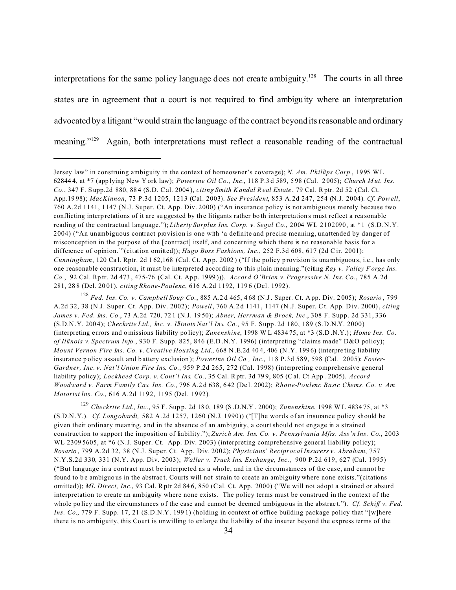interpretations for the same policy language does not create ambiguity.<sup>128</sup> The courts in all three states are in agreement that a court is not required to find ambiguity where an interpretation advocated by a litigant "would strain the language of the contract beyond its reasonable and ordinary meaning."<sup>129</sup> Again, both interpretations must reflect a reasonable reading of the contractual

<sup>129</sup> *Checkrite Ltd., Inc.*, 95 F. Sup p. 2d 18 0, 189 (S .D.N.Y . 2000); *Zunenshine*, 1998 W L 4834 75, at \*3 (S.D.N .Y.). *Cf. Long obardi,* 582 A.2d 1257, 1260 (N.J. 1990)) ("[T]he words of an insurance policy should be given their ordinary meaning, and in the absence of an ambiguity, a court should not engage in a strained construction to support the imposition of liability."); *Zurich Am. Ins. Co. v. Pennsylvania Mfrs. Ass'n Ins. Co.*, 2003 WL 2309 5605, at  $*6$  (N.J. Super. Ct. App. Div. 2003) (interpreting comprehensive general liability policy); *Rosario* , 799 A.2d 32, 38 (N.J. Super. Ct. App. Div. 2002); *Physicians' Reciprocal Insurers v. Abraham*, 757 N.Y.S.2d 330, 331 (N.Y. App. Div. 2003); *Waller v. Truck Ins. Exchange, Inc.*, 900 P.2d 619, 627 (Cal. 1995) ("But language in a contract must be interpreted as a whole, and in the circumstances of the case, and cannot be found to be ambiguous in the abstract. Courts will not strain to create an ambiguity where none exists."(citations omitted)); *ML Direct, Inc.*, 93 Cal. Rptr 2d 84 6, 850 (C al. Ct. App. 2000) ("We will not adopt a strained or absurd interpretation to create an ambiguity where none exists. The policy terms must be construed in the context of the whole po licy and the circ umstances of the case and cannot be deemed ambiguous in the abstract."). *Cf. Schiff v. Fed. Ins. Co.*, 779 F. Supp. 17, 21 (S.D.N.Y. 199 1) (holding in context of office building package policy that "[w]here there is no ambiguity, this Court is unwilling to enlarge the liability of the insurer beyond the express terms of the

Jersey law" in construing ambiguity in the context of homeowner's coverage); *N. Am. Phillips Corp.*, 1995 WL 62844 4, at \*7 (app lying New Y ork law); *Powerine Oil Co., Inc.*, 118 P.3 d 589, 5 98 (Cal. 2 005); *Church M ut. Ins. Co.*, 347 F. S upp.2d 880, 88 4 (S.D. Cal. 2004 ), *citing Smith Kandal R eal Estate* , 79 Cal. Rptr. 2d 52 (Cal. Ct. App.19 98); *MacKinnon*, 73 P.3d 1205, 1213 (Cal. 2003). *See President*, 853 A.2d 247, 254 (N.J. 2004). *Cf. Powell*, 760 A.2d 1141, 1147 (N.J. Super. Ct. App. Div. 2000) ("An insurance policy is not ambiguous merely because two conflicting interp retations of it are su ggested by th e litigants rather bo th interpretation s must reflect a rea sonable reading of the contractual language."); *Liberty Surplus Ins. Corp. v. Segal Co.*, 2004 WL 2102090, at \*1 (S.D.N.Y. 2004) ("An unambiguous contract provision is one with 'a definite and precise meaning, unattended by danger of misconception in the purpose of the [contract] itself, and concerning which there is no reasonable basis for a difference of opinion."'(citation omitted)); *Hugo Boss Fashions, Inc.*, 252 F.3d 608, 617 (2d Cir. 2001); *Cunningham*, 120 Cal. Rptr. 2d 162,168 (Cal. Ct. App. 2002) ("If the policy provision is unambiguous, i.e., has only one reasonable construction, it must be interpreted according to this plain meaning."(citing *Ray v. Valley F orge Ins. Co.*, 92 Cal. Rp tr. 2d 473 , 475-76 (Cal. Ct. Ap p. 1999 ))). *Accord O'Brien v. Progressive N. Ins. Co.*, 785 A.2d 281, 28 8 (Del. 20 01), *citing Rhone-Poulenc*, 616 A.2d 1192, 119 6 (Del. 1992).

<sup>128</sup> *Fed. Ins. Co. v. Campbell Soup Co.*, 885 A.2 d 465, 4 68 (N.J. Super. Ct. A pp. Div. 2 005); *Rosario* , 799 A.2d 32, 38 (N.J. Super. Ct. App. Div. 2002); *Powell*, 760 A.2d 1141, 1147 (N.J. Super. Ct. App. Div. 2000), *citing James v. Fed. Ins. Co.*, 73 A.2d 720, 72 1 (N.J. 19 50); *Abner, Herrman & Brock, Inc.*, 308 F. Supp. 2d 331, 336 (S.D.N .Y. 200 4); *Checkrite Ltd., Inc. v. Illinois Nat'l Ins. Co.*, 95 F. Supp. 2d 180, 189 (S.D.N.Y. 2000) (interpreting e rrors and o missions liability po licy); *Zunenshine*, 1998 W L 4834 75, at \*3 (S.D .N.Y.); *Home Ins. Co. of Illinois v. Spectrum Info.*, 930 F. Supp. 825, 846 (E.D .N.Y. 1996) (interpreting "claims made" D&O policy); *Mount Vernon Fire Ins. Co. v. Creative Housing Ltd.*, 668 N.E.2d 404, 406 (N.Y. 1996) (interpreting liability insurance p olicy assault and b attery exclusion ); *Powerine Oil Co., Inc.*, 118 P.3d 589, 598 (Cal. 2005); *Foster-Gardner, Inc. v. Nat'l Union Fire Ins. Co.*, 959 P.2d 265, 272 (Cal. 1998) (interpreting comprehensive general liability policy); *Lockheed Corp. v. Cont'l Ins. Co.*, 35 Cal. Rptr. 3d 79 9, 805 (C al. Ct App . 2005). *Accord Woodward v. Farm Family Cas. Ins. Co.*, 796 A.2 d 638, 6 42 (De l. 2002); *Rhone-Poulenc Basic Chems. Co. v. Am. Motorist Ins. Co.*, 616 A.2d 1192, 1195 (Del. 1992).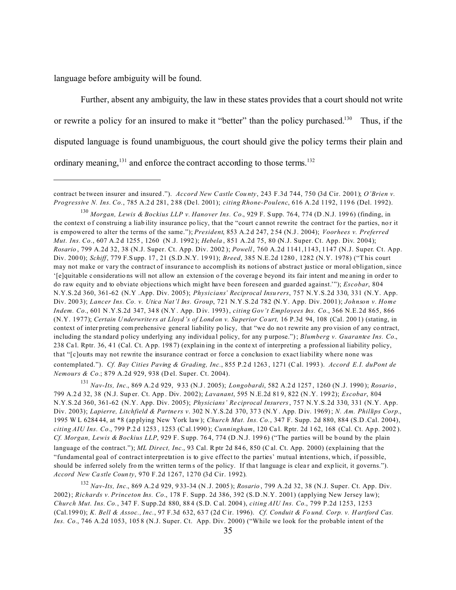language before ambiguity will be found.

Further, absent any ambiguity, the law in these states provides that a court should not write or rewrite a policy for an insured to make it "better" than the policy purchased.<sup>130</sup> Thus, if the disputed language is found unambiguous, the court should give the policy terms their plain and ordinary meaning, $^{131}$  and enforce the contract according to those terms. $^{132}$ 

<sup>131</sup> *Nav-Its, Inc.*, 869 A.2 d 929, 9 33 (N.J. 2005); *Longobardi*, 582 A.2 d 1257 , 1260 (N .J. 1990 ); *Rosario* , 799 A.2 d 32, 38 (N.J. Sup er. Ct. App . Div. 2002); *Lavanant*, 595 N .E.2d 81 9, 822 (N .Y. 199 2); *Escobar*, 804 N.Y.S.2d 360, 361-62 (N.Y. App. Div. 2005); *Physicians' Re ciprocal Insurers*, 757 N.Y.S.2d 330, 331 (N.Y. App. Div. 2003); *Lapierre, Litchfield & Partne rs v*. 302 N .Y.S.2d 370, 37 3 (N.Y . App. D iv. 1969); *N. Am. Phillips Corp.*, 1995 W L 6284 44, at \*8 (ap plying New York law ); *Church Mut. Ins. Co.*, 347 F. Supp. 2d 880, 884 (S.D .Cal. 2004), *citing AIU Ins. Co.*, 799 P.2 d 1253 , 1253 (C al.1990 ); *Cunningham*, 120 Ca l. Rptr. 2d 1 62, 168 (Cal. Ct. Ap p. 2002 ). *Cf. Morgan, Lewis & Bockius LLP*, 929 F. Supp. 764, 774 (D.N.J. 1996) ("The parties will be bound by the plain language of the contract."); *ML Direct, Inc.*, 93 Cal. Rptr 2d 846, 850 (Cal. Ct. App. 2000) (explaining that the "fundamental goal of contract interpretation is to give effect to the parties' mutual intentions, which, if possible, should be inferred solely from the written terms of the policy. If that language is clear and explicit, it governs."). *Accord New Ca stle Coun ty*, 970 F.2d 1267, 1270 (3d Cir. 1992).

<sup>132</sup> *Nav-Its, Inc.*, 869 A.2 d 929, 9 33-34 (N .J. 2005 ); *Rosario* , 799 A.2d 32, 38 (N.J. Super. Ct. App. Div. 2002); *Richards v. Princeton Ins. Co.*, 178 F. Supp. 2d 386, 392 (S.D .N.Y. 2001) (applying New Jersey law); *Church Mut. Ins. Co.*, 347 F. S upp.2d 880, 88 4 (S.D. Cal. 2004 ), *citing AIU Ins. Co.*, 799 P.2d 1253, 1253 (Cal.199 0); *K. Bell & Assoc., Inc.*, 97 F.3d 632, 63 7 (2d Cir. 1996). *Cf. Conduit & Fo und. Corp. v. H artford Cas. Ins. Co.*, 746 A.2d 1053, 105 8 (N.J. Super. Ct. App. Div. 2000) ("While we look for the probable intent of the

contract be tween insurer and insured ."). *Accord New Castle Cou nty*, 243 F.3d 744, 750 (3d Cir. 2001); *O'Brien v. Progressive N. Ins. Co.*, 785 A.2 d 281, 2 88 (De l. 2001); *citing Rhone-Poulenc*, 616 A.2d 1192, 119 6 (Del. 1992).

<sup>130</sup> *Morgan, Lewis & Bockius LLP v. Hanover Ins. Co.*, 929 F. S upp. 76 4, 774 (D .N.J. 199 6) (finding, in the context of construing a liab ility insurance po licy, that the "court cannot rewrite the contract for the parties, nor it is empowered to alter the terms of the same."); *President*, 853 A.2 d 247, 2 54 (N.J. 2004); *Voorhees v. Preferred Mut. Ins. Co.*, 607 A.2 d 1255 , 1260 (N .J. 1992 ); *Hebela* , 851 A.2d 75, 80 (N.J. Super. Ct. App. Div. 2004); *Rosario* , 799 A.2d 32, 38 (N.J. Super. Ct. App. Div. 2002 ); *Powell*, 760 A.2d 1141,1143, 1147 (N.J. Super. Ct. App. Div. 200 0); *Schiff*, 779 F.S upp. 17 , 21 (S.D .N.Y. 19 91); *Breed*, 385 N.E.2d 1280 , 1282 (N.Y. 1978) ("T his court may not make or vary the contract of insurance to accomplish its notions of abstract justice or moral obligation, since '[e]quitable c onsideratio ns will not allow an extension o f the coverag e beyond its fair intent and me aning in ord er to do raw equity and to obviate objections which might have been foreseen and guarded against.'"); *Escobar*, 804 N.Y.S.2d 360, 361-62 (N.Y .App. Div. 2005); *Physicians' Reciprocal Insu rers*, 757 N.Y.S.2d 330, 331 (N.Y. App. Div. 200 3); *Lancer Ins. Co. v. Utica Nat'l Ins. Group*, 721 N.Y.S.2d 782 (N.Y. App. Div. 2001); *Johnson v. Home Indem. Co.*, 601 N.Y.S.2d 347, 348 (N.Y. App. Div. 1993), *citing Gov't Employees Ins. Co.*, 366 N.E.2d 865, 866 (N.Y. 1977); *Certain U nderwrite rs at Lloyd 's of Lond on v. Su perior Co urt,* 16 P.3d 94, 108 (Cal. 200 1) (stating, in context of inter preting com prehensive general liability po licy, that "we do no t rewrite any pro vision of any co ntract, including the sta ndard p olicy underlying any individua l policy, for any p urpose."); *Blumberg v. Guarantee Ins. Co.*, 238 Ca l. Rptr. 36, 4 1 (Cal. Ct. A pp. 198 7) (explain ing in the conte xt of interpreting a profession al liability policy, that "[c]ourts may not rewrite the insurance contract or force a conclusion to exact liability where none was contemplated."). *Cf. Bay Cities Paving & Grading, Inc.*, 855 P.2 d 1263 , 1271 (C al. 1993 ). *Accord E.I. duPont de Nemours & Co.*; 879 A.2d 929, 938 (D el. Super. Ct. 2004).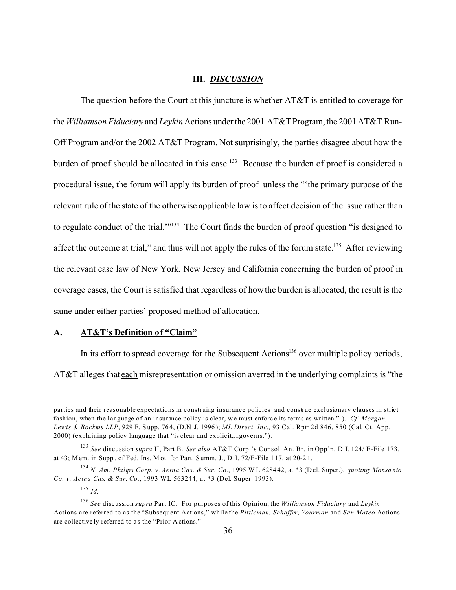### **III.** *DISCUSSION*

The question before the Court at this juncture is whether AT&T is entitled to coverage for the *Williamson Fiduciary* and *Leykin* Actions under the 2001 AT&T Program, the 2001 AT&T Run-Off Program and/or the 2002 AT&T Program. Not surprisingly, the parties disagree about how the burden of proof should be allocated in this case.<sup>133</sup> Because the burden of proof is considered a procedural issue, the forum will apply its burden of proof unless the "'the primary purpose of the relevant rule of the state of the otherwise applicable law is to affect decision of the issue rather than to regulate conduct of the trial.'"<sup>134</sup> The Court finds the burden of proof question "is designed to affect the outcome at trial," and thus will not apply the rules of the forum state.<sup>135</sup> After reviewing the relevant case law of New York, New Jersey and California concerning the burden of proof in coverage cases, the Court is satisfied that regardless of how the burden is allocated, the result is the same under either parties' proposed method of allocation.

### **A. AT&T's Definition of "Claim"**

In its effort to spread coverage for the Subsequent Actions<sup>136</sup> over multiple policy periods, AT&T alleges that each misrepresentation or omission averred in the underlying complaints is "the

parties and their reasonable expectations in construing insurance policies and construe exclusionary clauses in strict fashion, when the language of an insurance policy is clear, we must enforce its terms as written." ). *Cf. Morgan*, *Lewis & Bockius LLP*, 929 F. S upp. 76 4, (D.N .J. 1996 ); *ML Direct, Inc.*, 93 Cal. Rptr 2d 846, 850 (Cal. Ct. App. 2000) (explaining policy language that "is clear and explicit,...governs.").

<sup>133</sup> *See* discussion *supra* II, Part B. *See also* AT&T Corp.'s Consol. An. Br. in Opp'n, D.I. 124/ E-File 173, at 43; M em. in Supp . of Fed. Ins. M ot. for Part. S umm. J., D .I. 72/E-File 1 17, at 20-2 1.

<sup>134</sup> *N. Am. Philips Corp. v. Aetna Cas. & Sur. Co.*, 1995 W L 6284 42, at \*3 (D el. Super.), *quoting Monsa nto Co. v. Aetna Cas. & Sur. Co.*, 1993 WL 563244, at \*3 (Del. Super. 1993).

<sup>135</sup> *Id.*

<sup>136</sup> *See* discussion *supra* Part IC. For purposes of this Opinion, the *Williamson Fiduciary* and *Leykin* Actions are referred to as the "Subsequent Actions," while the *Pittleman, Schaffer*, *Yourman* and *San Mateo* Actions are collective ly referred to as the "Prior A ctions."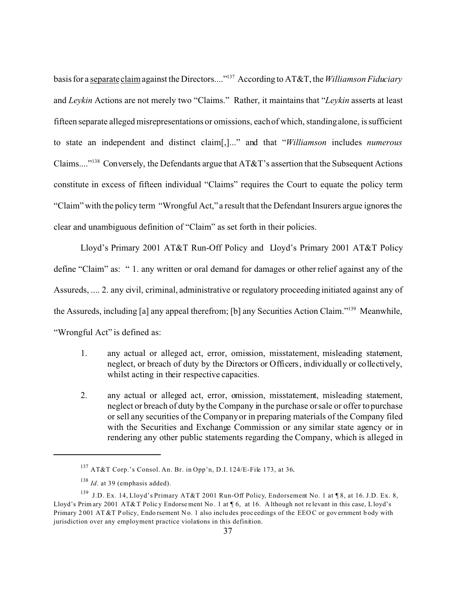basis for a <u>separate claim</u> against the Directors...."<sup>137</sup> According to AT&T, the *Williamson Fiduciary* and *Leykin* Actions are not merely two "Claims." Rather, it maintains that "*Leykin* asserts at least fifteen separate alleged misrepresentations or omissions, each of which, standing alone, is sufficient to state an independent and distinct claim[,]..." and that "*Williamson* includes *numerous* Claims...."<sup>138</sup> Conversely, the Defendants argue that  $AT&T$ 's assertion that the Subsequent Actions constitute in excess of fifteen individual "Claims" requires the Court to equate the policy term "Claim" with the policy term "Wrongful Act," a result that the Defendant Insurers argue ignores the clear and unambiguous definition of "Claim" as set forth in their policies.

Lloyd's Primary 2001 AT&T Run-Off Policy and Lloyd's Primary 2001 AT&T Policy define "Claim" as: " 1. any written or oral demand for damages or other relief against any of the Assureds, .... 2. any civil, criminal, administrative or regulatory proceeding initiated against any of the Assureds, including [a] any appeal therefrom; [b] any Securities Action Claim."<sup>139</sup> Meanwhile, "Wrongful Act" is defined as:

- 1. any actual or alleged act, error, omission, misstatement, misleading statement, neglect, or breach of duty by the Directors or Officers, individually or collectively, whilst acting in their respective capacities.
- 2. any actual or alleged act, error, omission, misstatement, misleading statement, neglect or breach of duty by the Company in the purchase or sale or offer to purchase or sell any securities of the Company or in preparing materials of the Company filed with the Securities and Exchange Commission or any similar state agency or in rendering any other public statements regarding the Company, which is alleged in

<sup>137</sup> AT&T Corp.'s Consol. An. Br. in Opp'n, D.I. 124/E-File 173, at 36.

<sup>138</sup> *Id*. at 39 (emphasis added).

<sup>139</sup> J.D. Ex. 14, Lloyd's Primary AT&T 2001 Run-Off Policy, Endorsement No. 1 at ¶ 8, at 16. J.D. Ex. 8, Lloyd's Prim ary 2001 AT&T Polic y Endorse ment No. 1 at ¶ 6, at 16. A lthough not relevant in this case, Lloyd's Primary 2001 AT &T P olicy, Endo rsement No. 1 also includes proceedings of the EEOC or government body with jurisdiction over any employment practice violations in this definition.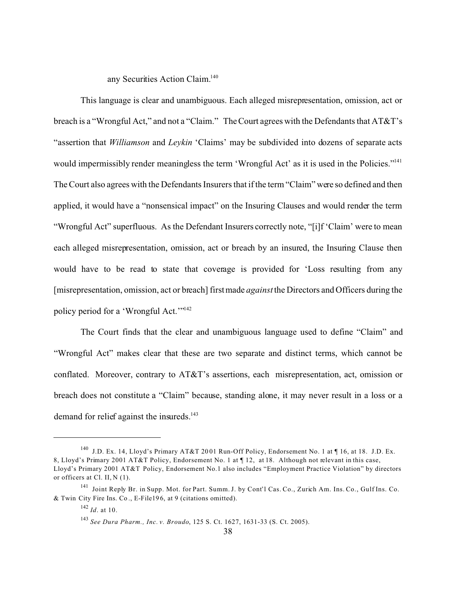any Securities Action Claim.<sup>140</sup>

This language is clear and unambiguous. Each alleged misrepresentation, omission, act or breach is a "Wrongful Act," and not a "Claim." The Court agrees with the Defendants that AT&T's "assertion that *Williamson* and *Leykin* 'Claims' may be subdivided into dozens of separate acts would impermissibly render meaningless the term 'Wrongful Act' as it is used in the Policies."<sup>141</sup> The Court also agrees with the Defendants Insurers that if the term "Claim" were so defined and then applied, it would have a "nonsensical impact" on the Insuring Clauses and would render the term "Wrongful Act" superfluous. As the Defendant Insurers correctly note, "[i]f 'Claim' were to mean each alleged misrepresentation, omission, act or breach by an insured, the Insuring Clause then would have to be read to state that coverage is provided for 'Loss resulting from any [misrepresentation, omission, act or breach] first made *against* the Directors and Officers during the policy period for a 'Wrongful Act.'"<sup>142</sup>

The Court finds that the clear and unambiguous language used to define "Claim" and "Wrongful Act" makes clear that these are two separate and distinct terms, which cannot be conflated. Moreover, contrary to AT&T's assertions, each misrepresentation, act, omission or breach does not constitute a "Claim" because, standing alone, it may never result in a loss or a demand for relief against the insureds.<sup>143</sup>

<sup>140</sup> J.D. Ex. 14, Lloyd's Primary AT&T 20 01 Run-Off Policy, Endorsement No. 1 at ¶ 16, at 18. J.D. Ex. 8, Lloyd's Primary 2001 AT&T Policy, Endorsement No. 1 at ¶ 12, at 18. Although not relevant in this case, Lloyd's Primary 2001 AT&T Policy, Endorsement No.1 also includes "Employment Practice Violation" by directors or officers at Cl. II, N (1).

<sup>141</sup> Joint Reply Br. in Supp. Mot. for Part. Summ. J. by Cont'l Cas. Co., Zurich Am. Ins. Co., Gulf Ins. Co. & Twin City Fire Ins. Co ., E-File19 6, at 9 (citations omitted).

<sup>142</sup> *Id*. at 10.

<sup>143</sup> *See Dura Pharm., Inc. v. Broudo*, 125 S. Ct. 1627, 1631-33 (S. Ct. 2005).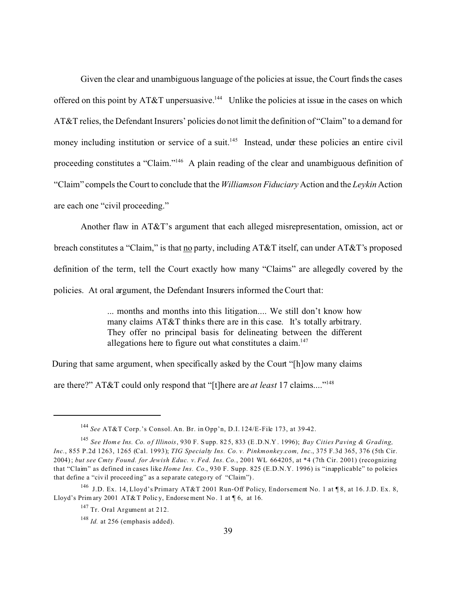Given the clear and unambiguous language of the policies at issue, the Court finds the cases offered on this point by  $AT&T$  unpersuasive.<sup>144</sup> Unlike the policies at issue in the cases on which AT&T relies, the Defendant Insurers' policies do not limit the definition of "Claim" to a demand for money including institution or service of a suit.<sup>145</sup> Instead, under these policies an entire civil proceeding constitutes a "Claim."<sup>146</sup> A plain reading of the clear and unambiguous definition of "Claim" compels the Court to conclude that the *Williamson Fiduciary* Action and the *Leykin* Action are each one "civil proceeding."

Another flaw in AT&T's argument that each alleged misrepresentation, omission, act or breach constitutes a "Claim," is that no party, including AT&T itself, can under AT&T's proposed definition of the term, tell the Court exactly how many "Claims" are allegedly covered by the policies. At oral argument, the Defendant Insurers informed the Court that:

> ... months and months into this litigation.... We still don't know how many claims AT&T thinks there are in this case. It's totally arbitrary. They offer no principal basis for delineating between the different allegations here to figure out what constitutes a claim. $147$

During that same argument, when specifically asked by the Court "[h]ow many claims are there?" AT&T could only respond that "[t]here are *at least* 17 claims...."148

<sup>144</sup> *See* AT&T Corp.'s Consol. An. Br. in Opp'n, D.I. 124/E-File 173, at 39-42.

<sup>145</sup> *See Hom e Ins. Co. o f Illinois*, 930 F. S upp. 82 5, 833 (E .D.N.Y . 1996); *Bay Cities Paving & Grading, Inc.*, 855 P.2d 1263, 1265 (Cal. 1993); *TIG Specialty Ins. Co. v. Pinkmonkey.com, Inc*., 375 F.3d 365, 376 (5th Cir. 2004); *but see Cmty Found. for Jewish Educ. v. Fed. Ins. Co.*, 2001 WL 664205, at \*4 (7th Cir. 2001) (recognizing that "Claim" as defined in cases like *Home Ins. Co.*, 930 F. Supp. 825 (E.D.N.Y. 1996) is "inapplicable" to policies that define a "civ il proceed ing" as a sep arate catego ry of "Claim").

<sup>146</sup> J.D. Ex. 14, Lloyd's Primary AT&T 2001 Run-Off Policy, Endorsement No. 1 at ¶ 8, at 16. J.D. Ex. 8, Lloyd's Prim ary 2001 AT&T Polic y, Endorse ment No. 1 at 16, at 16.

<sup>147</sup> Tr. Oral Argument at 212.

<sup>148</sup> *Id.* at 256 (emphasis added).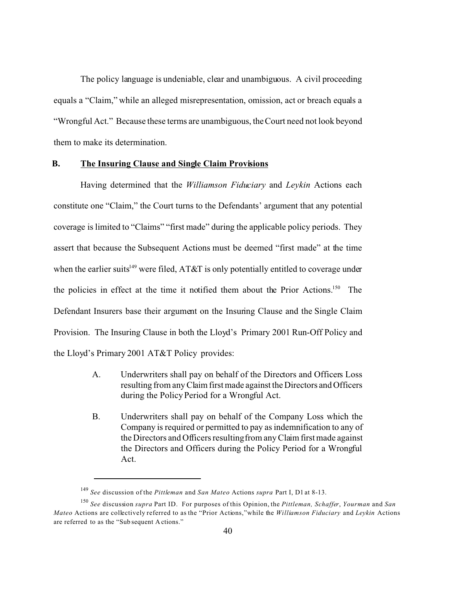The policy language is undeniable, clear and unambiguous. A civil proceeding equals a "Claim," while an alleged misrepresentation, omission, act or breach equals a "Wrongful Act." Because these terms are unambiguous, the Court need not look beyond them to make its determination.

### **B. The Insuring Clause and Single Claim Provisions**

Having determined that the *Williamson Fiduciary* and *Leykin* Actions each constitute one "Claim," the Court turns to the Defendants' argument that any potential coverage is limited to "Claims" "first made" during the applicable policy periods. They assert that because the Subsequent Actions must be deemed "first made" at the time when the earlier suits<sup>149</sup> were filed, AT&T is only potentially entitled to coverage under the policies in effect at the time it notified them about the Prior Actions.<sup>150</sup> The Defendant Insurers base their argument on the Insuring Clause and the Single Claim Provision. The Insuring Clause in both the Lloyd's Primary 2001 Run-Off Policy and the Lloyd's Primary 2001 AT&T Policy provides:

- A. Underwriters shall pay on behalf of the Directors and Officers Loss resulting from any Claim first made against the Directors and Officers during the Policy Period for a Wrongful Act.
- B. Underwriters shall pay on behalf of the Company Loss which the Company is required or permitted to pay as indemnification to any of the Directors and Officers resulting from any Claim firstmade against the Directors and Officers during the Policy Period for a Wrongful Act.

<sup>149</sup> *See* discussion of the *Pittleman* and *San Mateo* Actions *supra* Part I, D1 at 8-13.

<sup>150</sup> *See* discussion *supra* Part ID. For purposes of this Opinion, the *Pittleman, Schaffer*, *Yourman* and *San Mateo* Actions are collectively referred to as the "Prior Actions,"while the *Williamson Fiduciary* and *Leykin* Actions are referred to as the "Sub sequent A ctions."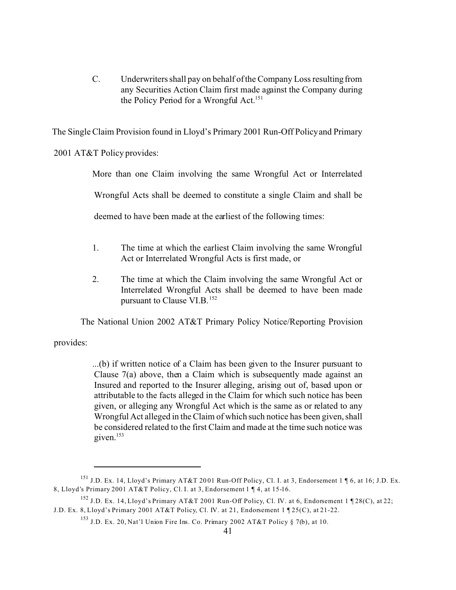C. Underwriters shall pay on behalf of the Company Loss resulting from any Securities Action Claim first made against the Company during the Policy Period for a Wrongful Act.<sup>151</sup>

The Single Claim Provision found in Lloyd's Primary 2001 Run-Off Policy and Primary

2001 AT&T Policy provides:

More than one Claim involving the same Wrongful Act or Interrelated Wrongful Acts shall be deemed to constitute a single Claim and shall be deemed to have been made at the earliest of the following times:

- 1. The time at which the earliest Claim involving the same Wrongful Act or Interrelated Wrongful Acts is first made, or
- 2. The time at which the Claim involving the same Wrongful Act or Interrelated Wrongful Acts shall be deemed to have been made pursuant to Clause VI.B. $152$

The National Union 2002 AT&T Primary Policy Notice/Reporting Provision

provides:

...(b) if written notice of a Claim has been given to the Insurer pursuant to Clause 7(a) above, then a Claim which is subsequently made against an Insured and reported to the Insurer alleging, arising out of, based upon or attributable to the facts alleged in the Claim for which such notice has been given, or alleging any Wrongful Act which is the same as or related to any Wrongful Act alleged in the Claim of which such notice has been given, shall be considered related to the first Claim and made at the time such notice was given.<sup>153</sup>

<sup>151</sup> J.D. Ex. 14, Lloyd's Primary AT&T 20 01 Run-Off Policy, Cl. I. at 3, Endorsement 1 ¶ 6, at 16; J.D. Ex. 8, Lloyd's Primary 2001 AT&T Policy, Cl. I. at 3, Endorsement 1 ¶ 4, at 15-16.

<sup>&</sup>lt;sup>152</sup> J.D. Ex. 14, Lloyd's Primary AT&T 2001 Run-Off Policy, Cl. IV. at 6, Endorsement 1 ¶ 28(C), at 22; J.D. Ex. 8, Lloyd's Primary 2001 AT&T Policy, Cl. IV. at 21, Endorsement 1 ¶ 25(C), at 21-22.

<sup>&</sup>lt;sup>153</sup> J.D. Ex. 20, Nat'l Union Fire Ins. Co. Primary 2002 AT&T Policy § 7(b), at 10.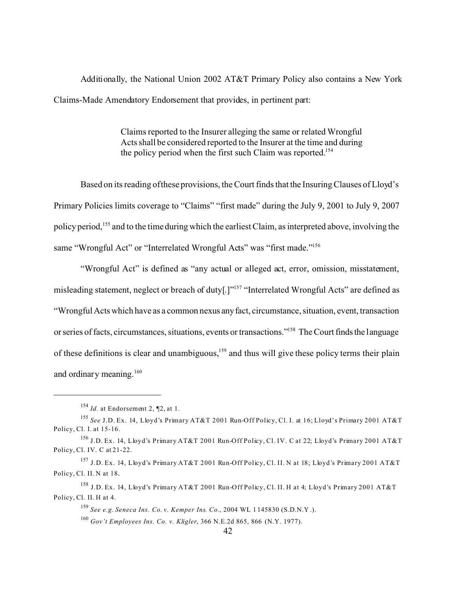Additionally, the National Union 2002 AT&T Primary Policy also contains a New York Claims-Made Amendatory Endorsement that provides, in pertinent part:

> Claims reported to the Insurer alleging the same or related Wrongful Acts shall be considered reported to the Insurer at the time and during the policy period when the first such Claim was reported.<sup>154</sup>

Based on its reading of these provisions, the Court finds that the Insuring Clauses of Lloyd's Primary Policies limits coverage to "Claims" "first made" during the July 9, 2001 to July 9, 2007 policy period,<sup>155</sup> and to the time during which the earliest Claim, as interpreted above, involving the same "Wrongful Act" or "Interrelated Wrongful Acts" was "first made."<sup>156</sup>

"Wrongful Act" is defined as "any actual or alleged act, error, omission, misstatement, misleading statement, neglect or breach of duty<sup>[1]"157</sup> "Interrelated Wrongful Acts" are defined as "Wrongful Acts which have as a common nexus anyfact, circumstance, situation, event, transaction or series of facts, circumstances, situations, events or transactions."<sup>158</sup> The Court finds the language of these definitions is clear and unambiguous,<sup>159</sup> and thus will give these policy terms their plain and ordinary meaning.<sup>160</sup>

<sup>154</sup> *Id.* at Endorsement 2, ¶2, at 1.

<sup>155</sup> *See* J.D. Ex. 14, Lloyd's Primary AT&T 2001 Run-Off Policy, Cl. I. at 16; Lloyd's Primary 2001 AT&T Policy, Cl. I. at 15-16.

<sup>156</sup> J.D. Ex. 14, Lloyd's Primary AT&T 2001 Run-Off Policy, Cl. IV. C at 22; Lloyd's Primary 2001 AT&T Policy, Cl. IV. C at 21-22.

<sup>157</sup> J.D. Ex. 14, Lloyd's Primary AT&T 2001 Run-Off Policy, Cl. II. N at 18; Lloyd's Primary 2001 AT&T Policy, Cl. II. N at 18.

<sup>158</sup> J.D. Ex. 14, Lloyd's Primary AT&T 2001 Run-Off Policy, Cl. II. H at 4; Lloyd's Primary 2001 AT&T Policy, Cl. II. H at 4.

<sup>159</sup> *See e.g. Seneca Ins. Co. v. Kemper Ins. Co.*, 2004 WL 1 145830 (S.D.N.Y .).

<sup>160</sup> *Gov't Employees Ins. Co. v. Kligler*, 366 N.E.2d 865, 866 (N.Y. 1977).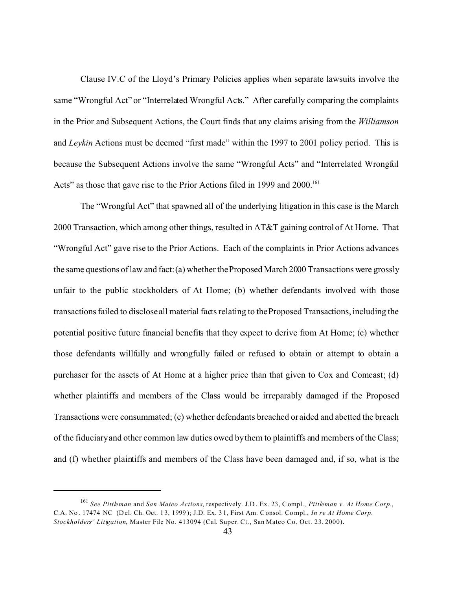Clause IV.C of the Lloyd's Primary Policies applies when separate lawsuits involve the same "Wrongful Act" or "Interrelated Wrongful Acts." After carefully comparing the complaints in the Prior and Subsequent Actions, the Court finds that any claims arising from the *Williamson* and *Leykin* Actions must be deemed "first made" within the 1997 to 2001 policy period. This is because the Subsequent Actions involve the same "Wrongful Acts" and "Interrelated Wrongful Acts" as those that gave rise to the Prior Actions filed in 1999 and 2000.<sup>161</sup>

The "Wrongful Act" that spawned all of the underlying litigation in this case is the March 2000 Transaction, which among other things, resulted in AT&T gaining control of At Home. That "Wrongful Act" gave rise to the Prior Actions. Each of the complaints in Prior Actions advances the same questions of law and fact: (a) whether the Proposed March 2000 Transactions were grossly unfair to the public stockholders of At Home; (b) whether defendants involved with those transactions failed to disclose all material facts relating to the Proposed Transactions, including the potential positive future financial benefits that they expect to derive from At Home; (c) whether those defendants willfully and wrongfully failed or refused to obtain or attempt to obtain a purchaser for the assets of At Home at a higher price than that given to Cox and Comcast; (d) whether plaintiffs and members of the Class would be irreparably damaged if the Proposed Transactions were consummated; (e) whether defendants breached or aided and abetted the breach of the fiduciary and other common law duties owed by them to plaintiffs and members of the Class; and (f) whether plaintiffs and members of the Class have been damaged and, if so, what is the

<sup>161</sup> *See Pittleman* and *San Mateo Actions*, respectively. J.D . Ex. 23, Compl., *Pittleman v. At Home Corp.*, C.A. No . 17474 NC (D el. Ch. Oct. 1 3, 1999 ); J.D. Ex. 3 1, First Am. Consol. Compl., *In re At Home Corp. Stockholders' Litigation*, Master File No. 413094 (Cal. Super. Ct., San Mateo Co. Oct. 23, 2000)**.**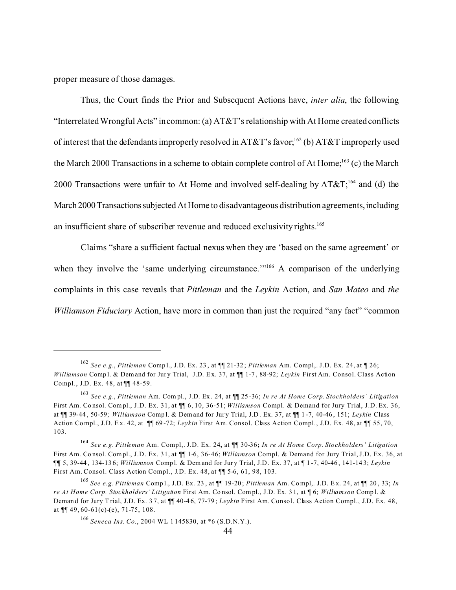proper measure of those damages.

Thus, the Court finds the Prior and Subsequent Actions have, *inter alia*, the following "Interrelated Wrongful Acts" in common: (a) AT&T's relationship with At Home created conflicts of interest that the defendants improperly resolved in AT&T's favor;<sup>162</sup> (b) AT&T improperly used the March 2000 Transactions in a scheme to obtain complete control of At Home;<sup>163</sup> (c) the March 2000 Transactions were unfair to At Home and involved self-dealing by  $AT&T$ ;<sup>164</sup> and (d) the March 2000 Transactions subjected At Home to disadvantageous distribution agreements, including an insufficient share of subscriber revenue and reduced exclusivity rights.<sup>165</sup>

Claims "share a sufficient factual nexus when they are 'based on the same agreement' or when they involve the 'same underlying circumstance.'"<sup>166</sup> A comparison of the underlying complaints in this case reveals that *Pittleman* and the *Leykin* Action, and *San Mateo* and *the Williamson Fiduciary* Action, have more in common than just the required "any fact" "common

<sup>162</sup> *See e.g.*, *Pittleman* Comp l., J.D. Ex. 23 , at ¶¶ 21-32 ; *Pittleman* Am. Compl,. J.D. Ex. 24, at ¶ 26; *Williamson* Compl. & Demand for Jury Trial, J.D. Ex. 37, at  $\P$ 1-7, 88-92; *Levkin* First Am. Consol. Class Action Compl., J.D. Ex. 48, at ¶¶ 48-59.

<sup>163</sup> *See e.g.*, *Pittleman* Am. Com pl., J.D. Ex . 24, at ¶¶ 25 -36; *In re At Home Corp. Stockholders' Litigation* First Am. Co nsol. Compl., J.D. Ex. 31, at ¶¶ 6, 10, 36-51; *Williamson* Compl. & Demand for Jury Trial, J.D. Ex. 36, at ¶¶ 39-44 , 50-59; *Williamson* Comp l. & Demand for Jur y Trial, J.D . Ex. 37, at ¶¶ 1 -7, 40-46 , 151; *Leykin* Class Action Co mpl., J.D. E x. 42, at ¶¶ 69 -72; *Leykin* First Am. Consol. Class Action Compl., J.D. Ex. 48, at ¶¶ 55, 70, 103.

<sup>164</sup> *See e.g. Pittleman* Am. Compl,. J.D. Ex. 24, at ¶¶ 30-36**;** *In re At Home Corp. Stockholders' Litigation* First Am. Co nsol. Compl., J.D. Ex. 31, at ¶¶ 1-6, 36-46; *Williamson* Compl. & Demand for Jury Trial, J.D. Ex. 36, at ¶**¶** 5, 39-44 , 134-13 6; *Williamson* Comp l. & Demand for Jur y Trial, J.D . Ex. 37, at ¶ 1 -7, 40-46 , 141-14 3; *Leykin* First Am. Consol. Class Action Compl., J.D. Ex. 48, at ¶¶ 5-6, 61, 98, 103.

<sup>165</sup> *See e.g. Pittleman* Comp l., J.D. Ex. 23 , at ¶¶ 19-20 ; *Pittleman* Am. Compl,. J.D. E x. 24, at ¶¶ 20 , 33; *In re At Home Corp. Stockholders' Litigation* First Am. Co nsol. Compl., J.D. Ex. 3 1, at ¶ 6; *Williamson* Comp l. & Deman d for Jury T rial, J.D. Ex. 3 7, at ¶¶ 40-4 6, 77-79 ; *Leykin* First Am. Consol. Class Action Compl., J.D. Ex. 48, at  $\P\P$  49, 60-61(c)-(e), 71-75, 108.

<sup>166</sup> *Seneca Ins. Co.*, 2004 WL 1 145830, at \*6 (S.D.N.Y.).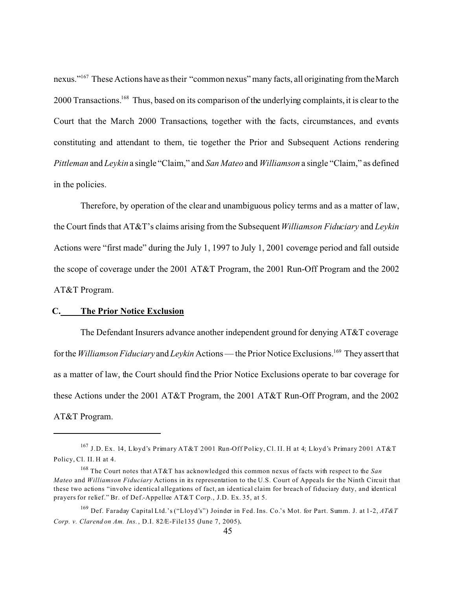nexus."<sup>167</sup> These Actions have as their "common nexus" many facts, all originating from the March 2000 Transactions.<sup>168</sup> Thus, based on its comparison of the underlying complaints, it is clear to the Court that the March 2000 Transactions, together with the facts, circumstances, and events constituting and attendant to them, tie together the Prior and Subsequent Actions rendering *Pittleman* and *Leykin* a single "Claim," and *San Mateo* and *Williamson* a single "Claim," as defined in the policies.

Therefore, by operation of the clear and unambiguous policy terms and as a matter of law, the Court finds that AT&T's claims arising from the Subsequent *Williamson Fiduciary* and *Leykin* Actions were "first made" during the July 1, 1997 to July 1, 2001 coverage period and fall outside the scope of coverage under the 2001 AT&T Program, the 2001 Run-Off Program and the 2002 AT&T Program.

# **C. The Prior Notice Exclusion**

The Defendant Insurers advance another independent ground for denying AT&T coverage for the *Williamson Fiduciary* and *Leykin* Actions— the Prior Notice Exclusions.<sup>169</sup> They assert that as a matter of law, the Court should find the Prior Notice Exclusions operate to bar coverage for these Actions under the 2001 AT&T Program, the 2001 AT&T Run-Off Program, and the 2002 AT&T Program.

<sup>167</sup> J.D. Ex. 14, Lloyd's Primary AT&T 2001 Run-Off Policy, Cl. II. H at 4; Lloyd's Primary 2001 AT&T Policy, Cl. II. H at 4.

<sup>168</sup> The Court notes that AT&T has acknowledged this common nexus of facts with respect to the *San Mateo* and *Williamson Fiduciary* Actions in its representation to the U.S. Court of Appeals for the Ninth Circuit that these two actions "involve identical allegations of fact, an identical claim for breach of fiduciary duty, and identical prayers for relief." Br. of Def.-Appellee AT&T Corp., J.D. Ex. 35, at 5.

<sup>169</sup> Def. Faraday Capital Ltd.'s ("Lloyd's") Joinder in Fed. Ins. Co.'s Mot. for Part. Summ. J. at 1-2, *AT&T Corp. v. Clarend on Am. Ins.* , D.I. 82/E-File135 (June 7, 2005).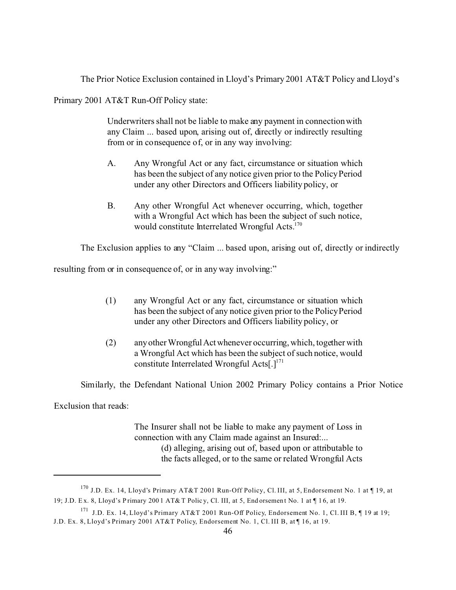The Prior Notice Exclusion contained in Lloyd's Primary 2001 AT&T Policy and Lloyd's

Primary 2001 AT&T Run-Off Policy state:

Underwriters shall not be liable to make any payment in connection with any Claim ... based upon, arising out of, directly or indirectly resulting from or in consequence of, or in any way involving:

- A. Any Wrongful Act or any fact, circumstance or situation which has been the subject of any notice given prior to the Policy Period under any other Directors and Officers liability policy, or
- B. Any other Wrongful Act whenever occurring, which, together with a Wrongful Act which has been the subject of such notice, would constitute Interrelated Wrongful Acts.<sup>170</sup>

The Exclusion applies to any "Claim ... based upon, arising out of, directly or indirectly

resulting from or in consequence of, or in any way involving:"

- (1) any Wrongful Act or any fact, circumstance or situation which has been the subject of any notice given prior to the Policy Period under any other Directors and Officers liability policy, or
- (2) any other WrongfulActwhenever occurring, which, together with a Wrongful Act which has been the subject of such notice, would constitute Interrelated Wrongful Acts[ $.$ ]<sup>171</sup>

Similarly, the Defendant National Union 2002 Primary Policy contains a Prior Notice

Exclusion that reads:

The Insurer shall not be liable to make any payment of Loss in connection with any Claim made against an Insured:... (d) alleging, arising out of, based upon or attributable to the facts alleged, or to the same or related Wrongful Acts

<sup>170</sup> J.D. Ex. 14, Lloyd's Primary AT&T 2001 Run-Off Policy, Cl. III, at 5, Endorsement No. 1 at ¶ 19, at 19; J.D. E x. 8, Lloyd's P rimary 200 1 AT& T Polic y, Cl. III, at 5, End orsemen t No. 1 at ¶ 1 6, at 19.

<sup>171</sup> J.D. Ex. 14, Lloyd's Primary AT&T 2001 Run-Off Policy, Endorsement No. 1, Cl. III B, ¶ 19 at 19; J.D. Ex. 8, Lloyd's Primary 2001 AT&T Policy, Endorsement No. 1, Cl. III B, at [16, at 19.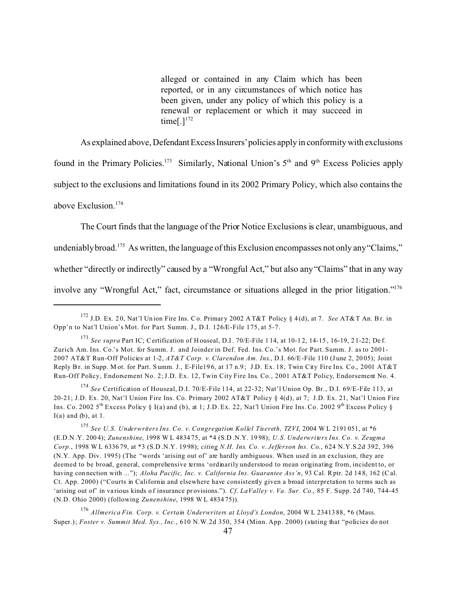alleged or contained in any Claim which has been reported, or in any circumstances of which notice has been given, under any policy of which this policy is a renewal or replacement or which it may succeed in time[ $.1^{172}$ ]

As explained above, Defendant Excess Insurers' policies apply in conformity with exclusions

found in the Primary Policies.<sup>173</sup> Similarly, National Union's 5<sup>th</sup> and 9<sup>th</sup> Excess Policies apply subject to the exclusions and limitations found in its 2002 Primary Policy, which also contains the above Exclusion.<sup>174</sup>

The Court finds that the language of the Prior Notice Exclusions is clear, unambiguous, and

undeniably broad.<sup>175</sup> As written, the language of this Exclusion encompasses not only any "Claims,"

whether "directly or indirectly" caused by a "Wrongful Act," but also any "Claims" that in any way

involve any "Wrongful Act," fact, circumstance or situations alleged in the prior litigation."176

<sup>172</sup> J.D. Ex. 2 0, Nat'l Un ion Fire Ins. Co. Primar y 2002 A T&T Policy § 4 (d), at 7. *See* AT& T An. Br. in Opp'n to Nat'l Union's Mot. for Part. Summ. J., D.I. 126/E-File 175, at 5-7.

<sup>&</sup>lt;sup>173</sup> *See supra* Part IC; Certification of Houseal, D.I. 70/E-File 114, at 10-12, 14-15, 16-19, 21-22; Def. Zurich Am. Ins. Co.'s Mot. for Summ. J. and Joinder in Def. Fed. Ins. Co.'s Mot. for Part. Summ. J. as to 2001- 2007 AT&T Run-Off Policies at 1-2, AT&T Corp. v. Clarendon Am. Ins., D.I. 66/E-File 110 (June 2, 2005); Joint Reply Br. in Supp. M ot. for Part. S umm. J., E-File19 6, at 17 n.9 ; J.D. Ex. 18, Twin City Fire Ins. Co., 2001 AT&T Run-Off Policy, Endorsement No. 2; J.D. Ex. 12, Twin City Fire Ins. Co., 2001 AT&T Policy, Endorsement No. 4.

<sup>174</sup> *See* Certification of Houseal, D.I. 70/E-File 114, at 22-32; Nat'l Union Op. Br., D.I. 69/E-File 113, at 20-21; J.D. Ex. 20, Nat'l Union Fire Ins. Co. Primary 2002 AT&T Policy § 4(d), at 7; J.D. Ex. 21, Nat'l Union Fire Ins. Co. 2002 5<sup>th</sup> Excess Policy § I(a) and (b), at 1; J.D. Ex. 22, Nat'l Union Fire Ins. Co. 2002 9<sup>th</sup> Excess Policy §  $I(a)$  and  $(b)$ , at 1.

<sup>175</sup> *See U.S. Underwriters Ins. Co. v. Congregation Kollel Tisereth, TZVI*, 2004 W L 2191 051, at \*6 (E.D.N .Y. 200 4); *Zunenshine*, 1998 W L 4834 75, at \*4 (S.D .N.Y. 19 98); *U.S. Underwriters Ins. Co. v. Zeugma Corp.*, 1998 W L 6336 79, at \*3 (S.D .N.Y. 19 98); *citing N.H. Ins. Co. v. Jefferson Ins. Co*., 624 N.Y.S.2d 392, 396 (N.Y. App. Div. 1995) (The "words 'arising out of' are hardly ambiguous. When used in an exclusion, they are deemed to be broad, general, comprehensive terms 'ordinarily understood to mean originating from, incident to, or having connection with ..."); *Aloha Pacific, Inc. v. California Ins. Guarantee Ass'n*, 93 Cal. Rptr. 2d 148, 162 (Cal. Ct. App. 2000) ("Courts in California and elsewhere have consistently given a broad interpretation to terms such as 'arising out of' in various kinds of insurance provisions."). *Cf. LaValley v. Va. Sur. Co.*, 85 F. Supp. 2d 740, 744-45 (N.D. Ohio 2000) (following *Zunenshine*, 1998 W L 4834 75)).

<sup>176</sup> *Allmerica Fin. Corp. v. Certain Underwriters at Lloyd's London*, 2004 W L 23413 88, \*6 (Mass. Super.); *Foster v. Summit Med. Sys., Inc.*, 610 N.W.2d 350, 354 (Minn. App. 2000) (stating that "policies do not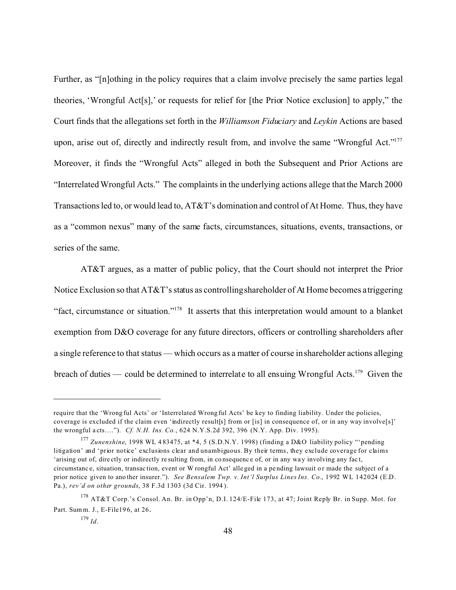Further, as "[n]othing in the policy requires that a claim involve precisely the same parties legal theories, 'Wrongful Act[s],' or requests for relief for [the Prior Notice exclusion] to apply," the Court finds that the allegations set forth in the *Williamson Fiduciary* and *Leykin* Actions are based upon, arise out of, directly and indirectly result from, and involve the same "Wrongful Act."<sup>177</sup> Moreover, it finds the "Wrongful Acts" alleged in both the Subsequent and Prior Actions are "Interrelated Wrongful Acts." The complaints in the underlying actions allege that the March 2000 Transactions led to, or would lead to, AT&T's domination and control of At Home. Thus, they have as a "common nexus" many of the same facts, circumstances, situations, events, transactions, or series of the same.

AT&T argues, as a matter of public policy, that the Court should not interpret the Prior Notice Exclusion so that AT&T's status as controlling shareholder of At Home becomes a triggering "fact, circumstance or situation."<sup>178</sup> It asserts that this interpretation would amount to a blanket exemption from D&O coverage for any future directors, officers or controlling shareholders after a single reference to that status — which occurs as a matter of course in shareholder actions alleging breach of duties — could be determined to interrelate to all ensuing Wrongful Acts.<sup>179</sup> Given the

require that the 'Wrong ful Acts' or 'Interrelated Wrong ful Acts' be key to finding liability. Under the policies, coverage is excluded if the claim even 'indirectly result[s] from or [is] in consequence of, or in any way involve[s]' the wrongful a cts…."). *Cf. N.H. Ins. Co.*, 624 N.Y.S.2d 392, 396 (N.Y. App. Div. 1995).

<sup>177</sup> *Zunenshine*, 1998 WL 4 83475, at \*4, 5 (S.D.N.Y. 1998) (finding a D&O liability policy "'pending litigation' and 'prior notice' exclusions clear and unambiguous. By their terms, they exclude coverage for claims 'arising out of, directly or indirectly resulting from, in consequence of, or in any way involving any fact, circumstance, situation, transaction, event or W rongful Act' alle ged in a pending lawsuit or made the subject of a prior notice given to ano ther insurer."). *See Bensalem Twp. v. Int'l Surplus Lines Ins. Co.*, 1992 WL 142024 (E.D. Pa.), *rev'd on other grounds*, 38 F.3d 1303 (3d Cir. 1994 ).

<sup>&</sup>lt;sup>178</sup> AT&T Corp.'s Consol. An. Br. in Opp'n, D.I. 124/E-File 173, at 47; Joint Reply Br. in Supp. Mot. for Part. Summ. J., E-File19 6, at 26.

<sup>179</sup> *Id*.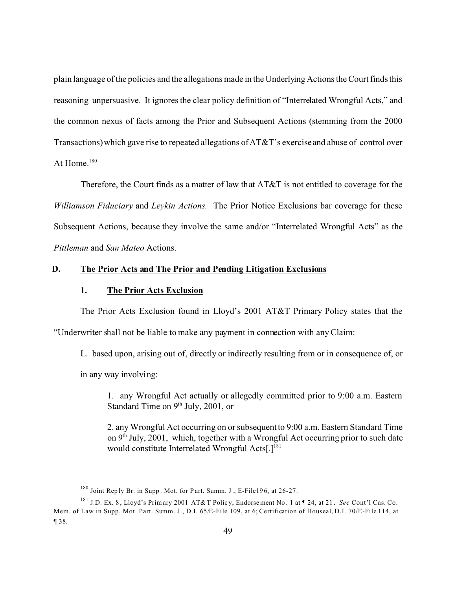plain language of the policies and the allegations made in the Underlying Actions the Court finds this reasoning unpersuasive. It ignores the clear policy definition of "Interrelated Wrongful Acts," and the common nexus of facts among the Prior and Subsequent Actions (stemming from the 2000 Transactions) which gave rise to repeated allegations of AT&T's exercise and abuse of control over At Home. $^{180}$ 

Therefore, the Court finds as a matter of law that AT&T is not entitled to coverage for the *Williamson Fiduciary* and *Leykin Actions.* The Prior Notice Exclusions bar coverage for these Subsequent Actions, because they involve the same and/or "Interrelated Wrongful Acts" as the *Pittleman* and *San Mateo* Actions.

### **D. The Prior Acts and The Prior and Pending Litigation Exclusions**

### **1. The Prior Acts Exclusion**

The Prior Acts Exclusion found in Lloyd's 2001 AT&T Primary Policy states that the "Underwriter shall not be liable to make any payment in connection with any Claim:

L. based upon, arising out of, directly or indirectly resulting from or in consequence of, or

in any way involving:

1. any Wrongful Act actually or allegedly committed prior to 9:00 a.m. Eastern Standard Time on  $9<sup>th</sup>$  July, 2001, or

2. any Wrongful Act occurring on or subsequent to 9:00 a.m. Eastern Standard Time on  $9<sup>th</sup>$  July, 2001, which, together with a Wrongful Act occurring prior to such date would constitute Interrelated Wrongful Acts[.]<sup>181</sup>

<sup>180</sup> Joint Rep ly Br. in Supp . Mot. for P art. Summ. J., E-File19 6, at 26-27.

<sup>181</sup> J.D. Ex. 8 , Lloyd's Prim ary 2001 AT&T Polic y, Endorse ment No . 1 at ¶ 24, at 21 . *See* Cont'l Cas. Co. Mem. of Law in Supp. Mot. Part. Summ. J., D.I. 65/E-File 109, at 6; Certification of Houseal, D.I. 70/E-File 114, at ¶ 38.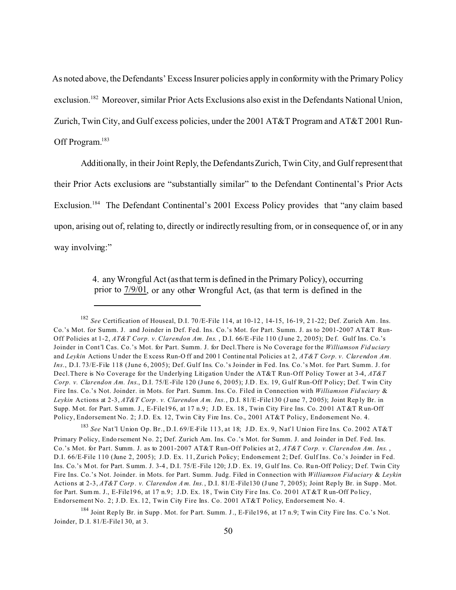As noted above, the Defendants' Excess Insurer policies apply in conformity with the Primary Policy exclusion.<sup>182</sup> Moreover, similar Prior Acts Exclusions also exist in the Defendants National Union, Zurich, Twin City, and Gulf excess policies, under the 2001 AT&T Program and AT&T 2001 Run-Off Program.<sup>183</sup>

Additionally, in their Joint Reply, the Defendants Zurich, Twin City, and Gulf represent that their Prior Acts exclusions are "substantially similar" to the Defendant Continental's Prior Acts Exclusion.<sup>184</sup> The Defendant Continental's 2001 Excess Policy provides that "any claim based upon, arising out of, relating to, directly or indirectly resulting from, or in consequence of, or in any way involving:"

> 4. any Wrongful Act (as that term is defined in the Primary Policy), occurring prior to  $7/9/01$ , or any other Wrongful Act, (as that term is defined in the

<sup>183</sup> *See* Nat'l Union Op. Br., D.I. 69/E-File 113, at 18; J.D. Ex. 9, Nat'l Union Fire Ins. Co. 2002 AT&T Primary Policy, Endo rsement No. 2; Def. Zurich Am. Ins. Co.'s Mot. for Summ. J. and Joinder in Def. Fed. Ins. Co.'s Mot. for Part. Summ. J. as to 2001-2007 AT&T Run-Off Policies at 2, *AT&T Corp. v. Clarendon Am. Ins*. , D.I. 66/E-File 110 (June 2, 2005); J.D. Ex. 11, Zurich Policy; Endorsement 2; Def. Gulf Ins. Co.'s Joinder in Fed. Ins. Co.'s M ot. for Part. S umm. J. 3-4 , D.I. 75/E-File 120; J.D . Ex. 19, G ulf Ins. Co. Ru n-Off Policy; D ef. Twin City Fire Ins. Co.'s Not. Joinder. in Mots. for Part. Summ. Judg. Filed in Connection with *Williamson Fid uciary* & *Leykin* Actions at 2-3, AT&T Corp. v. Clarendon Am. Ins., D.I. 81/E-File130 (June 7, 2005); Joint Reply Br. in Supp. Mot. for Part. Sum m. J., E-File196, at 17 n.9; J.D. Ex. 18, Twin City Fire Ins. Co. 2001 AT &T Run-Off Policy, Endorsement No. 2; J.D. Ex. 12, Twin City Fire Ins. Co. 2001 AT&T Policy, Endorsement No. 4.

184 Joint Rep ly Br. in Supp. Mot. for P art. Summ. J., E-File196, at 17 n.9; T win City Fire Ins. Co.'s Not. Joinder, D .I. 81/E-File1 30, at 3.

<sup>182</sup> *See* Certification of Houseal, D.I. 70 /E-File 114, at 10-12 , 14-15, 16-19, 2 1-22; Def. Zurich Am . Ins. Co.'s Mot. for Summ. J. and Joinder in Def. Fed. Ins. Co.'s Mot. for Part. Summ. J. as to 2001-2007 AT&T Run-Off Policies at 1-2, AT&T Corp. v. Clarendon Am. Ins., D.I. 66/E-File 110 (June 2, 2005); Def. Gulf Ins. Co.'s Joinder in Cont'l Cas. Co.'s Mot. for Part. Summ. J. for Decl.There is No Coverage for the *Williamson Fid uciary* and *Leykin* Actions U nder the Excess Run-O ff and 200 1 Contine ntal Policies a t 2, *AT&T Corp. v. Clarendon Am. Ins*., D.I. 73/E-File 118 (June 6, 2005); Def. Gulf Ins. Co.'s Joinder in Fed. Ins. Co.'s Mot. for Part. Summ. J. for Decl.There is No Coverage for the Underlying Litigation Under the AT&T Run-Off Policy Tower at 3-4, *AT&T Corp. v. Clarendon Am. Ins*., D.I. 75/E-File 120 (J une 6, 20 05); J.D . Ex. 19, G ulf Run-Off P olicy; Def. T win City Fire Ins. Co.'s Not. Joinder. in Mots. for Part. Summ. Ins. Co. Filed in Connection with *Williamson Fid uciary* & *Leykin* Actions at 2-3, *AT&T Corp . v. Clarendon A m. Ins.*, D.I. 81/E-File130 (J une 7, 20 05); Joint Rep ly Br. in Supp. M ot. for Part. Summ. J., E-File196, at 17 n.9; J.D. Ex. 18, Twin City Fire Ins. Co. 2001 AT &T Run-Off Policy, Endorsement No. 2; J.D. Ex. 12, Twin City Fire Ins. Co., 2001 AT&T Policy, Endorsement No. 4.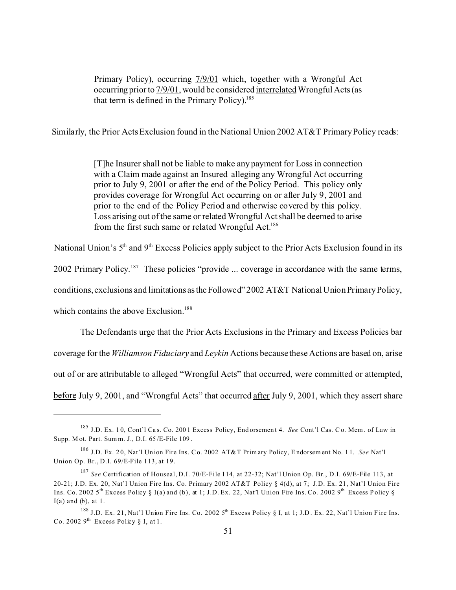Primary Policy), occurring  $7/9/01$  which, together with a Wrongful Act occurring prior to 7/9/01, would be considered interrelated Wrongful Acts (as that term is defined in the Primary Policy).<sup>185</sup>

Similarly, the Prior Acts Exclusion found in the National Union 2002 AT&T Primary Policy reads:

 [T]he Insurer shall not be liable to make any payment for Loss in connection with a Claim made against an Insured alleging any Wrongful Act occurring prior to July 9, 2001 or after the end of the Policy Period. This policy only provides coverage for Wrongful Act occurring on or after July 9, 2001 and prior to the end of the Policy Period and otherwise covered by this policy. Loss arising out of the same or related Wrongful Act shall be deemed to arise from the first such same or related Wrongful Act.<sup>186</sup>

National Union's 5<sup>th</sup> and 9<sup>th</sup> Excess Policies apply subject to the Prior Acts Exclusion found in its

2002 Primary Policy.<sup>187</sup> These policies "provide ... coverage in accordance with the same terms,

conditions, exclusions and limitations astheFollowed" 2002 AT&T National Union Primary Policy,

which contains the above Exclusion.<sup>188</sup>

The Defendants urge that the Prior Acts Exclusions in the Primary and Excess Policies bar coverage for the *Williamson Fiduciary* and *Leykin* Actions because these Actions are based on, arise out of or are attributable to alleged "Wrongful Acts" that occurred, were committed or attempted, before July 9, 2001, and "Wrongful Acts" that occurred after July 9, 2001, which they assert share

<sup>185</sup> J.D. Ex. 1 0, Cont'l Ca s. Co. 200 1 Excess Policy, End orsemen t 4. *See* Cont'l Cas. C o. Mem . of Law in Supp. M ot. Part. Sum m. J., D.I. 65 /E-File 109 .

<sup>186</sup> J.D. Ex. 2 0, Nat'l Un ion Fire Ins. Co. 2002 AT&T Primary Policy, Endorsem ent No. 1 1. *See* Nat'l Union Op. Br., D.I. 69/E-File 113, at 19.

<sup>187</sup> *See* Certification of Houseal, D.I. 70/E-File 114, at 22-32; Nat'l Union Op. Br., D.I. 69/E-File 113, at 20-21; J.D. Ex. 20, Nat'l Union Fire Ins. Co. Primary 2002 AT&T Policy § 4(d), at 7; J.D. Ex. 21, Nat'l Union Fire Ins. Co. 2002 5<sup>th</sup> Excess Policy § I(a) and (b), at 1; J.D. Ex. 22, Nat'l Union Fire Ins. Co. 2002 9<sup>th</sup> Excess Policy §  $I(a)$  and  $(b)$ , at 1.

<sup>&</sup>lt;sup>188</sup> J.D. Ex. 21, Nat'l Union Fire Ins. Co. 2002 5<sup>th</sup> Excess Policy § I, at 1; J.D. Ex. 22, Nat'l Union Fire Ins. Co. 2002  $9^{th}$  Excess Policy § I, at 1.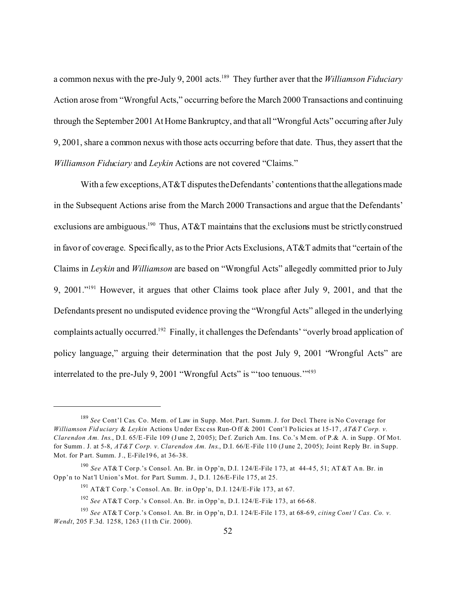a common nexus with the pre-July 9, 2001 acts.<sup>189</sup> They further aver that the *Williamson Fiduciary* Action arose from "Wrongful Acts," occurring before the March 2000 Transactions and continuing through the September 2001 At Home Bankruptcy, and that all "Wrongful Acts" occurring after July 9, 2001, share a common nexus with those acts occurring before that date. Thus, they assert that the *Williamson Fiduciary* and *Leykin* Actions are not covered "Claims."

With a few exceptions, AT&T disputes the Defendants' contentions that the allegations made in the Subsequent Actions arise from the March 2000 Transactions and argue that the Defendants' exclusions are ambiguous.<sup>190</sup> Thus, AT&T maintains that the exclusions must be strictly construed in favor of coverage. Specifically, as to the Prior Acts Exclusions, AT&T admits that "certain of the Claims in *Leykin* and *Williamson* are based on "Wrongful Acts" allegedly committed prior to July 9, 2001."<sup>191</sup> However, it argues that other Claims took place after July 9, 2001, and that the Defendants present no undisputed evidence proving the "Wrongful Acts" alleged in the underlying complaints actually occurred.<sup>192</sup> Finally, it challenges the Defendants' "overly broad application of policy language," arguing their determination that the post July 9, 2001 "Wrongful Acts" are interrelated to the pre-July 9, 2001 "Wrongful Acts" is "'too tenuous.'"<sup>193</sup>

<sup>189</sup> *See* Cont'l Cas. Co. Mem. of Law in Supp. Mot. Part. Summ. J. for Decl. There is No Coverage for *Williamson Fid uciary* & *Leykin* Actions U nder Exc ess Run-O ff & 2001 Cont'l Po licies at 15-17 , *AT&T Corp. v. Clarendon Am. Ins.*, D.I. 65/E-File 109 (June 2, 2005); Def. Zurich Am. Ins. Co.'s Mem. of P.& A. in Supp. Of Mot. for Summ. J. at 5-8, *AT&T Corp. v. Clarendon Am. Ins*., D.I. 66/E-File 110 (J une 2, 20 05); Joint Reply Br. in Supp. Mot. for P art. Summ. J., E-File19 6, at 36-38.

<sup>&</sup>lt;sup>190</sup> *See* AT& T Corp.'s Consol. An. Br. in Opp'n, D.I. 124/E-File 173, at 44-45, 51; AT&T An. Br. in Opp'n to Nat'l Union's Mot. for Part. Summ. J., D.I. 126/E-File 175, at 25.

<sup>&</sup>lt;sup>191</sup> AT&T Corp.'s Consol. An. Br. in Opp'n, D.I. 124/E-File 173, at 67.

<sup>192</sup> *See* AT&T Corp.'s Consol. An. Br. in Opp'n, D.I. 124/E-File 173, at 66-68.

<sup>193</sup> *See* AT& T Cor p.'s Conso l. An. Br. in O pp'n, D.I. 1 24/E-File 1 73, at 68-6 9, *citing Cont'l Cas. Co. v. Wendt*, 205 F.3d. 1258, 1263 (11 th Cir. 2000).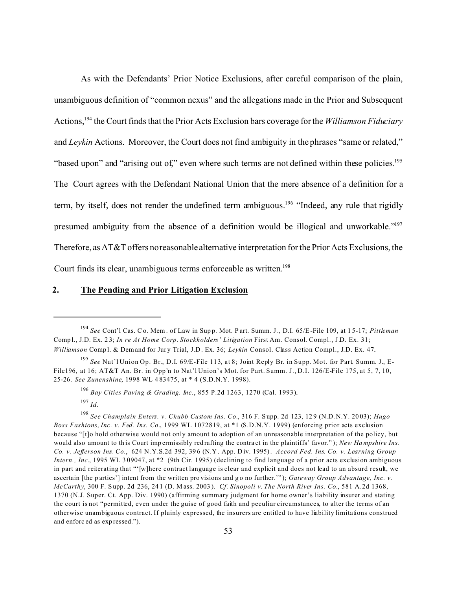As with the Defendants' Prior Notice Exclusions, after careful comparison of the plain, unambiguous definition of "common nexus" and the allegations made in the Prior and Subsequent Actions,<sup>194</sup> the Court finds that the Prior Acts Exclusion bars coverage for the *Williamson Fiduciary* and *Leykin* Actions. Moreover, the Court does not find ambiguity in the phrases "same or related," "based upon" and "arising out of," even where such terms are not defined within these policies.<sup>195</sup> The Court agrees with the Defendant National Union that the mere absence of a definition for a term, by itself, does not render the undefined term ambiguous.<sup>196</sup> "Indeed, any rule that rigidly presumed ambiguity from the absence of a definition would be illogical and unworkable."<sup>197</sup> Therefore, as AT&T offers no reasonable alternative interpretation for the Prior Acts Exclusions, the Court finds its clear, unambiguous terms enforceable as written.<sup>198</sup>

#### **2. The Pending and Prior Litigation Exclusion**

<sup>194</sup> *See* Cont'l Cas. Co. Mem . of Law in Sup p. Mot. P art. Summ. J., D.I. 65/E-File 109, at 1 5-17; *Pittleman* Comp l., J.D. Ex. 2 3; *In re At Home Corp. Stockholders' Litigation* First Am. Consol. Compl., J.D. Ex. 31; *Williamson* Compl. & Demand for Jury Trial, J.D. Ex. 36; *Leykin* Consol. Class Action Compl., J.D. Ex. 47.

<sup>195</sup> *See* Nat'l Union Op. Br., D.I. 69/E-File 113, at 8; Joint Reply Br. in Supp. Mot. for Part. Summ. J., E-File196, at 16; AT&T An. Br. in Opp'n to Nat'l Union's Mot. for Part. Summ. J., D.I. 126/E-File 175, at 5, 7, 10, 25-26. *See Zunenshine*, 1998 WL 4 83475, at \* 4 (S.D.N.Y. 1998).

<sup>196</sup> *Bay Cities Paving & Grading, Inc.*, 855 P.2d 1263, 1270 (Cal. 1993). <sup>197</sup> *Id.*

<sup>198</sup> *See Champlain Enters. v. Chubb Custom Ins. Co.*, 316 F. S upp. 2d 123, 12 9 (N.D .N.Y. 20 03); *Hugo Boss Fashions, Inc. v. Fed. Ins. Co.*, 1999 WL 1072819, at \*1 (S.D.N.Y. 1999) (enforcing prior acts exclusion because "[t]o hold otherwise would not only amount to adoption of an unreasonable interpretation of the policy, but would also amount to this Court impermissibly redrafting the contract in the plaintiffs' favor."); *New Hampshire Ins. Co. v. Jefferson Ins. Co.*, 624 N .Y.S.2d 392, 39 6 (N.Y . App. D iv. 1995). *Accord Fed. Ins. Co. v. Learning Group Intern., Inc.*, 1995 WL 309047, at \*2 (9th Cir. 1995) (declining to find language of a prior acts exclusion ambiguous in part and reiterating that "'[w]here contract language is clear and explicit and does not lead to an absurd result, we ascertain [the p arties'] intent from the written pro visions and go no further.""); *Gateway Group Advantage, Inc. v. McCarthy*, 300 F. S upp. 2d 236, 24 1 (D. M ass. 2003 ). *Cf*. *Sinopoli v. The North River Ins. Co.*, 581 A.2d 1368, 1370 (N.J. Super. Ct. App. Div. 1990) (affirming summary judgment for home owner's liability insurer and stating the court is not "permitted, even under the guise of good faith and peculiar circumstances, to alter the terms of an otherwise unambiguous contract. If plainly expressed, the insurers are entitled to have liability limitations construed and enforc ed as exp ressed.").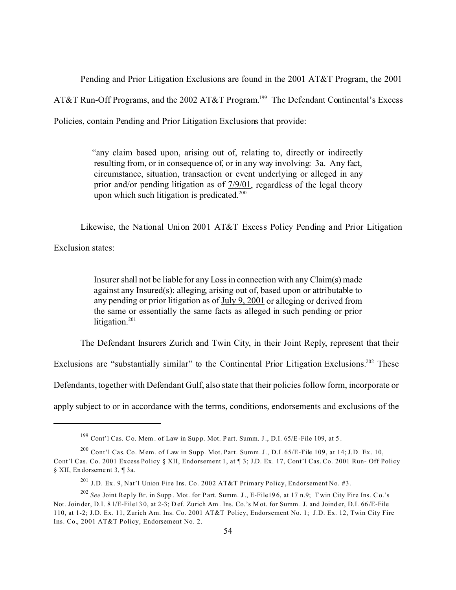Pending and Prior Litigation Exclusions are found in the 2001 AT&T Program, the 2001 AT&T Run-Off Programs, and the 2002 AT&T Program.<sup>199</sup> The Defendant Continental's Excess Policies, contain Pending and Prior Litigation Exclusions that provide:

> "any claim based upon, arising out of, relating to, directly or indirectly resulting from, or in consequence of, or in any way involving: 3a. Any fact, circumstance, situation, transaction or event underlying or alleged in any prior and/or pending litigation as of 7/9/01, regardless of the legal theory upon which such litigation is predicated.<sup>200</sup>

Likewise, the National Union 2001 AT&T Excess Policy Pending and Prior Litigation

Exclusion states:

 Insurer shall not be liable for any Loss in connection with any Claim(s) made against any Insured(s): alleging, arising out of, based upon or attributable to any pending or prior litigation as of July 9, 2001 or alleging or derived from the same or essentially the same facts as alleged in such pending or prior litigation. $201$ 

The Defendant Insurers Zurich and Twin City, in their Joint Reply, represent that their

Exclusions are "substantially similar" to the Continental Prior Litigation Exclusions.<sup>202</sup> These

Defendants, together with Defendant Gulf, also state that their policies follow form, incorporate or

apply subject to or in accordance with the terms, conditions, endorsements and exclusions of the

 $199$  Cont'l Cas. C o. Mem. of Law in Supp. Mot. P art. Summ. J., D.I. 65/E-File 109, at 5.

 $^{200}$  Cont'l Cas. Co. Mem. of Law in Supp. Mot. Part. Summ. J., D.I. 65/E-File 109, at 14; J.D. Ex. 10, Cont'l Cas. Co. 2001 Excess Policy § XII, Endorsement 1, at ¶ 3; J.D. Ex. 17, Cont'l Cas. Co. 2001 Run- Off Policy § XII, En dorseme nt 3, ¶ 3a.

<sup>201</sup> J.D. Ex. 9, Nat'l Union Fire Ins. Co. 2002 AT&T Primary Policy, Endorsement No. #3.

<sup>&</sup>lt;sup>202</sup> *See* Joint Reply Br. in Supp. Mot. for Part. Summ. J., E-File196, at 17 n.9; T win City Fire Ins. Co.'s Not. Join der, D.I. 8 1/E-File13 0, at 2-3; D ef. Zurich Am . Ins. Co.'s M ot. for Summ . J. and Joind er, D.I. 66 /E-File 110, at 1-2; J.D. Ex. 11, Zurich Am. Ins. Co. 2001 AT&T Policy, Endorsement No. 1; J.D. Ex. 12, Twin City Fire Ins. Co., 2001 AT&T Policy, Endorsement No. 2.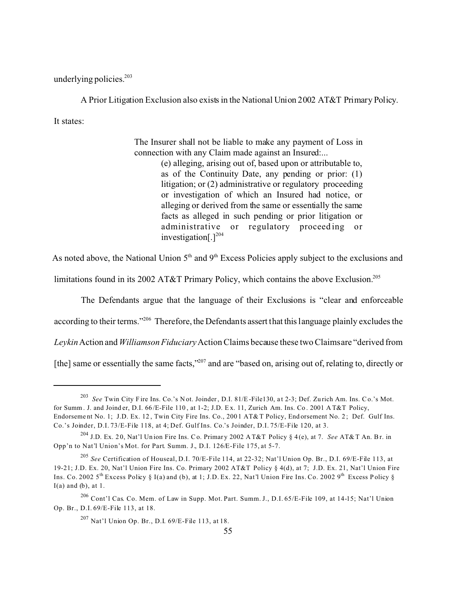underlying policies.<sup>203</sup>

A Prior Litigation Exclusion also exists in the National Union 2002 AT&T Primary Policy. It states:

> The Insurer shall not be liable to make any payment of Loss in connection with any Claim made against an Insured:...

> > (e) alleging, arising out of, based upon or attributable to, as of the Continuity Date, any pending or prior: (1) litigation; or (2) administrative or regulatory proceeding or investigation of which an Insured had notice, or alleging or derived from the same or essentially the same facts as alleged in such pending or prior litigation or administrative or regulatory proceeding or investigation $[.]^{204}$

As noted above, the National Union  $5<sup>th</sup>$  and  $9<sup>th</sup>$  Excess Policies apply subject to the exclusions and

limitations found in its 2002 AT&T Primary Policy, which contains the above Exclusion.<sup>205</sup>

The Defendants argue that the language of their Exclusions is "clear and enforceable

according to their terms."<sup>206</sup> Therefore, the Defendants assert that this language plainly excludes the

*Leykin* Action and *Williamson Fiduciary* Action Claims because these two Claims are "derived from

[the] same or essentially the same facts,"207 and are "based on, arising out of, relating to, directly or

<sup>&</sup>lt;sup>203</sup> See Twin City Fire Ins. Co.'s Not. Joinder, D.I. 81/E-File130, at 2-3; Def. Zurich Am. Ins. Co.'s Mot. for Summ. J. and Joind er, D.I. 66 /E-File 110 , at 1-2; J.D. E x. 11, Zurich Am. Ins. Co . 2001 A T&T Policy, Endorsement No. 1; J.D. Ex. 12, Twin City Fire Ins. Co., 2001 AT&T Policy, Endorsement No. 2; Def. Gulf Ins. Co.'s Joinder, D.I. 73/E-File 118, at 4; Def. Gulf Ins. Co.'s Joinder, D.I. 75/E-File 120, at 3.

<sup>204</sup> J.D. Ex. 2 0, Nat'l Un ion Fire Ins. Co. Primar y 2002 A T&T Policy § 4 (e), at 7. *See* AT& T An. Br. in Opp'n to Nat'l Union's Mot. for Part. Summ. J., D.I. 126/E-File 175, at 5-7.

<sup>205</sup> *See* Certification of Houseal, D.I. 70/E-File 114, at 22-32; Nat'l Union Op. Br., D.I. 69/E-File 113, at 19-21; J.D. Ex. 20, Nat'l Union Fire Ins. Co. Primary 2002 AT&T Policy § 4(d), at 7; J.D. Ex. 21, Nat'l Union Fire Ins. Co. 2002 5<sup>th</sup> Excess Policy § I(a) and (b), at 1; J.D. Ex. 22, Nat'l Union Fire Ins. Co. 2002 9<sup>th</sup> Excess Policy §  $I(a)$  and  $(b)$ , at 1.

<sup>206</sup> Cont'l Cas. Co. Mem. of Law in Supp. Mot. Part. Summ. J., D.I. 65/E-File 109, at 14-15; Nat'l Union Op. Br., D.I. 69/E-File 113, at 18.

<sup>207</sup> Nat'l Union Op. Br., D.I. 69/E-File 113, at 18.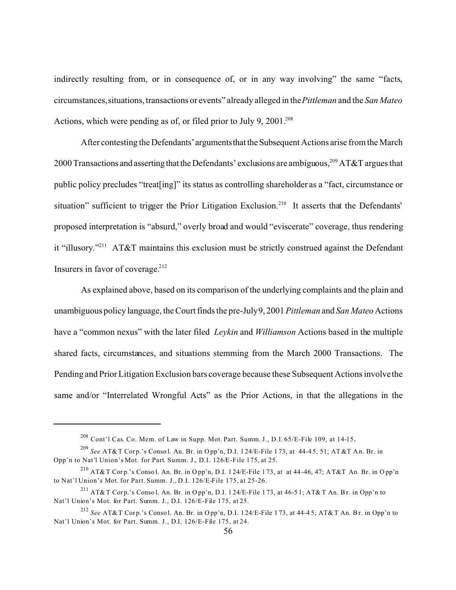indirectly resulting from, or in consequence of, or in any way involving" the same "facts, circumstances, situations, transactions or events" already alleged in the *Pittleman* and the *San Mateo* Actions, which were pending as of, or filed prior to July 9,  $2001^{208}$ 

After contesting the Defendants' arguments that the Subsequent Actions arise from the March 2000 Transactions and asserting that the Defendants' exclusions are ambiguous,<sup>209</sup> AT&T argues that public policy precludes "treat[ing]" its status as controlling shareholder as a "fact, circumstance or situation" sufficient to trigger the Prior Litigation Exclusion.<sup>210</sup> It asserts that the Defendants' proposed interpretation is "absurd," overly broad and would "eviscerate" coverage, thus rendering it "illusory."<sup>211</sup> AT&T maintains this exclusion must be strictly construed against the Defendant Insurers in favor of coverage. $212$ 

As explained above, based on its comparison of the underlying complaints and the plain and unambiguous policy language, the Court finds the pre-July 9, 2001 *Pittleman* and *San Mateo* Actions have a "common nexus" with the later filed *Leykin* and *Williamson* Actions based in the multiple shared facts, circumstances, and situations stemming from the March 2000 Transactions. The Pending and Prior Litigation Exclusion bars coverage because these Subsequent Actions involve the same and/or "Interrelated Wrongful Acts" as the Prior Actions, in that the allegations in the

 $^{208}$  Cont'l Cas. Co. Mem. of Law in Supp. Mot. Part. Summ. J., D.I. 65/E-File 109, at 14-15.

<sup>&</sup>lt;sup>209</sup> *See* AT&T Corp.'s Consol. An. Br. in Opp'n, D.I. 124/E-File 173, at 44-45, 51; AT&T An. Br. in Opp'n to Nat'l Union's Mot. for Part. Summ. J., D.I. 126/E-File 175, at 25.

<sup>&</sup>lt;sup>210</sup> AT&T Corp.'s Conso l. An. Br. in Opp'n, D.I. 124/E-File 173, at at 44-46, 47; AT&T An. Br. in Opp'n to Nat'l Union's Mot. for Part. Summ. J., D.I. 126/E-File 175, at 25-26.

<sup>&</sup>lt;sup>211</sup> AT&T Corp.'s Conso l. An. Br. in Opp'n, D.I. 124/E-File 173, at 46-51; AT&T An. Br. in Opp'n to Nat'l Union's Mot. for Part. Summ. J., D.I. 126/E-File 175, at 25.

<sup>&</sup>lt;sup>212</sup> *See* AT& T Corp.'s Consol. An. Br. in Opp'n, D.I. 124/E-File 173, at 44-45; AT& T An. Br. in Opp'n to Nat'l Union's Mot. for Part. Summ. J., D.I. 126/E-File 175, at 24.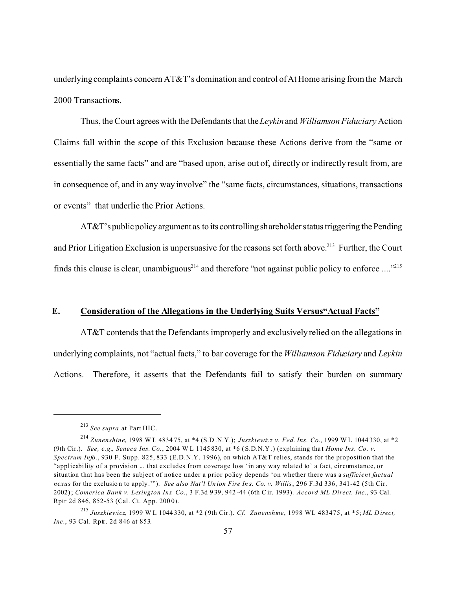underlying complaints concern AT&T's domination and control of At Home arising from the March 2000 Transactions.

Thus, the Court agrees with the Defendants that the*Leykin* and *WilliamsonFiduciary* Action Claims fall within the scope of this Exclusion because these Actions derive from the "same or essentially the same facts" and are "based upon, arise out of, directly or indirectly result from, are in consequence of, and in any way involve" the "same facts, circumstances, situations, transactions or events" that underlie the Prior Actions.

 $AT&T$ 's public policy argument as to its controlling shareholder status triggering the Pending and Prior Litigation Exclusion is unpersuasive for the reasons set forth above.<sup>213</sup> Further, the Court finds this clause is clear, unambiguous<sup>214</sup> and therefore "not against public policy to enforce ...."<sup>215</sup>

### **E. Consideration of the Allegations in the Underlying Suits Versus"Actual Facts"**

AT&T contends that the Defendants improperly and exclusively relied on the allegations in underlying complaints, not "actual facts," to bar coverage for the *Williamson Fiduciary* and *Leykin* Actions. Therefore, it asserts that the Defendants fail to satisfy their burden on summary

<sup>213</sup> *See supra* at Part IIIC.

<sup>214</sup> *Zunenshine*, 1998 W L 4834 75, at \*4 (S.D .N.Y.); *Juszkiewicz v. Fed. Ins. Co.*, 1999 W L 1044 330, at \*2 (9th Cir.). *See, e.g., Seneca Ins. Co.*, 2004 W L 1145 830, at \*6 ( S.D.N.Y .) (explaining tha t *Home Ins. Co. v. Spectrum Info.*, 930 F. Supp. 825, 833 (E.D.N.Y. 1996), on which AT&T relies, stands for the proposition that the "applicability of a provision ... that excludes from coverage loss 'in any way related to' a fact, circumstance, or situation that has been the subject of notice under a prior policy depends 'on whether there was a *sufficient factual nexus* for the exclusio n to apply.'"). *See also Nat'l Un ion Fire In s. Co. v. Willis*, 296 F.3d 336, 341-42 (5th Cir. 2002); *Comerica Bank v. Lexington Ins. Co.*, 3 F.3d 9 39, 942 -44 (6th Cir. 1993). *Accord ML Direct, Inc.*, 93 Cal. Rptr 2d 846, 852-53 (Cal. Ct. App. 200 0).

<sup>215</sup> *Juszkiewicz*, 1999 W L 1044 330, at \*2 ( 9th Cir.). *Cf. Zunenshine*, 1998 WL 483475, at \*5; *ML D irect, Inc.*, 93 Cal. Rptr. 2d 846 at 853*.*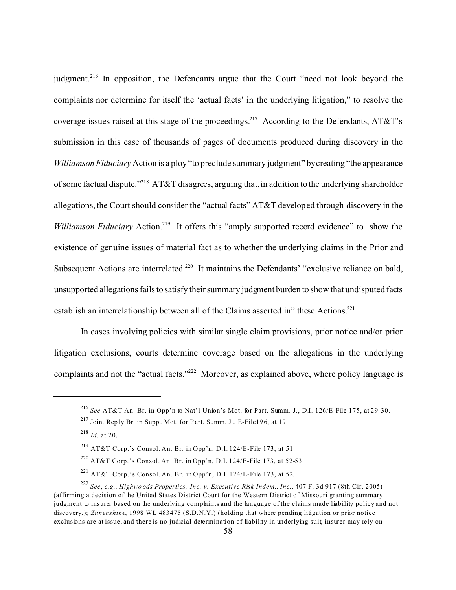judgment.<sup>216</sup> In opposition, the Defendants argue that the Court "need not look beyond the complaints nor determine for itself the 'actual facts' in the underlying litigation," to resolve the coverage issues raised at this stage of the proceedings.<sup>217</sup> According to the Defendants, AT&T's submission in this case of thousands of pages of documents produced during discovery in the *Williamson Fiduciary* Action is a ploy "to preclude summary judgment" by creating "the appearance of some factual dispute."<sup>218</sup> AT&T disagrees, arguing that, in addition to the underlying shareholder allegations, the Court should consider the "actual facts" AT&T developed through discovery in the *Williamson Fiduciary* Action.<sup>219</sup> It offers this "amply supported record evidence" to show the existence of genuine issues of material fact as to whether the underlying claims in the Prior and Subsequent Actions are interrelated.<sup>220</sup> It maintains the Defendants' "exclusive reliance on bald, unsupported allegations fails to satisfy their summary judgment burden to show that undisputed facts establish an interrelationship between all of the Claims asserted in" these Actions.<sup>221</sup>

In cases involving policies with similar single claim provisions, prior notice and/or prior litigation exclusions, courts determine coverage based on the allegations in the underlying complaints and not the "actual facts."<sup>222</sup> Moreover, as explained above, where policy language is

<sup>216</sup> *See* AT&T An. Br. in Opp'n to Nat'l Union's Mot. for Part. Summ. J., D.I. 126/E-File 175, at 29-30.

<sup>217</sup> Joint Rep ly Br. in Supp . Mot. for P art. Summ. J., E-File19 6, at 19.

<sup>218</sup> *Id*. at 20.

<sup>&</sup>lt;sup>219</sup> AT&T Corp.'s Consol. An. Br. in Opp'n, D.I. 124/E-File 173, at 51.

<sup>&</sup>lt;sup>220</sup> AT&T Corp.'s Consol. An. Br. in Opp'n, D.I. 124/E-File 173, at 52-53.

<sup>&</sup>lt;sup>221</sup> AT&T Corp.'s Consol. An. Br. in Opp'n, D.I. 124/E-File 173, at 52.

<sup>222</sup> *See*, *e.g.*, *Highwo ods Properties, Inc. v. Executive Risk Indem., Inc*., 407 F. 3d 917 (8th Cir. 2005) (affirming a decision of the United States District Court for the Western District of Missouri granting summary judgment to insurer based on the underlying complaints and the language of the claims made liability policy and not discovery.); *Zunenshine*, 1998 WL 483475 (S.D.N.Y.) (holding that where pending litigation or prior notice exclusions are at issue, and there is no judicial determination of liability in underlying suit, insurer may rely on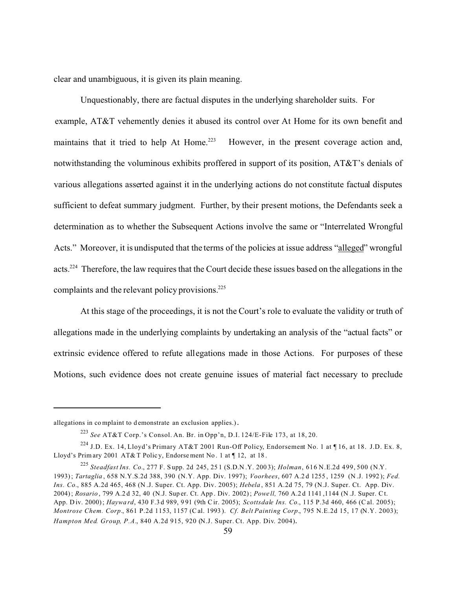clear and unambiguous, it is given its plain meaning.

Unquestionably, there are factual disputes in the underlying shareholder suits. For example, AT&T vehemently denies it abused its control over At Home for its own benefit and maintains that it tried to help At Home.<sup>223</sup> However, in the present coverage action and, notwithstanding the voluminous exhibits proffered in support of its position, AT&T's denials of various allegations asserted against it in the underlying actions do not constitute factual disputes sufficient to defeat summary judgment. Further, by their present motions, the Defendants seek a determination as to whether the Subsequent Actions involve the same or "Interrelated Wrongful Acts." Moreover, it is undisputed that the terms of the policies at issue address "alleged" wrongful acts.<sup>224</sup> Therefore, the law requires that the Court decide these issues based on the allegations in the complaints and the relevant policy provisions.<sup>225</sup>

At this stage of the proceedings, it is not the Court's role to evaluate the validity or truth of allegations made in the underlying complaints by undertaking an analysis of the "actual facts" or extrinsic evidence offered to refute allegations made in those Actions. For purposes of these Motions, such evidence does not create genuine issues of material fact necessary to preclude

allegations in complaint to demonstrate an exclusion applies.).

<sup>223</sup> *See* AT&T Corp.'s Consol. An. Br. in Opp'n, D.I. 124/E-File 173, at 18, 20.

<sup>&</sup>lt;sup>224</sup> J.D. Ex. 14, Lloyd's Primary AT&T 2001 Run-Off Policy, Endorsement No. 1 at ¶16, at 18. J.D. Ex. 8, Lloyd's Prim ary 2001 AT&T Polic y, Endorse ment No. 1 at ¶ 12, at 18.

<sup>225</sup> *Steadfast Ins. Co.*, 277 F. S upp. 2d 245, 25 1 (S.D.N .Y. 200 3); *Holman*, 616 N.E.2d 499, 500 (N.Y. 1993); *Tartaglia* , 658 N.Y.S.2d 388, 390 (N.Y. App. Div. 1997); *Voorhees*, 607 A.2 d 1255 , 1259 (N .J. 1992 ); *Fed. Ins. Co.*, 885 A.2d 465, 468 (N .J. Super. Ct. App. Div. 2005); *Hebela* , 851 A.2d 75, 79 (N.J. Super. Ct. App. Div. 2004); *Rosario* , 799 A.2 d 32, 40 (N.J. Sup er. Ct. App . Div. 2002); *Powe ll,* 760 A.2 d 1141 ,1144 (N .J. Super. Ct. App. D iv. 2000); *Haywa rd*, 430 F.3 d 989, 9 91 (9th Cir. 2005); *Scottsdale Ins. Co.*, 115 P.3d 460, 466 (Cal. 2005); *Montrose Chem. Corp.*, 861 P.2d 1153, 1157 (C al. 1993 ). *Cf. Belt Painting Corp.*, 795 N.E.2d 15, 17 (N.Y. 2003); *Hampton Med. Group, P.A.*, 840 A.2d 915, 920 (N.J. Super. Ct. App. Div. 2004).